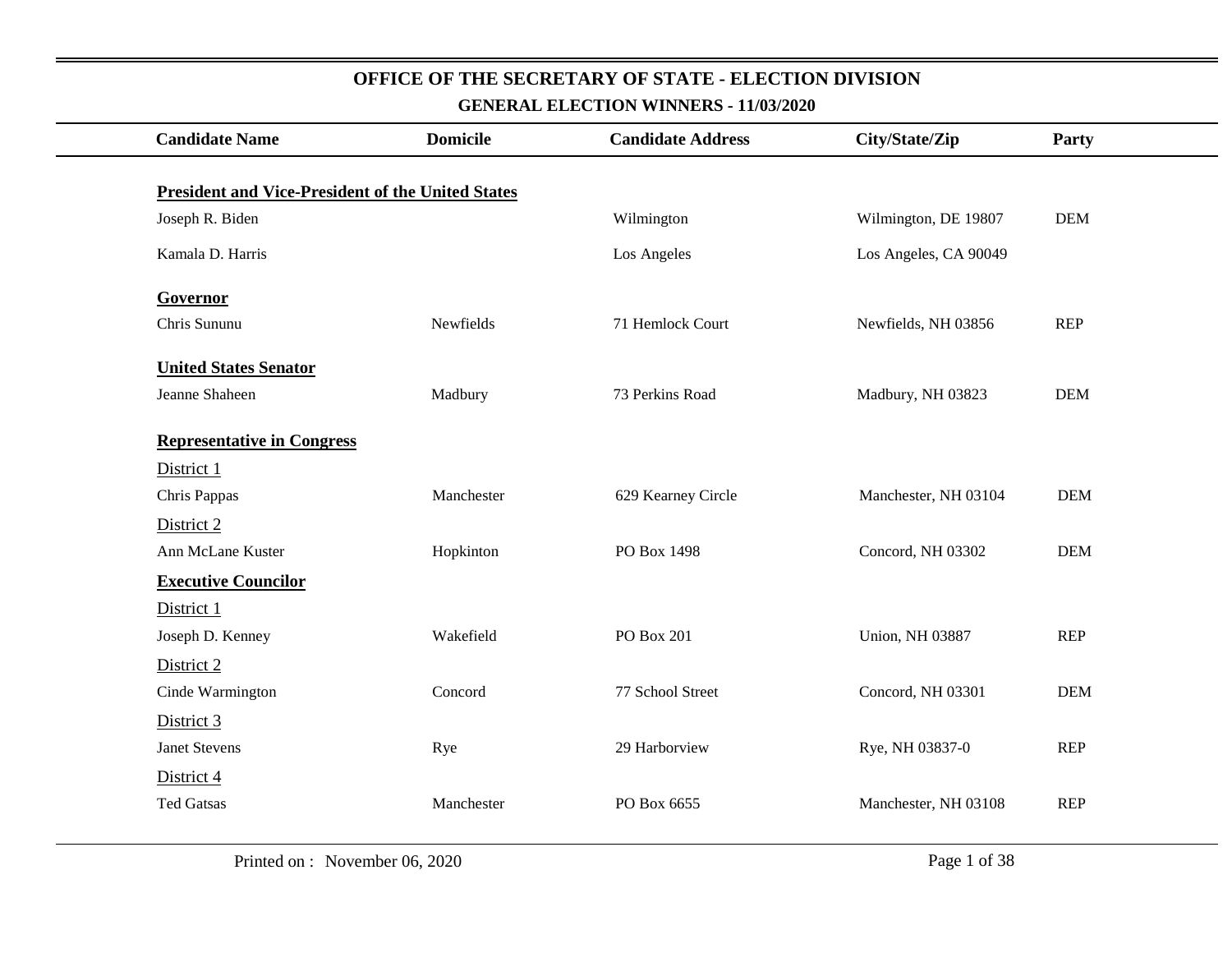| <b>Candidate Name</b>                                    | <b>Domicile</b> | <b>Candidate Address</b> | City/State/Zip         | Party      |
|----------------------------------------------------------|-----------------|--------------------------|------------------------|------------|
| <b>President and Vice-President of the United States</b> |                 |                          |                        |            |
| Joseph R. Biden                                          |                 | Wilmington               | Wilmington, DE 19807   | <b>DEM</b> |
|                                                          |                 |                          |                        |            |
| Kamala D. Harris                                         |                 | Los Angeles              | Los Angeles, CA 90049  |            |
| Governor                                                 |                 |                          |                        |            |
| Chris Sununu                                             | Newfields       | 71 Hemlock Court         | Newfields, NH 03856    | REP        |
| <b>United States Senator</b>                             |                 |                          |                        |            |
| Jeanne Shaheen                                           | Madbury         | 73 Perkins Road          | Madbury, NH 03823      | <b>DEM</b> |
| <b>Representative in Congress</b>                        |                 |                          |                        |            |
| District 1                                               |                 |                          |                        |            |
| Chris Pappas                                             | Manchester      | 629 Kearney Circle       | Manchester, NH 03104   | <b>DEM</b> |
| District 2                                               |                 |                          |                        |            |
| Ann McLane Kuster                                        | Hopkinton       | PO Box 1498              | Concord, NH 03302      | <b>DEM</b> |
| <b>Executive Councilor</b>                               |                 |                          |                        |            |
| District 1                                               |                 |                          |                        |            |
| Joseph D. Kenney                                         | Wakefield       | PO Box 201               | <b>Union, NH 03887</b> | <b>REP</b> |
| District 2                                               |                 |                          |                        |            |
| Cinde Warmington                                         | Concord         | 77 School Street         | Concord, NH 03301      | <b>DEM</b> |
| District 3                                               |                 |                          |                        |            |
| <b>Janet Stevens</b>                                     | Rye             | 29 Harborview            | Rye, NH 03837-0        | <b>REP</b> |
| District 4                                               |                 |                          |                        |            |
| <b>Ted Gatsas</b>                                        | Manchester      | PO Box 6655              | Manchester, NH 03108   | <b>REP</b> |
|                                                          |                 |                          |                        |            |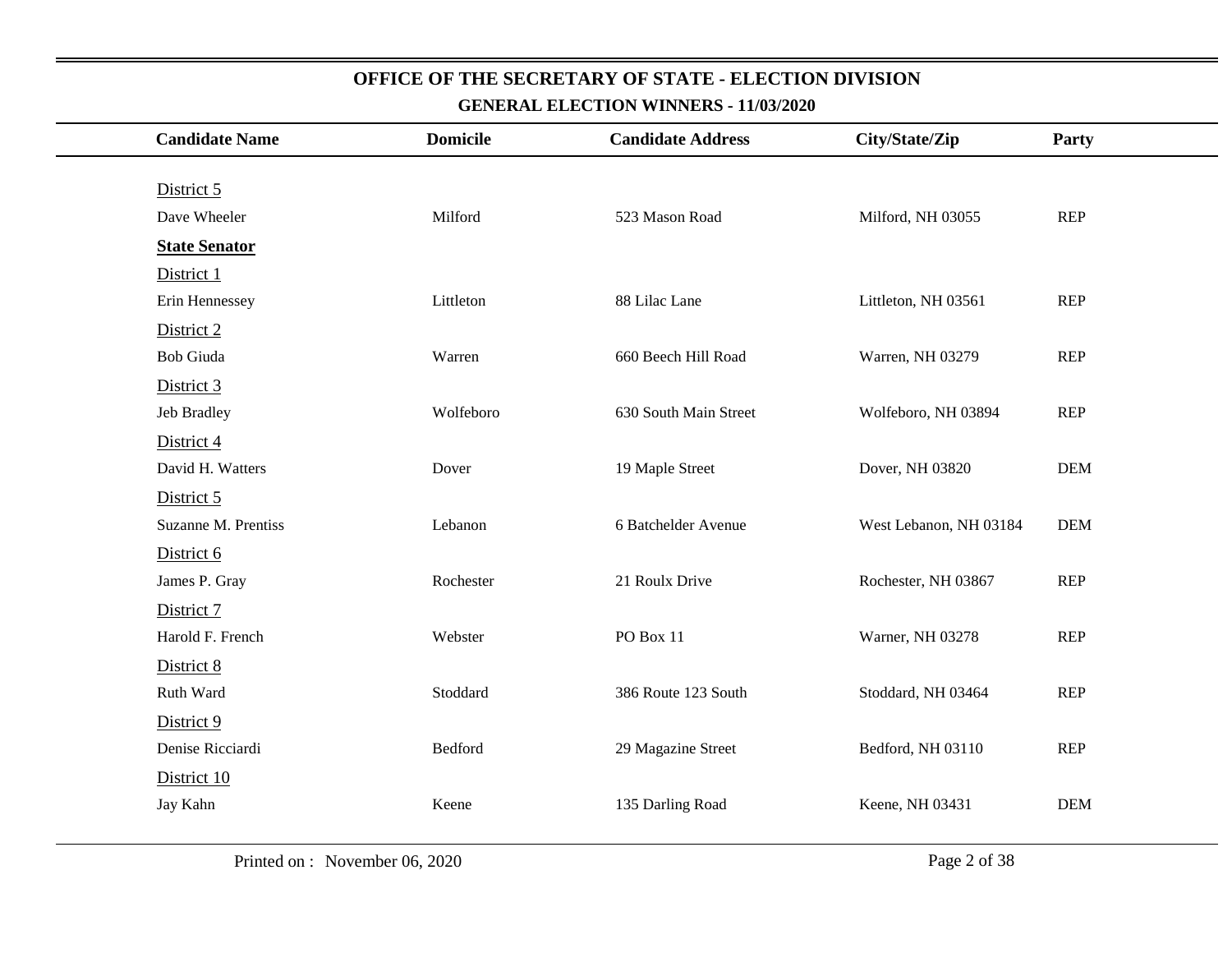| <b>Candidate Name</b> | <b>Domicile</b> | <b>Candidate Address</b> | City/State/Zip         | Party      |
|-----------------------|-----------------|--------------------------|------------------------|------------|
|                       |                 |                          |                        |            |
| District 5            |                 |                          |                        |            |
| Dave Wheeler          | Milford         | 523 Mason Road           | Milford, NH 03055      | REP        |
| <b>State Senator</b>  |                 |                          |                        |            |
| District 1            |                 |                          |                        |            |
| Erin Hennessey        | Littleton       | 88 Lilac Lane            | Littleton, NH 03561    | REP        |
| District 2            |                 |                          |                        |            |
| Bob Giuda             | Warren          | 660 Beech Hill Road      | Warren, NH 03279       | <b>REP</b> |
| District 3            |                 |                          |                        |            |
| Jeb Bradley           | Wolfeboro       | 630 South Main Street    | Wolfeboro, NH 03894    | <b>REP</b> |
| District 4            |                 |                          |                        |            |
| David H. Watters      | Dover           | 19 Maple Street          | Dover, NH 03820        | <b>DEM</b> |
| District 5            |                 |                          |                        |            |
| Suzanne M. Prentiss   | Lebanon         | 6 Batchelder Avenue      | West Lebanon, NH 03184 | <b>DEM</b> |
| District 6            |                 |                          |                        |            |
| James P. Gray         | Rochester       | 21 Roulx Drive           | Rochester, NH 03867    | REP        |
| District 7            |                 |                          |                        |            |
| Harold F. French      | Webster         | PO Box 11                | Warner, NH 03278       | <b>REP</b> |
| District 8            |                 |                          |                        |            |
| Ruth Ward             | Stoddard        | 386 Route 123 South      | Stoddard, NH 03464     | REP        |
| District 9            |                 |                          |                        |            |
| Denise Ricciardi      | Bedford         | 29 Magazine Street       | Bedford, NH 03110      | <b>REP</b> |
| District 10           |                 |                          |                        |            |
| Jay Kahn              | Keene           | 135 Darling Road         | Keene, NH 03431        | <b>DEM</b> |
|                       |                 |                          |                        |            |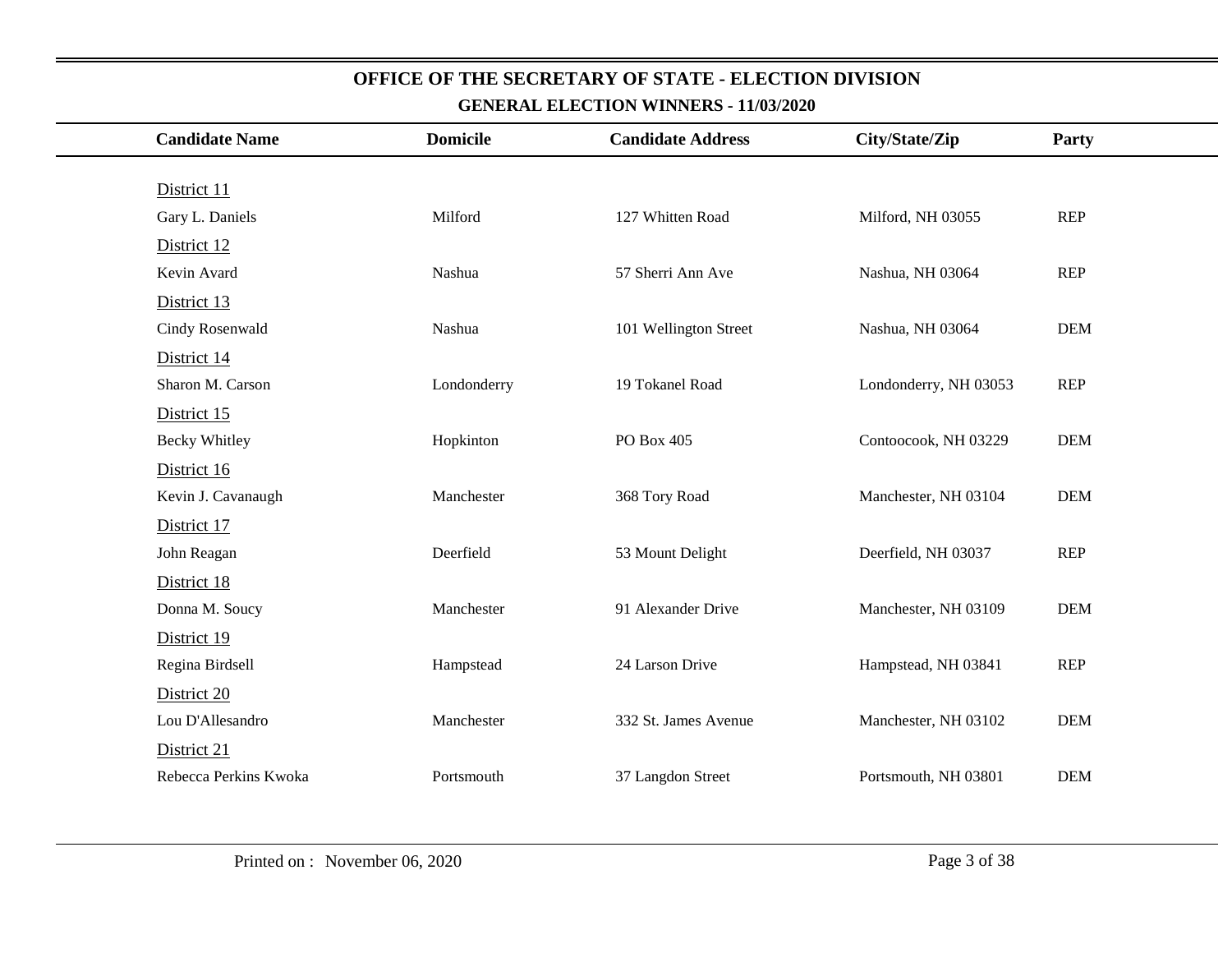| <b>Candidate Name</b> | <b>Domicile</b> | <b>Candidate Address</b> | City/State/Zip        | Party      |
|-----------------------|-----------------|--------------------------|-----------------------|------------|
|                       |                 |                          |                       |            |
| District 11           |                 |                          |                       |            |
| Gary L. Daniels       | Milford         | 127 Whitten Road         | Milford, NH 03055     | <b>REP</b> |
| District 12           |                 |                          |                       |            |
| Kevin Avard           | Nashua          | 57 Sherri Ann Ave        | Nashua, NH 03064      | <b>REP</b> |
| District 13           |                 |                          |                       |            |
| Cindy Rosenwald       | Nashua          | 101 Wellington Street    | Nashua, NH 03064      | <b>DEM</b> |
| District 14           |                 |                          |                       |            |
| Sharon M. Carson      | Londonderry     | 19 Tokanel Road          | Londonderry, NH 03053 | <b>REP</b> |
| District 15           |                 |                          |                       |            |
| <b>Becky Whitley</b>  | Hopkinton       | PO Box 405               | Contoocook, NH 03229  | <b>DEM</b> |
| District 16           |                 |                          |                       |            |
| Kevin J. Cavanaugh    | Manchester      | 368 Tory Road            | Manchester, NH 03104  | <b>DEM</b> |
| District 17           |                 |                          |                       |            |
| John Reagan           | Deerfield       | 53 Mount Delight         | Deerfield, NH 03037   | <b>REP</b> |
| District 18           |                 |                          |                       |            |
| Donna M. Soucy        | Manchester      | 91 Alexander Drive       | Manchester, NH 03109  | <b>DEM</b> |
| District 19           |                 |                          |                       |            |
| Regina Birdsell       | Hampstead       | 24 Larson Drive          | Hampstead, NH 03841   | <b>REP</b> |
| District 20           |                 |                          |                       |            |
| Lou D'Allesandro      | Manchester      | 332 St. James Avenue     | Manchester, NH 03102  | <b>DEM</b> |
| District 21           |                 |                          |                       |            |
| Rebecca Perkins Kwoka | Portsmouth      | 37 Langdon Street        | Portsmouth, NH 03801  | <b>DEM</b> |
|                       |                 |                          |                       |            |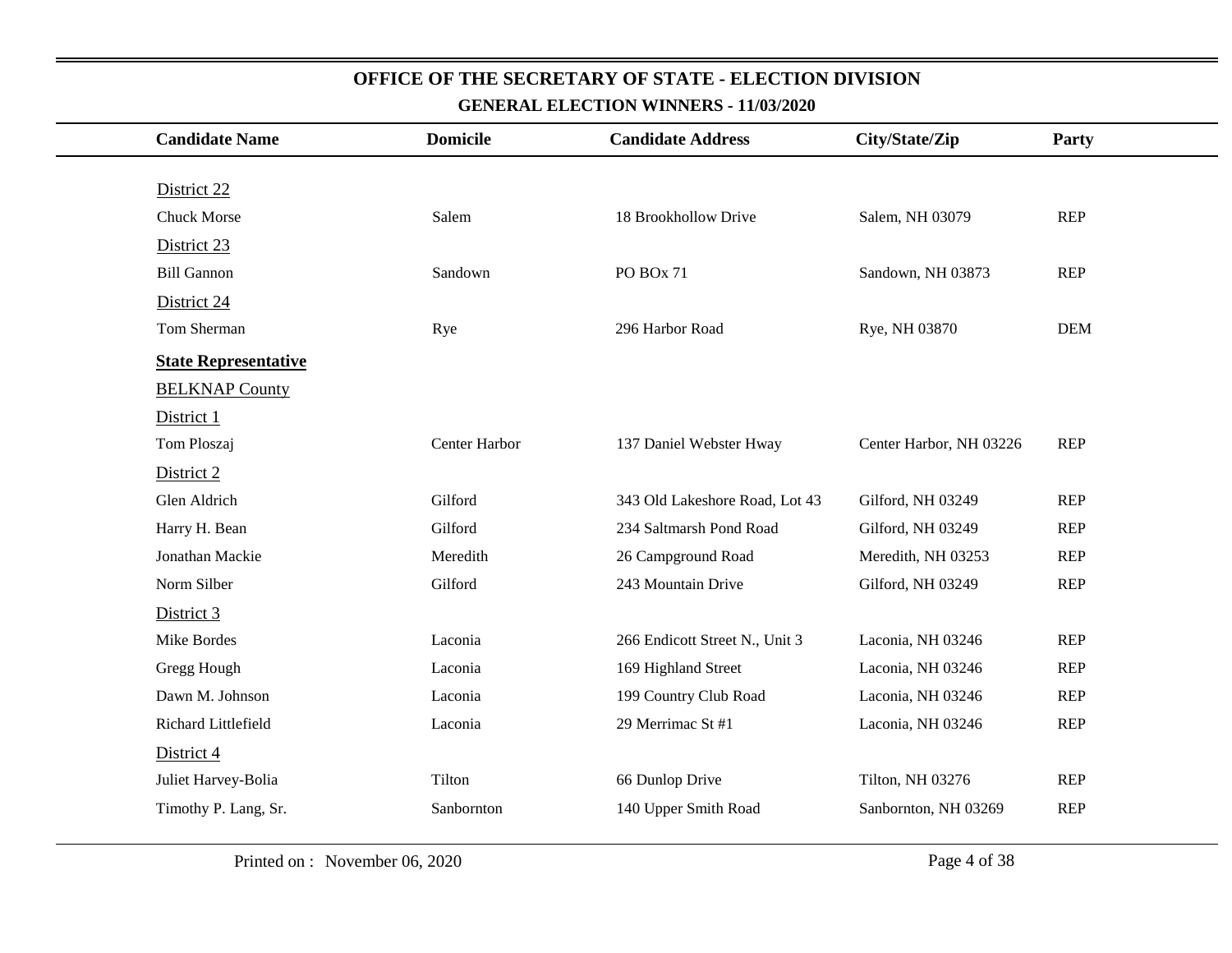| <b>Candidate Name</b>       | <b>Domicile</b> | <b>Candidate Address</b>       | City/State/Zip          | Party      |
|-----------------------------|-----------------|--------------------------------|-------------------------|------------|
|                             |                 |                                |                         |            |
| District 22                 |                 |                                |                         |            |
| <b>Chuck Morse</b>          | Salem           | 18 Brookhollow Drive           | Salem, NH 03079         | REP        |
| District 23                 |                 |                                |                         |            |
| <b>Bill Gannon</b>          | Sandown         | PO BOx 71                      | Sandown, NH 03873       | <b>REP</b> |
| District 24                 |                 |                                |                         |            |
| Tom Sherman                 | Rye             | 296 Harbor Road                | Rye, NH 03870           | <b>DEM</b> |
| <b>State Representative</b> |                 |                                |                         |            |
| <b>BELKNAP County</b>       |                 |                                |                         |            |
| District 1                  |                 |                                |                         |            |
| Tom Ploszaj                 | Center Harbor   | 137 Daniel Webster Hway        | Center Harbor, NH 03226 | <b>REP</b> |
| District 2                  |                 |                                |                         |            |
| Glen Aldrich                | Gilford         | 343 Old Lakeshore Road, Lot 43 | Gilford, NH 03249       | REP        |
| Harry H. Bean               | Gilford         | 234 Saltmarsh Pond Road        | Gilford, NH 03249       | <b>REP</b> |
| Jonathan Mackie             | Meredith        | 26 Campground Road             | Meredith, NH 03253      | <b>REP</b> |
| Norm Silber                 | Gilford         | 243 Mountain Drive             | Gilford, NH 03249       | <b>REP</b> |
| District 3                  |                 |                                |                         |            |
| Mike Bordes                 | Laconia         | 266 Endicott Street N., Unit 3 | Laconia, NH 03246       | REP        |
| Gregg Hough                 | Laconia         | 169 Highland Street            | Laconia, NH 03246       | <b>REP</b> |
| Dawn M. Johnson             | Laconia         | 199 Country Club Road          | Laconia, NH 03246       | <b>REP</b> |
| Richard Littlefield         | Laconia         | 29 Merrimac St #1              | Laconia, NH 03246       | REP        |
| District 4                  |                 |                                |                         |            |
| Juliet Harvey-Bolia         | Tilton          | 66 Dunlop Drive                | Tilton, NH 03276        | <b>REP</b> |
| Timothy P. Lang, Sr.        | Sanbornton      | 140 Upper Smith Road           | Sanbornton, NH 03269    | <b>REP</b> |
|                             |                 |                                |                         |            |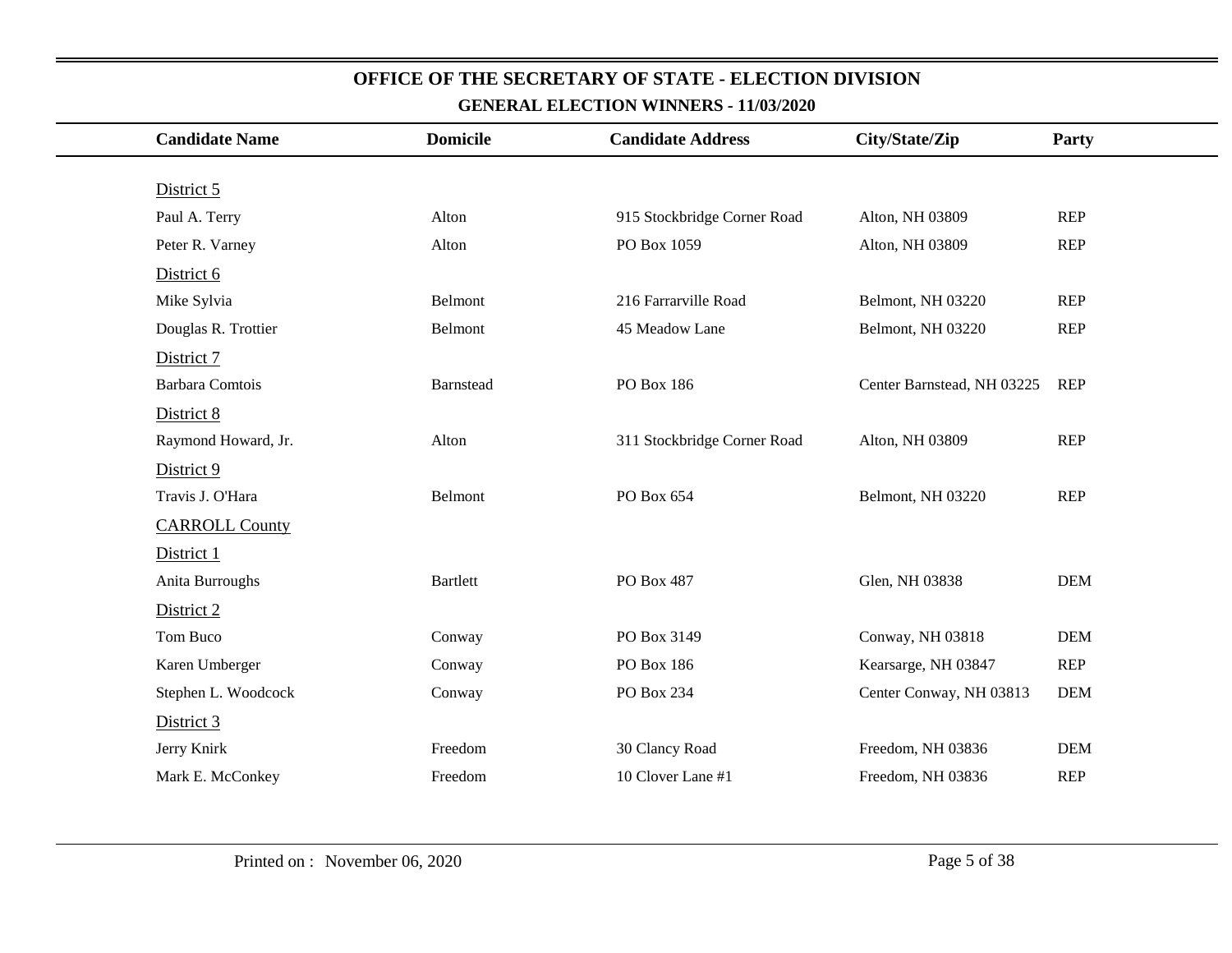| <b>Candidate Name</b>  | <b>Domicile</b> | <b>Candidate Address</b>    | City/State/Zip             | Party      |
|------------------------|-----------------|-----------------------------|----------------------------|------------|
|                        |                 |                             |                            |            |
| District 5             |                 |                             |                            |            |
| Paul A. Terry          | Alton           | 915 Stockbridge Corner Road | Alton, NH 03809            | REP        |
| Peter R. Varney        | Alton           | PO Box 1059                 | Alton, NH 03809            | REP        |
| District 6             |                 |                             |                            |            |
| Mike Sylvia            | Belmont         | 216 Farrarville Road        | Belmont, NH 03220          | REP        |
| Douglas R. Trottier    | Belmont         | 45 Meadow Lane              | Belmont, NH 03220          | <b>REP</b> |
| District 7             |                 |                             |                            |            |
| <b>Barbara Comtois</b> | Barnstead       | PO Box 186                  | Center Barnstead, NH 03225 | <b>REP</b> |
| District 8             |                 |                             |                            |            |
| Raymond Howard, Jr.    | Alton           | 311 Stockbridge Corner Road | Alton, NH 03809            | REP        |
| District 9             |                 |                             |                            |            |
| Travis J. O'Hara       | Belmont         | PO Box 654                  | Belmont, NH 03220          | REP        |
| <b>CARROLL County</b>  |                 |                             |                            |            |
| District 1             |                 |                             |                            |            |
| Anita Burroughs        | <b>Bartlett</b> | PO Box 487                  | Glen, NH 03838             | <b>DEM</b> |
| District 2             |                 |                             |                            |            |
| Tom Buco               | Conway          | PO Box 3149                 | Conway, NH 03818           | <b>DEM</b> |
| Karen Umberger         | Conway          | PO Box 186                  | Kearsarge, NH 03847        | REP        |
| Stephen L. Woodcock    | Conway          | PO Box 234                  | Center Conway, NH 03813    | <b>DEM</b> |
| District 3             |                 |                             |                            |            |
| Jerry Knirk            | Freedom         | 30 Clancy Road              | Freedom, NH 03836          | <b>DEM</b> |
| Mark E. McConkey       | Freedom         | 10 Clover Lane #1           | Freedom, NH 03836          | <b>REP</b> |
|                        |                 |                             |                            |            |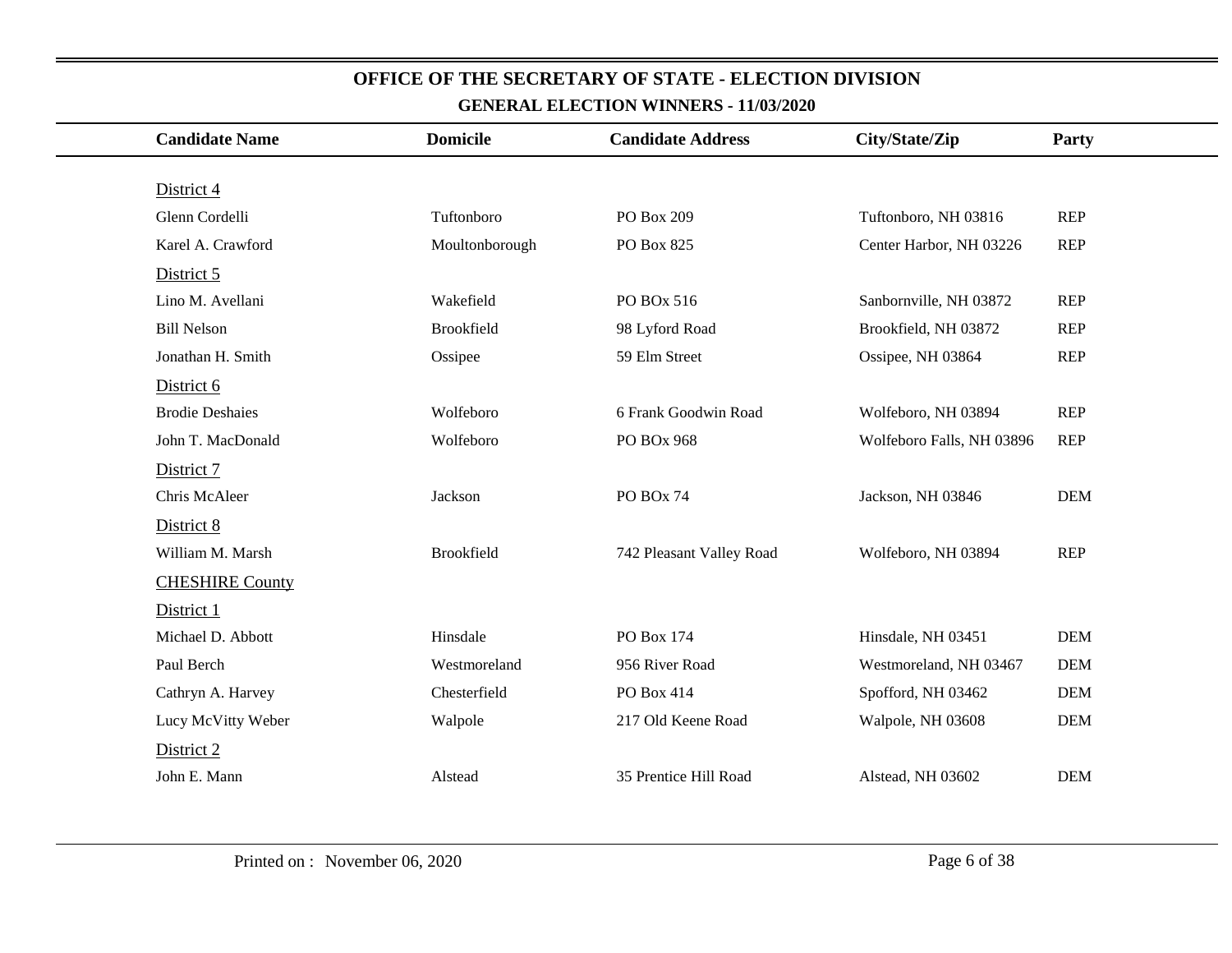| <b>Candidate Name</b>  | <b>Domicile</b> | <b>Candidate Address</b> | City/State/Zip            | Party      |
|------------------------|-----------------|--------------------------|---------------------------|------------|
|                        |                 |                          |                           |            |
| District 4             |                 |                          |                           |            |
| Glenn Cordelli         | Tuftonboro      | PO Box 209               | Tuftonboro, NH 03816      | <b>REP</b> |
| Karel A. Crawford      | Moultonborough  | PO Box 825               | Center Harbor, NH 03226   | <b>REP</b> |
| District 5             |                 |                          |                           |            |
| Lino M. Avellani       | Wakefield       | PO BOx 516               | Sanbornville, NH 03872    | <b>REP</b> |
| <b>Bill Nelson</b>     | Brookfield      | 98 Lyford Road           | Brookfield, NH 03872      | <b>REP</b> |
| Jonathan H. Smith      | Ossipee         | 59 Elm Street            | Ossipee, NH 03864         | <b>REP</b> |
| District 6             |                 |                          |                           |            |
| <b>Brodie Deshaies</b> | Wolfeboro       | 6 Frank Goodwin Road     | Wolfeboro, NH 03894       | <b>REP</b> |
| John T. MacDonald      | Wolfeboro       | PO BOx 968               | Wolfeboro Falls, NH 03896 | <b>REP</b> |
| District 7             |                 |                          |                           |            |
| Chris McAleer          | Jackson         | PO BOx 74                | Jackson, NH 03846         | <b>DEM</b> |
| District 8             |                 |                          |                           |            |
| William M. Marsh       | Brookfield      | 742 Pleasant Valley Road | Wolfeboro, NH 03894       | <b>REP</b> |
| <b>CHESHIRE County</b> |                 |                          |                           |            |
| District 1             |                 |                          |                           |            |
| Michael D. Abbott      | Hinsdale        | PO Box 174               | Hinsdale, NH 03451        | <b>DEM</b> |
| Paul Berch             | Westmoreland    | 956 River Road           | Westmoreland, NH 03467    | <b>DEM</b> |
| Cathryn A. Harvey      | Chesterfield    | PO Box 414               | Spofford, NH 03462        | <b>DEM</b> |
| Lucy McVitty Weber     | Walpole         | 217 Old Keene Road       | Walpole, NH 03608         | <b>DEM</b> |
| District 2             |                 |                          |                           |            |
| John E. Mann           | Alstead         | 35 Prentice Hill Road    | Alstead, NH 03602         | <b>DEM</b> |
|                        |                 |                          |                           |            |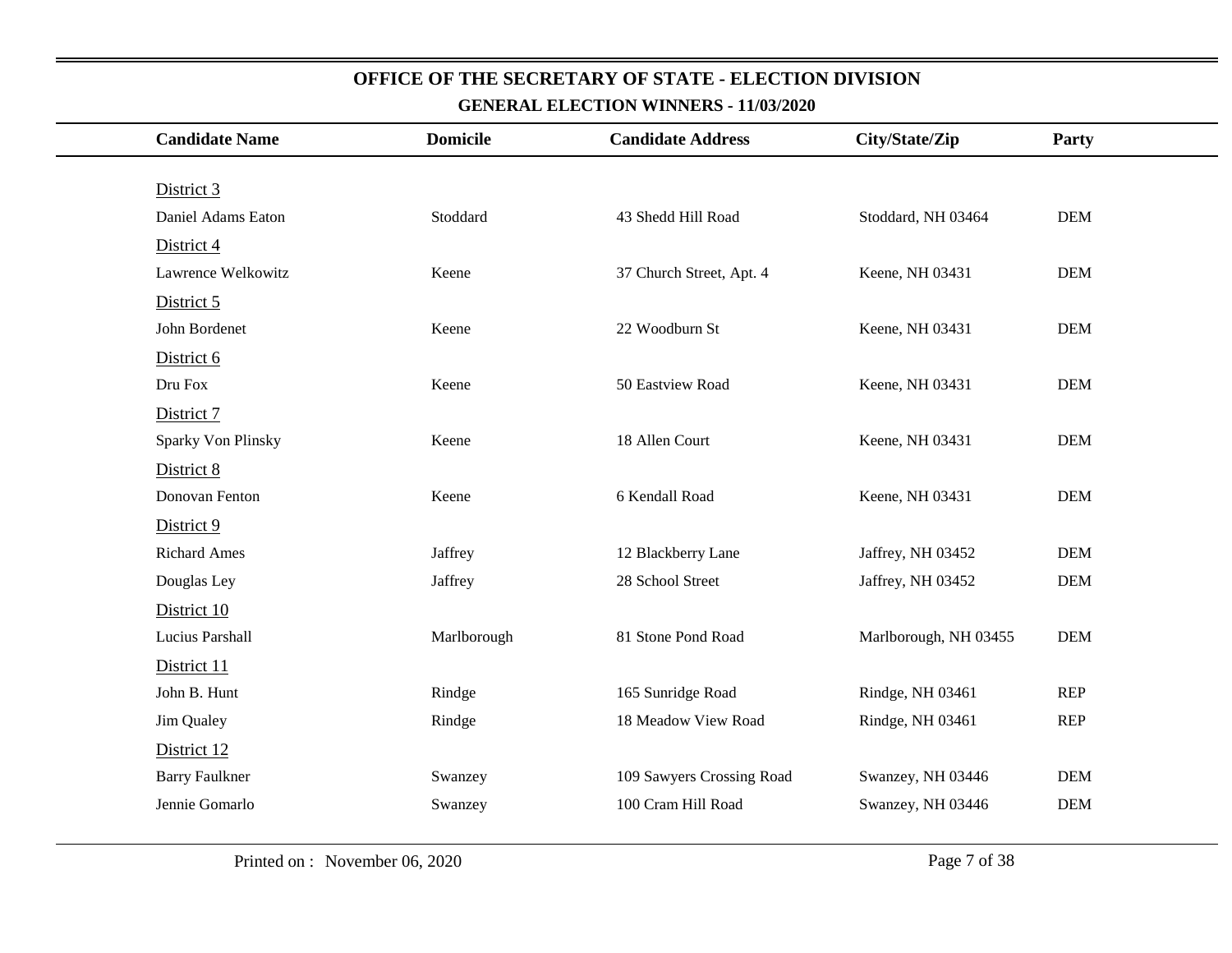| <b>Candidate Name</b> | <b>Domicile</b> | <b>Candidate Address</b>  | City/State/Zip        | Party      |
|-----------------------|-----------------|---------------------------|-----------------------|------------|
|                       |                 |                           |                       |            |
| District 3            |                 |                           |                       |            |
| Daniel Adams Eaton    | Stoddard        | 43 Shedd Hill Road        | Stoddard, NH 03464    | DEM        |
| District 4            |                 |                           |                       |            |
| Lawrence Welkowitz    | Keene           | 37 Church Street, Apt. 4  | Keene, NH 03431       | <b>DEM</b> |
| District 5            |                 |                           |                       |            |
| John Bordenet         | Keene           | 22 Woodburn St            | Keene, NH 03431       | DEM        |
| District 6            |                 |                           |                       |            |
| Dru Fox               | Keene           | 50 Eastview Road          | Keene, NH 03431       | <b>DEM</b> |
| District 7            |                 |                           |                       |            |
| Sparky Von Plinsky    | Keene           | 18 Allen Court            | Keene, NH 03431       | <b>DEM</b> |
| District 8            |                 |                           |                       |            |
| Donovan Fenton        | Keene           | 6 Kendall Road            | Keene, NH 03431       | <b>DEM</b> |
| District 9            |                 |                           |                       |            |
| <b>Richard Ames</b>   | Jaffrey         | 12 Blackberry Lane        | Jaffrey, NH 03452     | <b>DEM</b> |
| Douglas Ley           | Jaffrey         | 28 School Street          | Jaffrey, NH 03452     | <b>DEM</b> |
| District 10           |                 |                           |                       |            |
| Lucius Parshall       | Marlborough     | 81 Stone Pond Road        | Marlborough, NH 03455 | <b>DEM</b> |
| District 11           |                 |                           |                       |            |
| John B. Hunt          | Rindge          | 165 Sunridge Road         | Rindge, NH 03461      | <b>REP</b> |
| Jim Qualey            | Rindge          | 18 Meadow View Road       | Rindge, NH 03461      | <b>REP</b> |
| District 12           |                 |                           |                       |            |
| <b>Barry Faulkner</b> | Swanzey         | 109 Sawyers Crossing Road | Swanzey, NH 03446     | <b>DEM</b> |
| Jennie Gomarlo        | Swanzey         | 100 Cram Hill Road        | Swanzey, NH 03446     | <b>DEM</b> |
|                       |                 |                           |                       |            |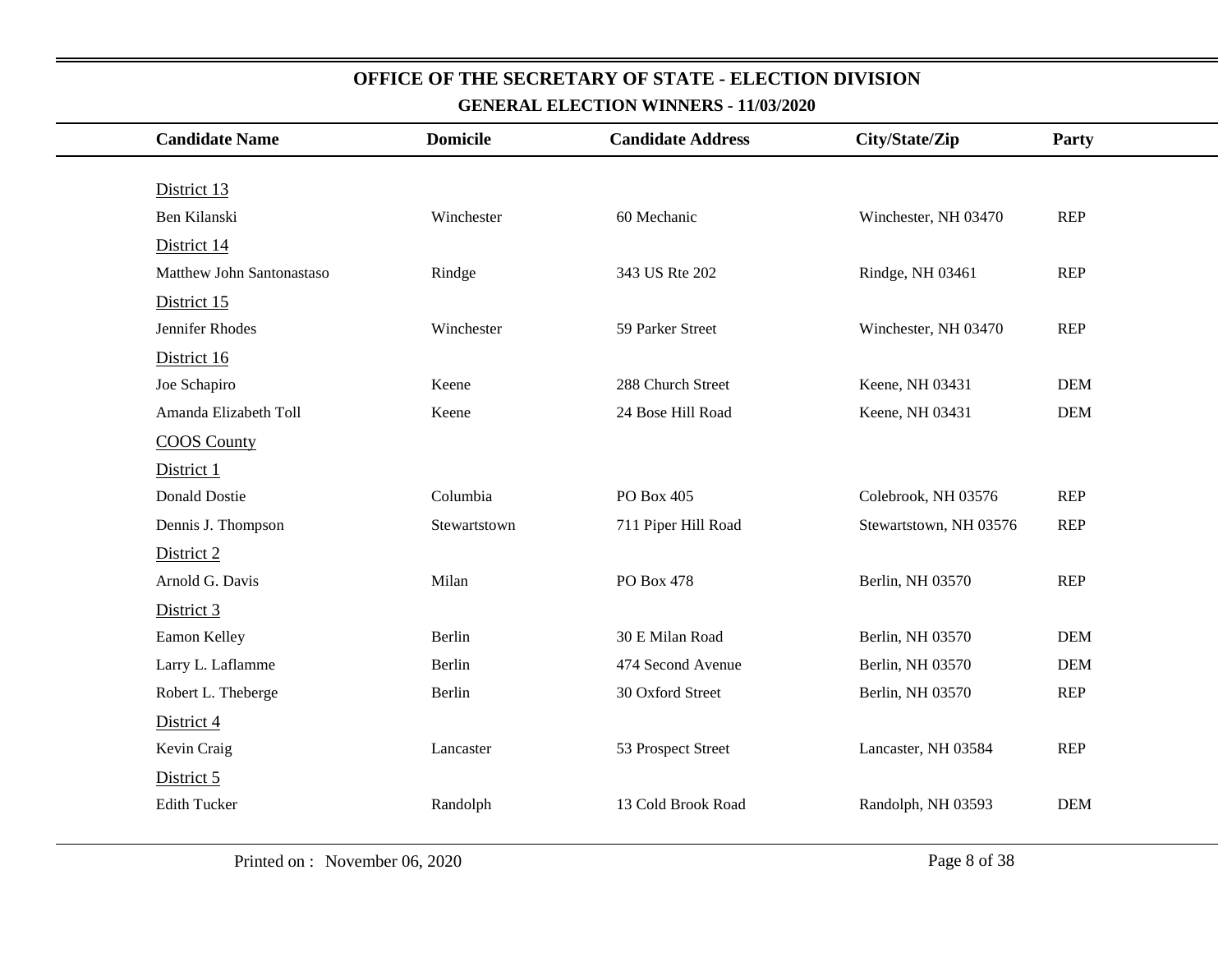| <b>Candidate Name</b>     | <b>Domicile</b> | <b>Candidate Address</b> | City/State/Zip         | Party      |
|---------------------------|-----------------|--------------------------|------------------------|------------|
|                           |                 |                          |                        |            |
| District 13               |                 |                          |                        |            |
| Ben Kilanski              | Winchester      | 60 Mechanic              | Winchester, NH 03470   | <b>REP</b> |
| District 14               |                 |                          |                        |            |
| Matthew John Santonastaso | Rindge          | 343 US Rte 202           | Rindge, NH 03461       | <b>REP</b> |
| District 15               |                 |                          |                        |            |
| Jennifer Rhodes           | Winchester      | 59 Parker Street         | Winchester, NH 03470   | <b>REP</b> |
| District 16               |                 |                          |                        |            |
| Joe Schapiro              | Keene           | 288 Church Street        | Keene, NH 03431        | <b>DEM</b> |
| Amanda Elizabeth Toll     | Keene           | 24 Bose Hill Road        | Keene, NH 03431        | <b>DEM</b> |
| <b>COOS County</b>        |                 |                          |                        |            |
| District 1                |                 |                          |                        |            |
| <b>Donald Dostie</b>      | Columbia        | PO Box 405               | Colebrook, NH 03576    | <b>REP</b> |
| Dennis J. Thompson        | Stewartstown    | 711 Piper Hill Road      | Stewartstown, NH 03576 | <b>REP</b> |
| District 2                |                 |                          |                        |            |
| Arnold G. Davis           | Milan           | PO Box 478               | Berlin, NH 03570       | <b>REP</b> |
| District 3                |                 |                          |                        |            |
| Eamon Kelley              | Berlin          | 30 E Milan Road          | Berlin, NH 03570       | <b>DEM</b> |
| Larry L. Laflamme         | Berlin          | 474 Second Avenue        | Berlin, NH 03570       | <b>DEM</b> |
| Robert L. Theberge        | Berlin          | 30 Oxford Street         | Berlin, NH 03570       | <b>REP</b> |
| District 4                |                 |                          |                        |            |
| Kevin Craig               | Lancaster       | 53 Prospect Street       | Lancaster, NH 03584    | <b>REP</b> |
| District 5                |                 |                          |                        |            |
| <b>Edith Tucker</b>       | Randolph        | 13 Cold Brook Road       | Randolph, NH 03593     | <b>DEM</b> |
|                           |                 |                          |                        |            |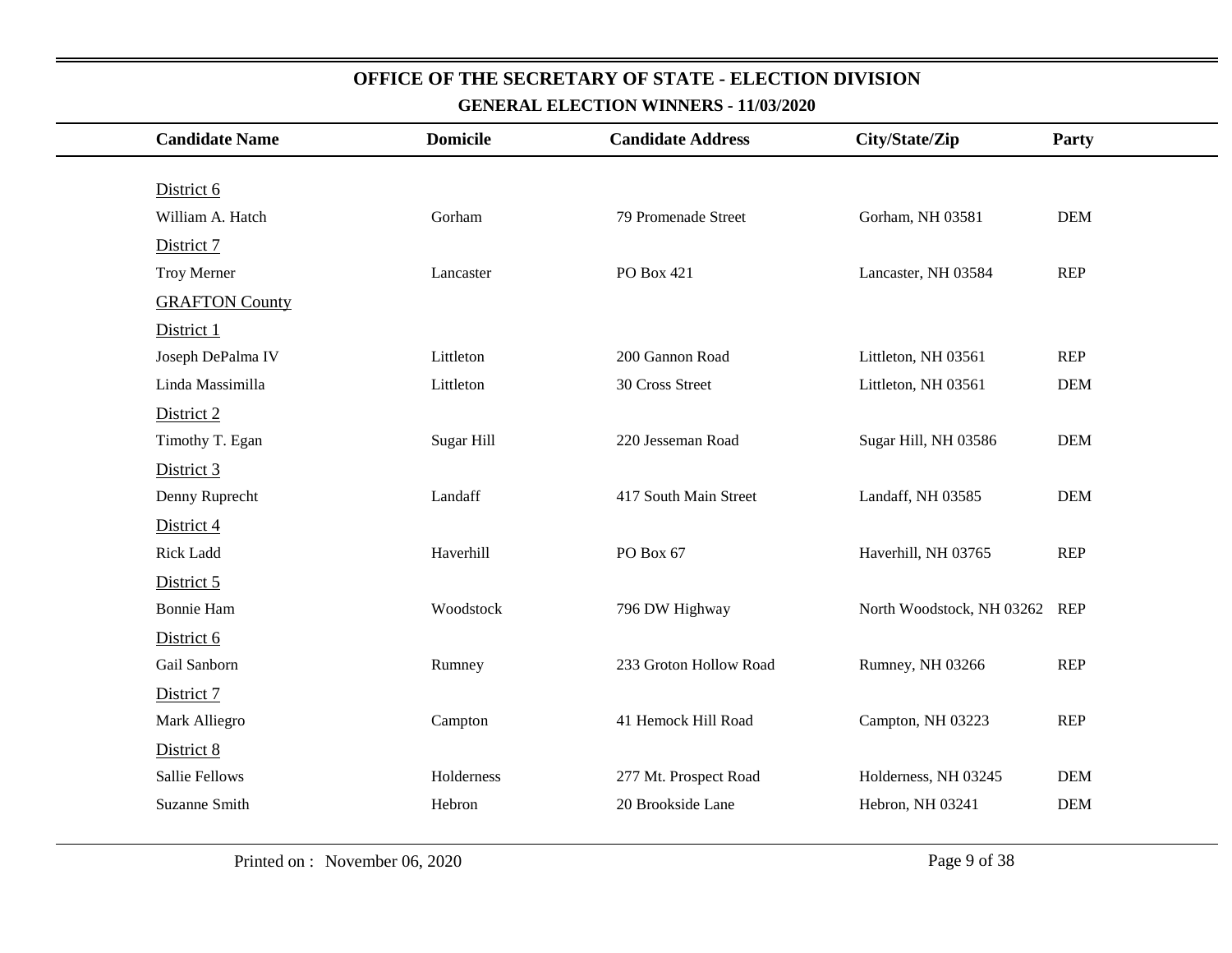| <b>Candidate Name</b> | <b>Domicile</b> | <b>Candidate Address</b> | City/State/Zip            | <b>Party</b> |
|-----------------------|-----------------|--------------------------|---------------------------|--------------|
|                       |                 |                          |                           |              |
| District 6            |                 |                          |                           |              |
| William A. Hatch      | Gorham          | 79 Promenade Street      | Gorham, NH 03581          | <b>DEM</b>   |
| District 7            |                 |                          |                           |              |
| Troy Merner           | Lancaster       | PO Box 421               | Lancaster, NH 03584       | <b>REP</b>   |
| <b>GRAFTON County</b> |                 |                          |                           |              |
| District 1            |                 |                          |                           |              |
| Joseph DePalma IV     | Littleton       | 200 Gannon Road          | Littleton, NH 03561       | <b>REP</b>   |
| Linda Massimilla      | Littleton       | 30 Cross Street          | Littleton, NH 03561       | <b>DEM</b>   |
| District 2            |                 |                          |                           |              |
| Timothy T. Egan       | Sugar Hill      | 220 Jesseman Road        | Sugar Hill, NH 03586      | <b>DEM</b>   |
| District 3            |                 |                          |                           |              |
| Denny Ruprecht        | Landaff         | 417 South Main Street    | Landaff, NH 03585         | <b>DEM</b>   |
| District 4            |                 |                          |                           |              |
| <b>Rick Ladd</b>      | Haverhill       | PO Box 67                | Haverhill, NH 03765       | <b>REP</b>   |
| District 5            |                 |                          |                           |              |
| <b>Bonnie Ham</b>     | Woodstock       | 796 DW Highway           | North Woodstock, NH 03262 | <b>REP</b>   |
| District 6            |                 |                          |                           |              |
| Gail Sanborn          | Rumney          | 233 Groton Hollow Road   | Rumney, NH 03266          | <b>REP</b>   |
| District 7            |                 |                          |                           |              |
| Mark Alliegro         | Campton         | 41 Hemock Hill Road      | Campton, NH 03223         | <b>REP</b>   |
| District 8            |                 |                          |                           |              |
| <b>Sallie Fellows</b> | Holderness      | 277 Mt. Prospect Road    | Holderness, NH 03245      | <b>DEM</b>   |
| Suzanne Smith         | Hebron          | 20 Brookside Lane        | Hebron, NH 03241          | <b>DEM</b>   |
|                       |                 |                          |                           |              |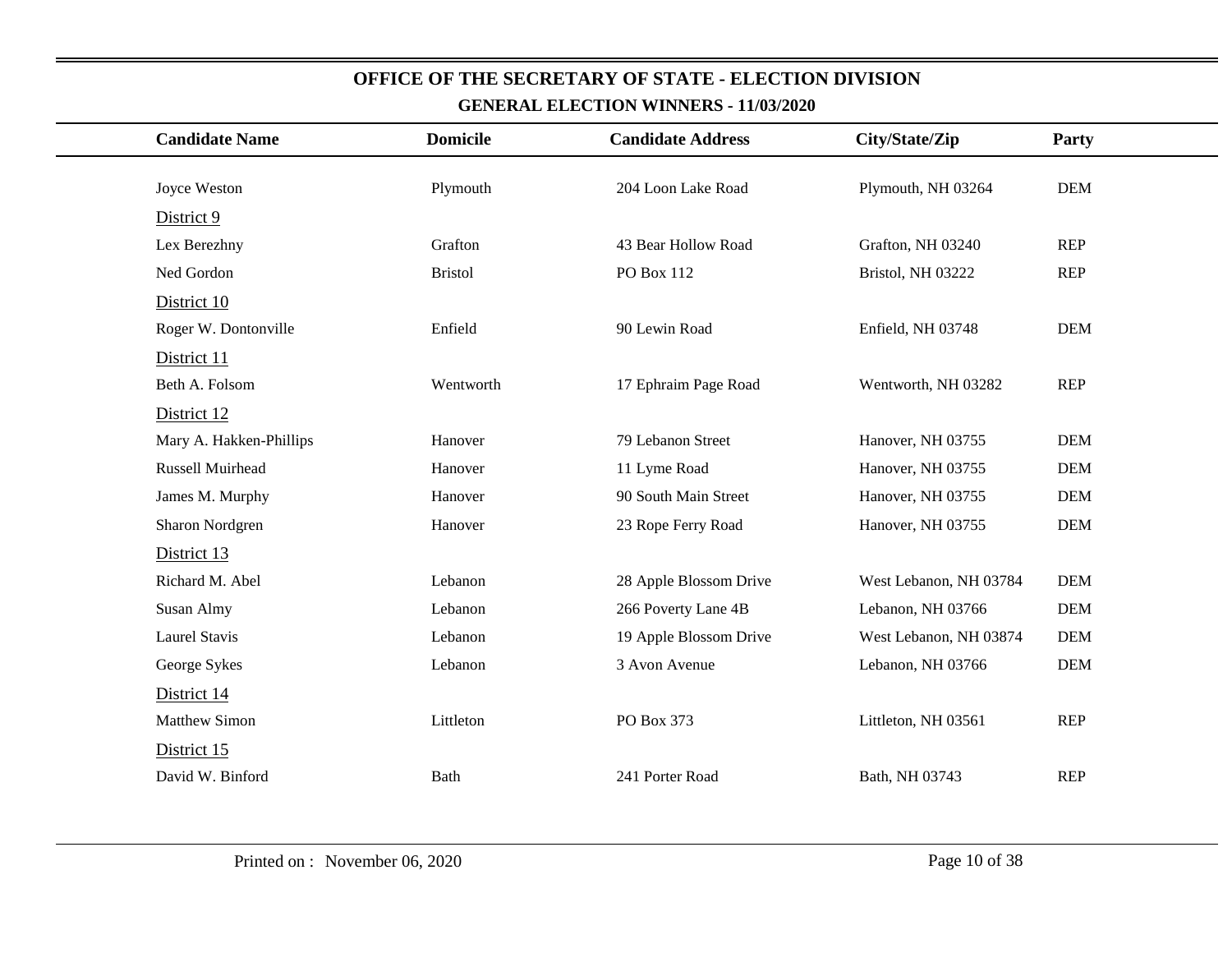| <b>Candidate Name</b>   | <b>Domicile</b> | <b>Candidate Address</b> | City/State/Zip         | Party      |
|-------------------------|-----------------|--------------------------|------------------------|------------|
| Joyce Weston            | Plymouth        | 204 Loon Lake Road       | Plymouth, NH 03264     | <b>DEM</b> |
|                         |                 |                          |                        |            |
| District 9              |                 |                          |                        |            |
| Lex Berezhny            | Grafton         | 43 Bear Hollow Road      | Grafton, NH 03240      | <b>REP</b> |
| Ned Gordon              | <b>Bristol</b>  | PO Box 112               | Bristol, NH 03222      | <b>REP</b> |
| District 10             |                 |                          |                        |            |
| Roger W. Dontonville    | Enfield         | 90 Lewin Road            | Enfield, NH 03748      | <b>DEM</b> |
| District 11             |                 |                          |                        |            |
| Beth A. Folsom          | Wentworth       | 17 Ephraim Page Road     | Wentworth, NH 03282    | <b>REP</b> |
| District 12             |                 |                          |                        |            |
| Mary A. Hakken-Phillips | Hanover         | 79 Lebanon Street        | Hanover, NH 03755      | <b>DEM</b> |
| Russell Muirhead        | Hanover         | 11 Lyme Road             | Hanover, NH 03755      | <b>DEM</b> |
| James M. Murphy         | Hanover         | 90 South Main Street     | Hanover, NH 03755      | <b>DEM</b> |
| Sharon Nordgren         | Hanover         | 23 Rope Ferry Road       | Hanover, NH 03755      | <b>DEM</b> |
| District 13             |                 |                          |                        |            |
| Richard M. Abel         | Lebanon         | 28 Apple Blossom Drive   | West Lebanon, NH 03784 | <b>DEM</b> |
| Susan Almy              | Lebanon         | 266 Poverty Lane 4B      | Lebanon, NH 03766      | <b>DEM</b> |
| <b>Laurel Stavis</b>    | Lebanon         | 19 Apple Blossom Drive   | West Lebanon, NH 03874 | <b>DEM</b> |
| George Sykes            | Lebanon         | 3 Avon Avenue            | Lebanon, NH 03766      | <b>DEM</b> |
| District 14             |                 |                          |                        |            |
| <b>Matthew Simon</b>    | Littleton       | PO Box 373               | Littleton, NH 03561    | <b>REP</b> |
| District 15             |                 |                          |                        |            |
| David W. Binford        | <b>Bath</b>     | 241 Porter Road          | Bath, NH 03743         | <b>REP</b> |
|                         |                 |                          |                        |            |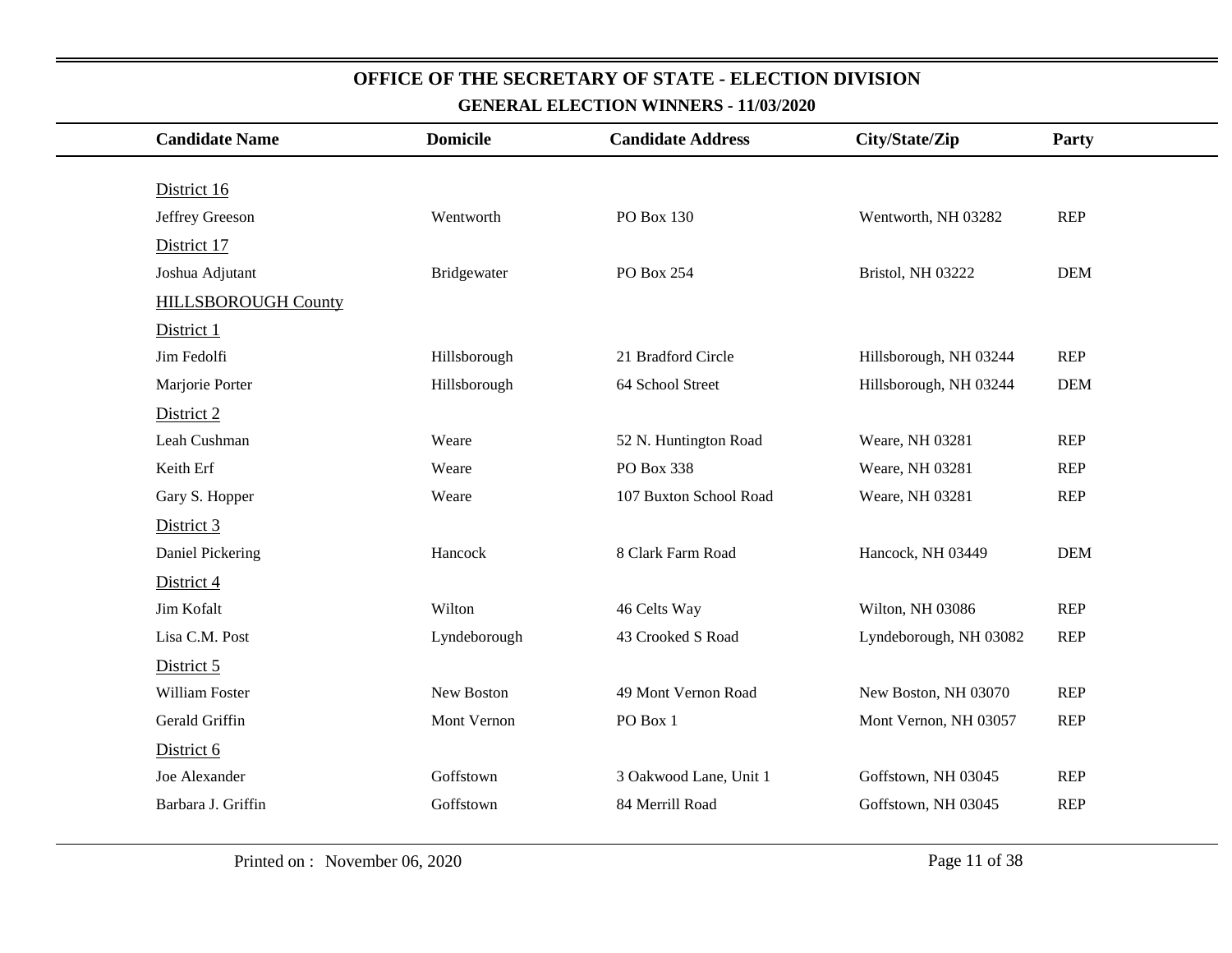| <b>Candidate Name</b>      | <b>Domicile</b> | <b>Candidate Address</b> | City/State/Zip         | Party      |
|----------------------------|-----------------|--------------------------|------------------------|------------|
|                            |                 |                          |                        |            |
| District 16                |                 |                          |                        |            |
| Jeffrey Greeson            | Wentworth       | PO Box 130               | Wentworth, NH 03282    | <b>REP</b> |
| District 17                |                 |                          |                        |            |
| Joshua Adjutant            | Bridgewater     | PO Box 254               | Bristol, NH 03222      | <b>DEM</b> |
| <b>HILLSBOROUGH County</b> |                 |                          |                        |            |
| District 1                 |                 |                          |                        |            |
| Jim Fedolfi                | Hillsborough    | 21 Bradford Circle       | Hillsborough, NH 03244 | <b>REP</b> |
| Marjorie Porter            | Hillsborough    | 64 School Street         | Hillsborough, NH 03244 | <b>DEM</b> |
| District 2                 |                 |                          |                        |            |
| Leah Cushman               | Weare           | 52 N. Huntington Road    | Weare, NH 03281        | <b>REP</b> |
| Keith Erf                  | Weare           | PO Box 338               | Weare, NH 03281        | <b>REP</b> |
| Gary S. Hopper             | Weare           | 107 Buxton School Road   | Weare, NH 03281        | <b>REP</b> |
| District 3                 |                 |                          |                        |            |
| Daniel Pickering           | Hancock         | 8 Clark Farm Road        | Hancock, NH 03449      | <b>DEM</b> |
| District 4                 |                 |                          |                        |            |
| Jim Kofalt                 | Wilton          | 46 Celts Way             | Wilton, NH 03086       | <b>REP</b> |
| Lisa C.M. Post             | Lyndeborough    | 43 Crooked S Road        | Lyndeborough, NH 03082 | <b>REP</b> |
| District 5                 |                 |                          |                        |            |
| William Foster             | New Boston      | 49 Mont Vernon Road      | New Boston, NH 03070   | <b>REP</b> |
| Gerald Griffin             | Mont Vernon     | PO Box 1                 | Mont Vernon, NH 03057  | <b>REP</b> |
| District 6                 |                 |                          |                        |            |
| Joe Alexander              | Goffstown       | 3 Oakwood Lane, Unit 1   | Goffstown, NH 03045    | <b>REP</b> |
| Barbara J. Griffin         | Goffstown       | 84 Merrill Road          | Goffstown, NH 03045    | <b>REP</b> |
|                            |                 |                          |                        |            |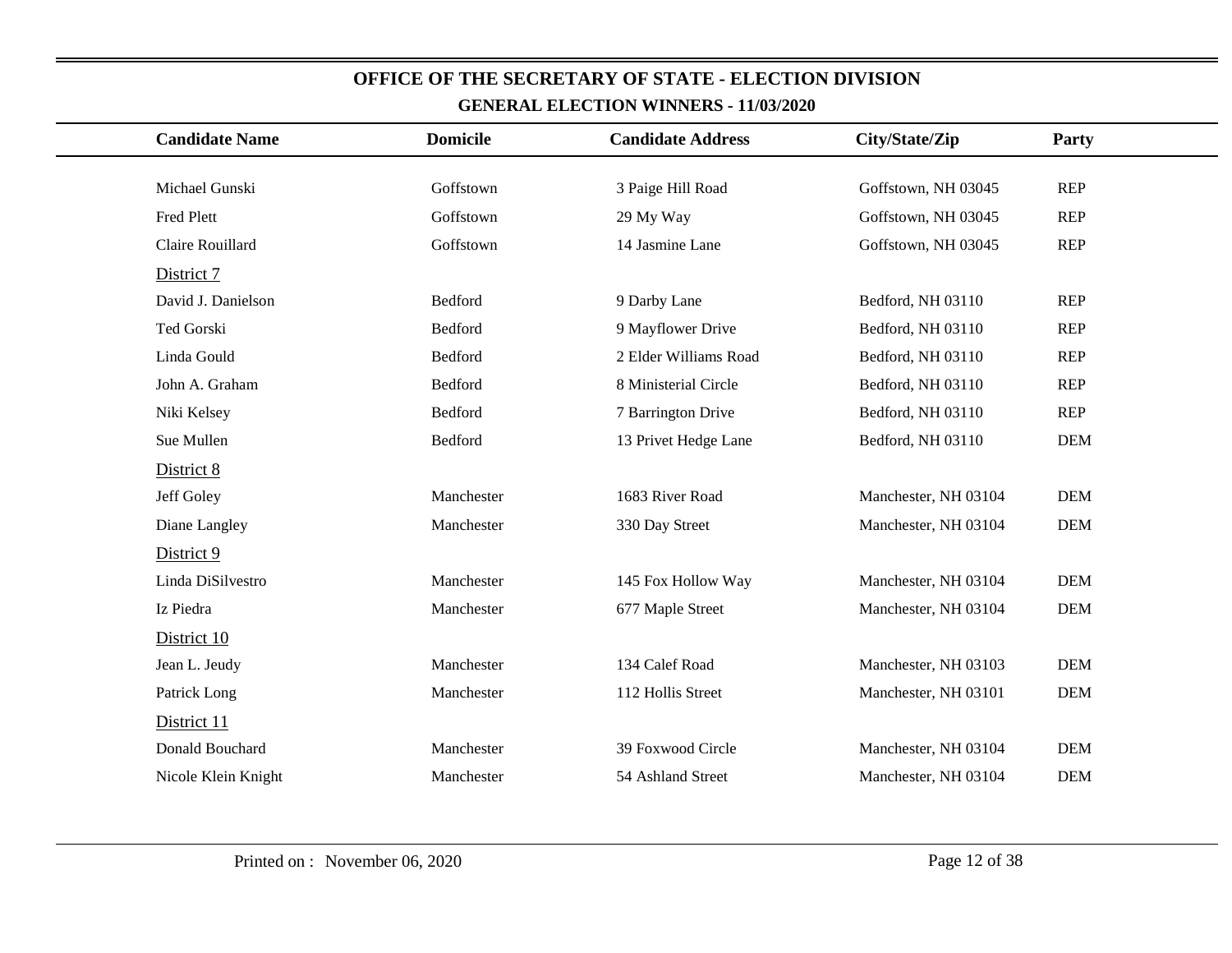| <b>Candidate Name</b> | <b>Domicile</b> | <b>Candidate Address</b> | City/State/Zip       | Party      |
|-----------------------|-----------------|--------------------------|----------------------|------------|
|                       |                 |                          |                      |            |
| Michael Gunski        | Goffstown       | 3 Paige Hill Road        | Goffstown, NH 03045  | <b>REP</b> |
| Fred Plett            | Goffstown       | 29 My Way                | Goffstown, NH 03045  | <b>REP</b> |
| Claire Rouillard      | Goffstown       | 14 Jasmine Lane          | Goffstown, NH 03045  | <b>REP</b> |
| District 7            |                 |                          |                      |            |
| David J. Danielson    | Bedford         | 9 Darby Lane             | Bedford, NH 03110    | <b>REP</b> |
| Ted Gorski            | Bedford         | 9 Mayflower Drive        | Bedford, NH 03110    | <b>REP</b> |
| Linda Gould           | Bedford         | 2 Elder Williams Road    | Bedford, NH 03110    | <b>REP</b> |
| John A. Graham        | Bedford         | 8 Ministerial Circle     | Bedford, NH 03110    | <b>REP</b> |
| Niki Kelsey           | Bedford         | 7 Barrington Drive       | Bedford, NH 03110    | <b>REP</b> |
| Sue Mullen            | Bedford         | 13 Privet Hedge Lane     | Bedford, NH 03110    | <b>DEM</b> |
| District 8            |                 |                          |                      |            |
| Jeff Goley            | Manchester      | 1683 River Road          | Manchester, NH 03104 | <b>DEM</b> |
| Diane Langley         | Manchester      | 330 Day Street           | Manchester, NH 03104 | <b>DEM</b> |
| District 9            |                 |                          |                      |            |
| Linda DiSilvestro     | Manchester      | 145 Fox Hollow Way       | Manchester, NH 03104 | <b>DEM</b> |
| Iz Piedra             | Manchester      | 677 Maple Street         | Manchester, NH 03104 | <b>DEM</b> |
| District 10           |                 |                          |                      |            |
| Jean L. Jeudy         | Manchester      | 134 Calef Road           | Manchester, NH 03103 | <b>DEM</b> |
| Patrick Long          | Manchester      | 112 Hollis Street        | Manchester, NH 03101 | <b>DEM</b> |
| District 11           |                 |                          |                      |            |
| Donald Bouchard       | Manchester      | 39 Foxwood Circle        | Manchester, NH 03104 | <b>DEM</b> |
| Nicole Klein Knight   | Manchester      | 54 Ashland Street        | Manchester, NH 03104 | <b>DEM</b> |
|                       |                 |                          |                      |            |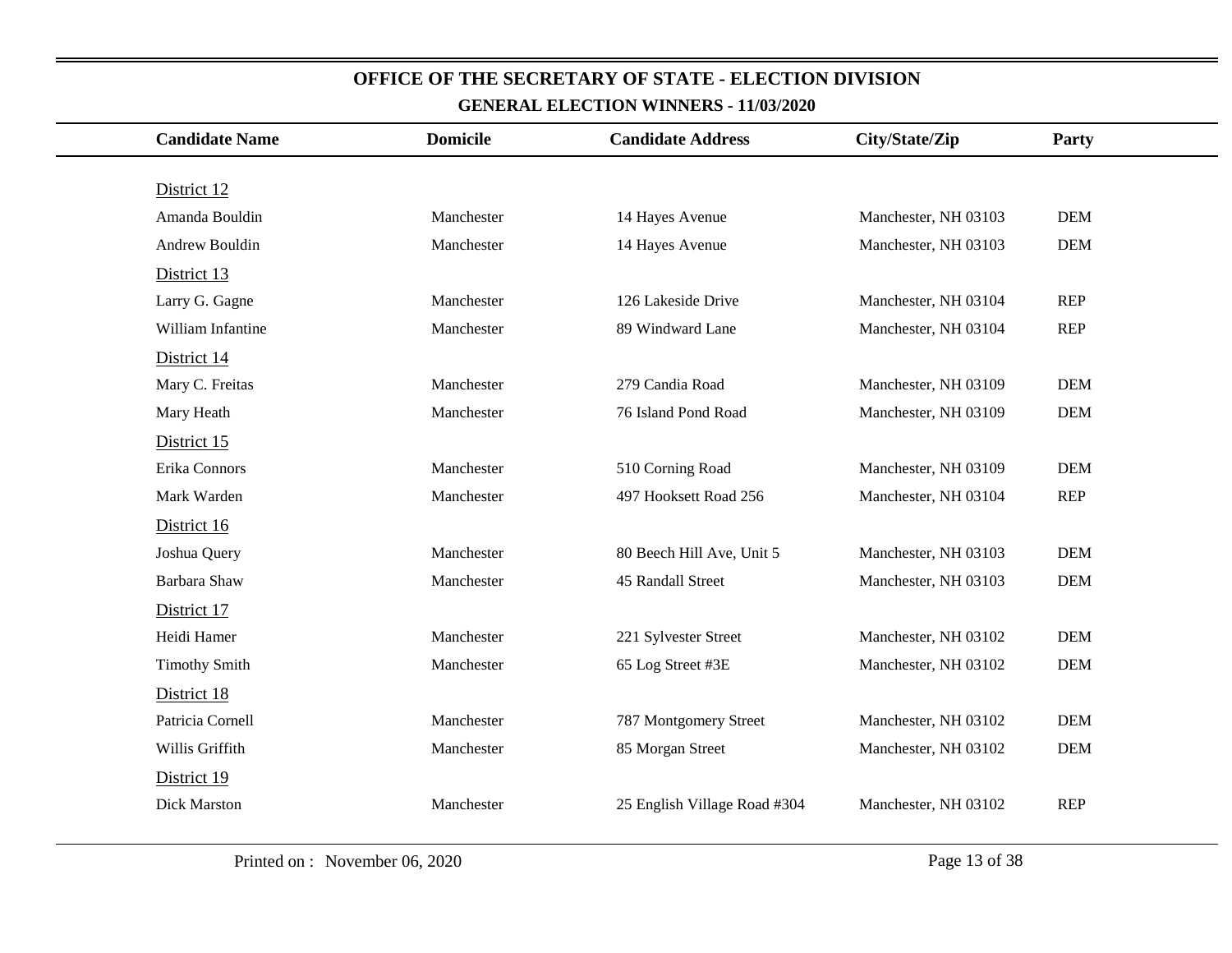| <b>Candidate Name</b> | <b>Domicile</b> | <b>Candidate Address</b>     | City/State/Zip       | Party      |
|-----------------------|-----------------|------------------------------|----------------------|------------|
|                       |                 |                              |                      |            |
| District 12           |                 |                              |                      |            |
| Amanda Bouldin        | Manchester      | 14 Hayes Avenue              | Manchester, NH 03103 | <b>DEM</b> |
| Andrew Bouldin        | Manchester      | 14 Hayes Avenue              | Manchester, NH 03103 | <b>DEM</b> |
| District 13           |                 |                              |                      |            |
| Larry G. Gagne        | Manchester      | 126 Lakeside Drive           | Manchester, NH 03104 | <b>REP</b> |
| William Infantine     | Manchester      | 89 Windward Lane             | Manchester, NH 03104 | <b>REP</b> |
| District 14           |                 |                              |                      |            |
| Mary C. Freitas       | Manchester      | 279 Candia Road              | Manchester, NH 03109 | <b>DEM</b> |
| Mary Heath            | Manchester      | 76 Island Pond Road          | Manchester, NH 03109 | <b>DEM</b> |
| District 15           |                 |                              |                      |            |
| Erika Connors         | Manchester      | 510 Corning Road             | Manchester, NH 03109 | <b>DEM</b> |
| Mark Warden           | Manchester      | 497 Hooksett Road 256        | Manchester, NH 03104 | <b>REP</b> |
| District 16           |                 |                              |                      |            |
| Joshua Query          | Manchester      | 80 Beech Hill Ave, Unit 5    | Manchester, NH 03103 | <b>DEM</b> |
| Barbara Shaw          | Manchester      | 45 Randall Street            | Manchester, NH 03103 | <b>DEM</b> |
| District 17           |                 |                              |                      |            |
| Heidi Hamer           | Manchester      | 221 Sylvester Street         | Manchester, NH 03102 | <b>DEM</b> |
| <b>Timothy Smith</b>  | Manchester      | 65 Log Street #3E            | Manchester, NH 03102 | <b>DEM</b> |
| District 18           |                 |                              |                      |            |
| Patricia Cornell      | Manchester      | 787 Montgomery Street        | Manchester, NH 03102 | <b>DEM</b> |
| Willis Griffith       | Manchester      | 85 Morgan Street             | Manchester, NH 03102 | <b>DEM</b> |
| District 19           |                 |                              |                      |            |
| Dick Marston          | Manchester      | 25 English Village Road #304 | Manchester, NH 03102 | <b>REP</b> |
|                       |                 |                              |                      |            |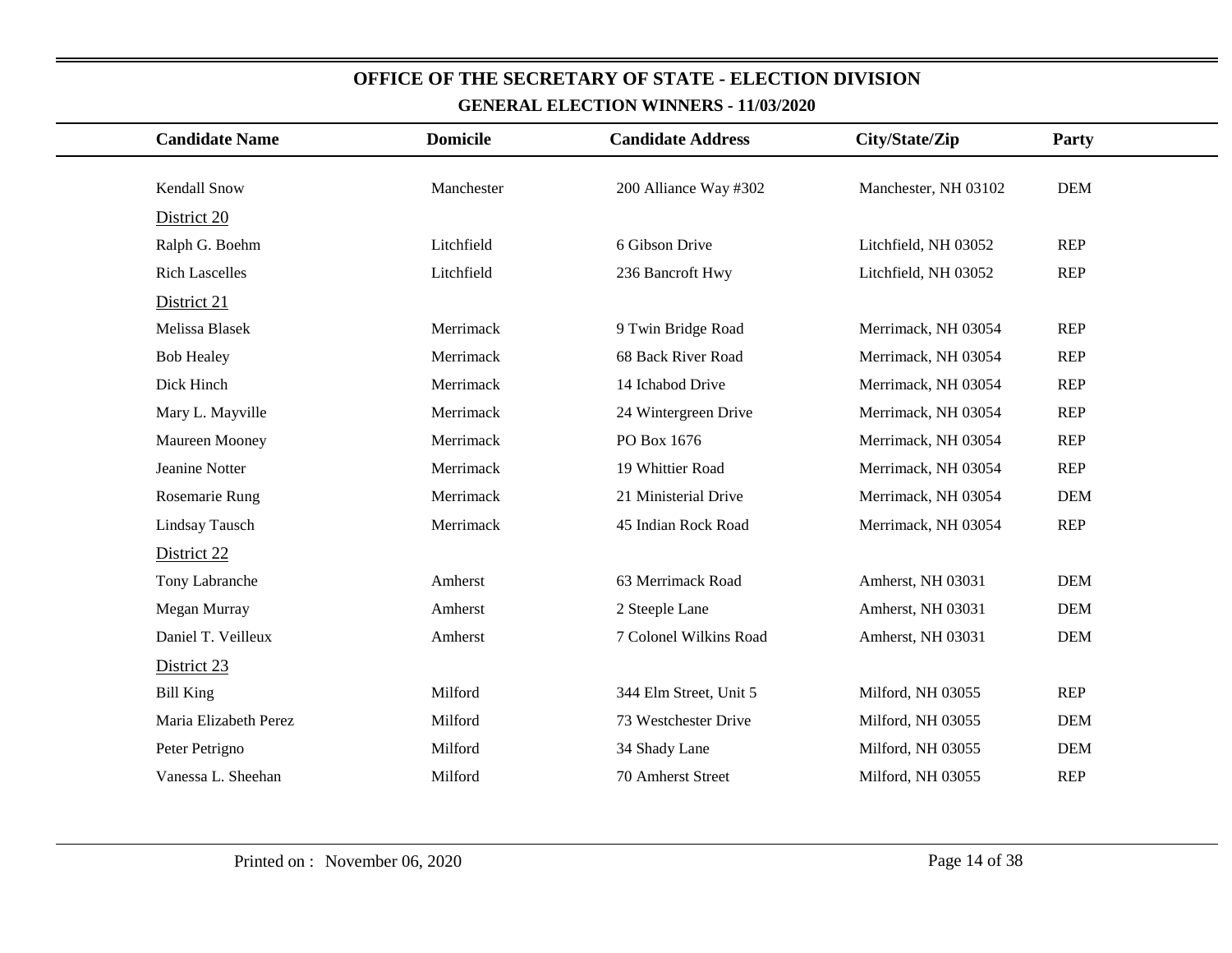| <b>Candidate Name</b> | <b>Domicile</b> | <b>Candidate Address</b> | City/State/Zip       | Party      |
|-----------------------|-----------------|--------------------------|----------------------|------------|
| <b>Kendall Snow</b>   | Manchester      | 200 Alliance Way #302    | Manchester, NH 03102 | <b>DEM</b> |
|                       |                 |                          |                      |            |
| District 20           |                 |                          |                      |            |
| Ralph G. Boehm        | Litchfield      | 6 Gibson Drive           | Litchfield, NH 03052 | <b>REP</b> |
| <b>Rich Lascelles</b> | Litchfield      | 236 Bancroft Hwy         | Litchfield, NH 03052 | <b>REP</b> |
| District 21           |                 |                          |                      |            |
| Melissa Blasek        | Merrimack       | 9 Twin Bridge Road       | Merrimack, NH 03054  | <b>REP</b> |
| <b>Bob Healey</b>     | Merrimack       | 68 Back River Road       | Merrimack, NH 03054  | <b>REP</b> |
| Dick Hinch            | Merrimack       | 14 Ichabod Drive         | Merrimack, NH 03054  | <b>REP</b> |
| Mary L. Mayville      | Merrimack       | 24 Wintergreen Drive     | Merrimack, NH 03054  | <b>REP</b> |
| Maureen Mooney        | Merrimack       | PO Box 1676              | Merrimack, NH 03054  | <b>REP</b> |
| Jeanine Notter        | Merrimack       | 19 Whittier Road         | Merrimack, NH 03054  | <b>REP</b> |
| Rosemarie Rung        | Merrimack       | 21 Ministerial Drive     | Merrimack, NH 03054  | <b>DEM</b> |
| Lindsay Tausch        | Merrimack       | 45 Indian Rock Road      | Merrimack, NH 03054  | <b>REP</b> |
| District 22           |                 |                          |                      |            |
| Tony Labranche        | Amherst         | 63 Merrimack Road        | Amherst, NH 03031    | <b>DEM</b> |
| Megan Murray          | Amherst         | 2 Steeple Lane           | Amherst, NH 03031    | <b>DEM</b> |
| Daniel T. Veilleux    | Amherst         | 7 Colonel Wilkins Road   | Amherst, NH 03031    | <b>DEM</b> |
| District 23           |                 |                          |                      |            |
| <b>Bill King</b>      | Milford         | 344 Elm Street, Unit 5   | Milford, NH 03055    | <b>REP</b> |
| Maria Elizabeth Perez | Milford         | 73 Westchester Drive     | Milford, NH 03055    | <b>DEM</b> |
| Peter Petrigno        | Milford         | 34 Shady Lane            | Milford, NH 03055    | <b>DEM</b> |
| Vanessa L. Sheehan    | Milford         | 70 Amherst Street        | Milford, NH 03055    | <b>REP</b> |
|                       |                 |                          |                      |            |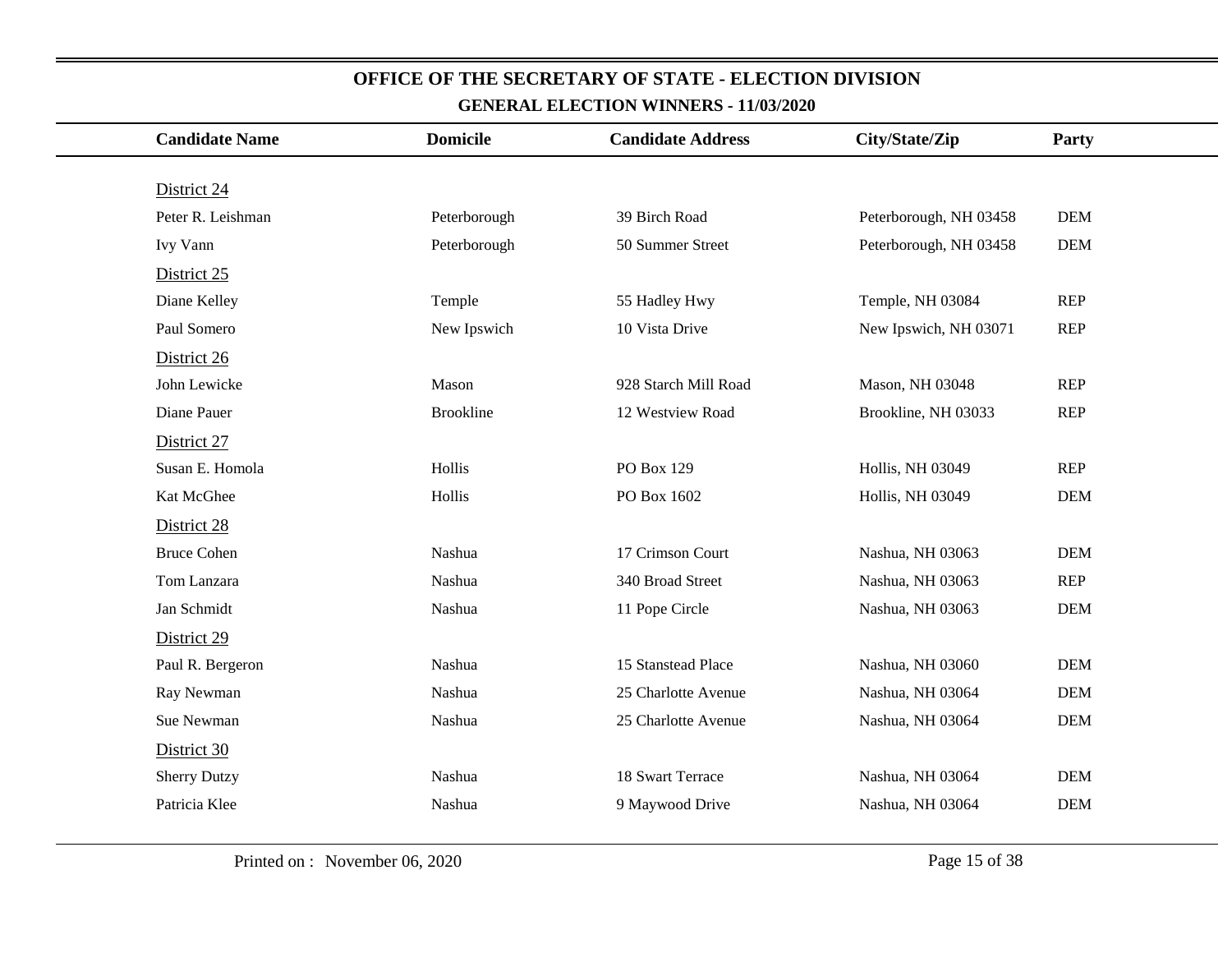| <b>Candidate Name</b> | <b>Domicile</b>  | <b>Candidate Address</b> | City/State/Zip         | Party      |
|-----------------------|------------------|--------------------------|------------------------|------------|
|                       |                  |                          |                        |            |
| District 24           |                  |                          |                        |            |
| Peter R. Leishman     | Peterborough     | 39 Birch Road            | Peterborough, NH 03458 | <b>DEM</b> |
| Ivy Vann              | Peterborough     | 50 Summer Street         | Peterborough, NH 03458 | <b>DEM</b> |
| District 25           |                  |                          |                        |            |
| Diane Kelley          | Temple           | 55 Hadley Hwy            | Temple, NH 03084       | <b>REP</b> |
| Paul Somero           | New Ipswich      | 10 Vista Drive           | New Ipswich, NH 03071  | <b>REP</b> |
| District 26           |                  |                          |                        |            |
| John Lewicke          | Mason            | 928 Starch Mill Road     | Mason, NH 03048        | <b>REP</b> |
| Diane Pauer           | <b>Brookline</b> | 12 Westview Road         | Brookline, NH 03033    | <b>REP</b> |
| District 27           |                  |                          |                        |            |
| Susan E. Homola       | Hollis           | PO Box 129               | Hollis, NH 03049       | <b>REP</b> |
| Kat McGhee            | Hollis           | PO Box 1602              | Hollis, NH 03049       | <b>DEM</b> |
| District 28           |                  |                          |                        |            |
| <b>Bruce Cohen</b>    | Nashua           | 17 Crimson Court         | Nashua, NH 03063       | <b>DEM</b> |
| Tom Lanzara           | Nashua           | 340 Broad Street         | Nashua, NH 03063       | <b>REP</b> |
| Jan Schmidt           | Nashua           | 11 Pope Circle           | Nashua, NH 03063       | <b>DEM</b> |
| District 29           |                  |                          |                        |            |
| Paul R. Bergeron      | Nashua           | 15 Stanstead Place       | Nashua, NH 03060       | <b>DEM</b> |
| Ray Newman            | Nashua           | 25 Charlotte Avenue      | Nashua, NH 03064       | <b>DEM</b> |
| Sue Newman            | Nashua           | 25 Charlotte Avenue      | Nashua, NH 03064       | <b>DEM</b> |
| District 30           |                  |                          |                        |            |
| <b>Sherry Dutzy</b>   | Nashua           | 18 Swart Terrace         | Nashua, NH 03064       | <b>DEM</b> |
| Patricia Klee         | Nashua           | 9 Maywood Drive          | Nashua, NH 03064       | <b>DEM</b> |
|                       |                  |                          |                        |            |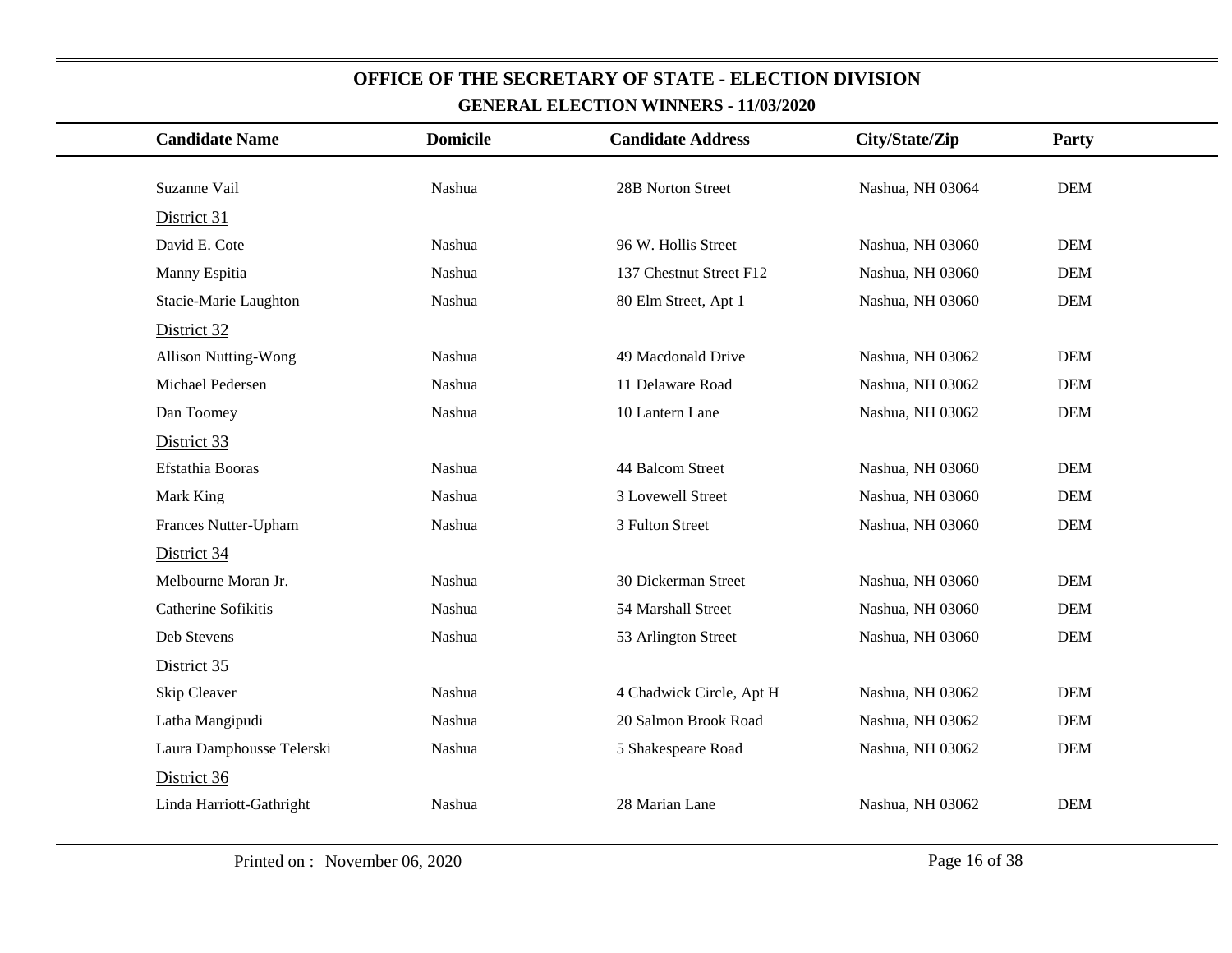| <b>Candidate Name</b>       | <b>Domicile</b> | <b>Candidate Address</b> | City/State/Zip   | Party      |
|-----------------------------|-----------------|--------------------------|------------------|------------|
|                             |                 |                          |                  |            |
| Suzanne Vail                | Nashua          | 28B Norton Street        | Nashua, NH 03064 | <b>DEM</b> |
| District 31                 |                 |                          |                  |            |
| David E. Cote               | Nashua          | 96 W. Hollis Street      | Nashua, NH 03060 | <b>DEM</b> |
| Manny Espitia               | Nashua          | 137 Chestnut Street F12  | Nashua, NH 03060 | <b>DEM</b> |
| Stacie-Marie Laughton       | Nashua          | 80 Elm Street, Apt 1     | Nashua, NH 03060 | <b>DEM</b> |
| District 32                 |                 |                          |                  |            |
| <b>Allison Nutting-Wong</b> | Nashua          | 49 Macdonald Drive       | Nashua, NH 03062 | <b>DEM</b> |
| Michael Pedersen            | Nashua          | 11 Delaware Road         | Nashua, NH 03062 | <b>DEM</b> |
| Dan Toomey                  | Nashua          | 10 Lantern Lane          | Nashua, NH 03062 | <b>DEM</b> |
| District 33                 |                 |                          |                  |            |
| Efstathia Booras            | Nashua          | 44 Balcom Street         | Nashua, NH 03060 | <b>DEM</b> |
| Mark King                   | Nashua          | 3 Lovewell Street        | Nashua, NH 03060 | <b>DEM</b> |
| Frances Nutter-Upham        | Nashua          | 3 Fulton Street          | Nashua, NH 03060 | <b>DEM</b> |
| District 34                 |                 |                          |                  |            |
| Melbourne Moran Jr.         | Nashua          | 30 Dickerman Street      | Nashua, NH 03060 | <b>DEM</b> |
| Catherine Sofikitis         | Nashua          | 54 Marshall Street       | Nashua, NH 03060 | <b>DEM</b> |
| Deb Stevens                 | Nashua          | 53 Arlington Street      | Nashua, NH 03060 | <b>DEM</b> |
| District 35                 |                 |                          |                  |            |
| Skip Cleaver                | Nashua          | 4 Chadwick Circle, Apt H | Nashua, NH 03062 | <b>DEM</b> |
| Latha Mangipudi             | Nashua          | 20 Salmon Brook Road     | Nashua, NH 03062 | <b>DEM</b> |
| Laura Damphousse Telerski   | Nashua          | 5 Shakespeare Road       | Nashua, NH 03062 | DEM        |
| District 36                 |                 |                          |                  |            |
| Linda Harriott-Gathright    | Nashua          | 28 Marian Lane           | Nashua, NH 03062 | <b>DEM</b> |
|                             |                 |                          |                  |            |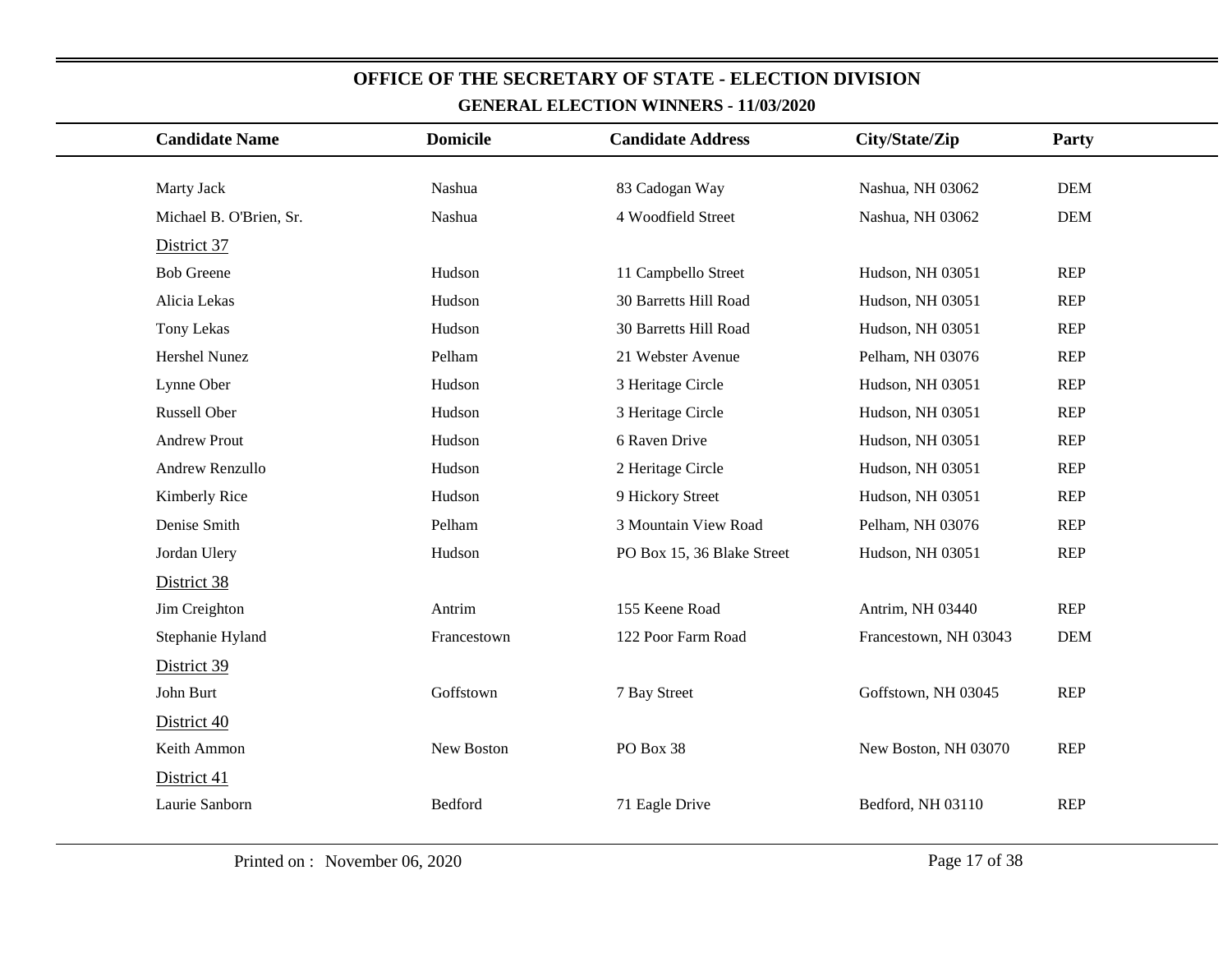| <b>Candidate Name</b>   | <b>Domicile</b> | <b>Candidate Address</b>   | City/State/Zip        | Party      |
|-------------------------|-----------------|----------------------------|-----------------------|------------|
| Marty Jack              | Nashua          |                            | Nashua, NH 03062      | <b>DEM</b> |
|                         |                 | 83 Cadogan Way             |                       |            |
| Michael B. O'Brien, Sr. | Nashua          | 4 Woodfield Street         | Nashua, NH 03062      | <b>DEM</b> |
| District 37             |                 |                            |                       |            |
| <b>Bob Greene</b>       | Hudson          | 11 Campbello Street        | Hudson, NH 03051      | <b>REP</b> |
| Alicia Lekas            | Hudson          | 30 Barretts Hill Road      | Hudson, NH 03051      | <b>REP</b> |
| Tony Lekas              | Hudson          | 30 Barretts Hill Road      | Hudson, NH 03051      | <b>REP</b> |
| Hershel Nunez           | Pelham          | 21 Webster Avenue          | Pelham, NH 03076      | <b>REP</b> |
| Lynne Ober              | Hudson          | 3 Heritage Circle          | Hudson, NH 03051      | <b>REP</b> |
| Russell Ober            | Hudson          | 3 Heritage Circle          | Hudson, NH 03051      | <b>REP</b> |
| <b>Andrew Prout</b>     | Hudson          | 6 Raven Drive              | Hudson, NH 03051      | <b>REP</b> |
| Andrew Renzullo         | Hudson          | 2 Heritage Circle          | Hudson, NH 03051      | <b>REP</b> |
| Kimberly Rice           | Hudson          | 9 Hickory Street           | Hudson, NH 03051      | REP        |
| Denise Smith            | Pelham          | 3 Mountain View Road       | Pelham, NH 03076      | <b>REP</b> |
| Jordan Ulery            | Hudson          | PO Box 15, 36 Blake Street | Hudson, NH 03051      | <b>REP</b> |
| District 38             |                 |                            |                       |            |
| Jim Creighton           | Antrim          | 155 Keene Road             | Antrim, NH 03440      | <b>REP</b> |
| Stephanie Hyland        | Francestown     | 122 Poor Farm Road         | Francestown, NH 03043 | <b>DEM</b> |
| District 39             |                 |                            |                       |            |
| John Burt               | Goffstown       | 7 Bay Street               | Goffstown, NH 03045   | REP        |
| District 40             |                 |                            |                       |            |
| Keith Ammon             | New Boston      | PO Box 38                  | New Boston, NH 03070  | REP        |
| District 41             |                 |                            |                       |            |
| Laurie Sanborn          | Bedford         | 71 Eagle Drive             | Bedford, NH 03110     | <b>REP</b> |
|                         |                 |                            |                       |            |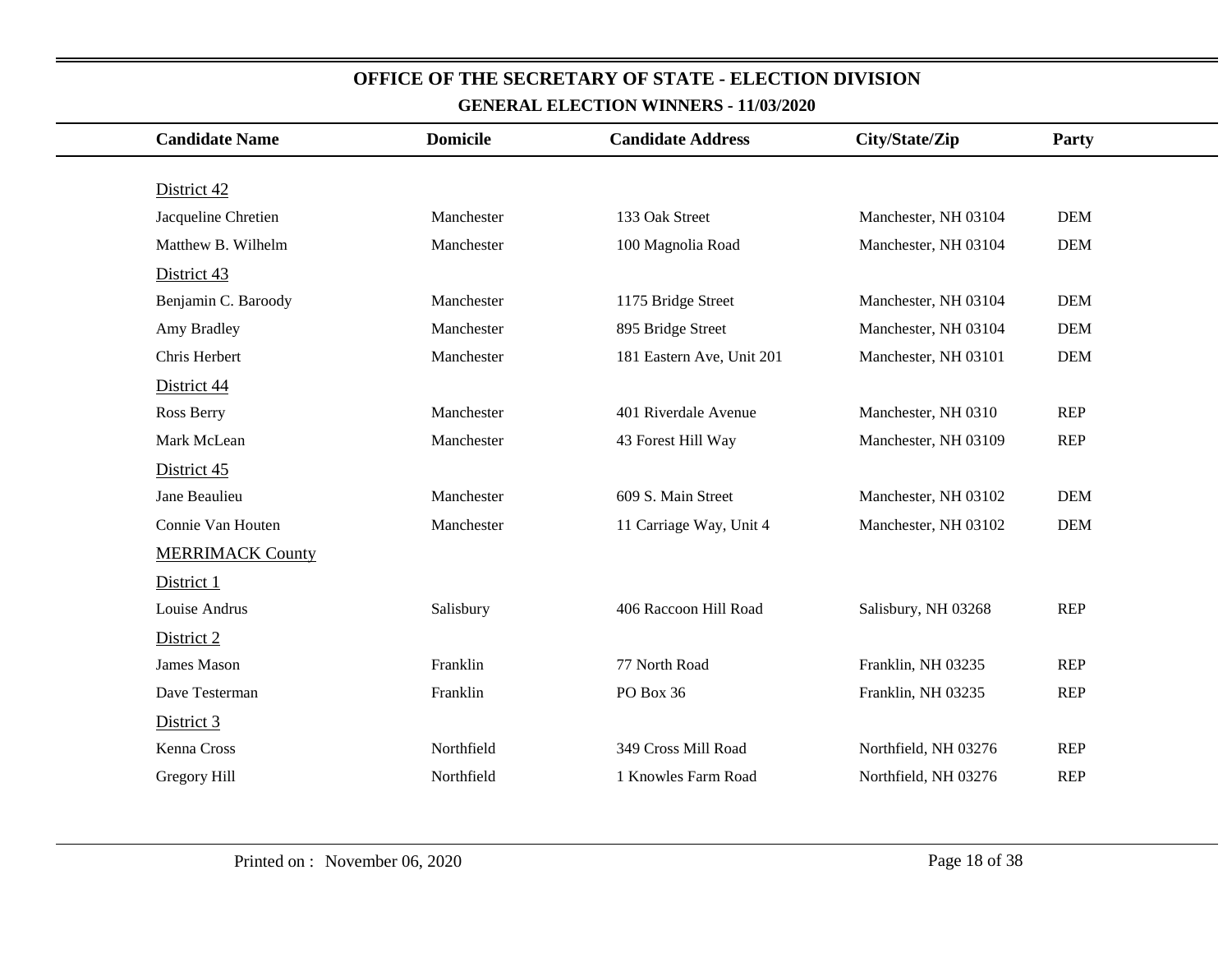| <b>Candidate Name</b>   | <b>Domicile</b> | <b>Candidate Address</b>  | City/State/Zip       | Party      |
|-------------------------|-----------------|---------------------------|----------------------|------------|
|                         |                 |                           |                      |            |
| District 42             |                 |                           |                      |            |
| Jacqueline Chretien     | Manchester      | 133 Oak Street            | Manchester, NH 03104 | <b>DEM</b> |
| Matthew B. Wilhelm      | Manchester      | 100 Magnolia Road         | Manchester, NH 03104 | <b>DEM</b> |
| District 43             |                 |                           |                      |            |
| Benjamin C. Baroody     | Manchester      | 1175 Bridge Street        | Manchester, NH 03104 | <b>DEM</b> |
| Amy Bradley             | Manchester      | 895 Bridge Street         | Manchester, NH 03104 | <b>DEM</b> |
| Chris Herbert           | Manchester      | 181 Eastern Ave, Unit 201 | Manchester, NH 03101 | <b>DEM</b> |
| District 44             |                 |                           |                      |            |
| Ross Berry              | Manchester      | 401 Riverdale Avenue      | Manchester, NH 0310  | <b>REP</b> |
| Mark McLean             | Manchester      | 43 Forest Hill Way        | Manchester, NH 03109 | <b>REP</b> |
| District 45             |                 |                           |                      |            |
| Jane Beaulieu           | Manchester      | 609 S. Main Street        | Manchester, NH 03102 | <b>DEM</b> |
| Connie Van Houten       | Manchester      | 11 Carriage Way, Unit 4   | Manchester, NH 03102 | <b>DEM</b> |
| <b>MERRIMACK County</b> |                 |                           |                      |            |
| District 1              |                 |                           |                      |            |
| Louise Andrus           | Salisbury       | 406 Raccoon Hill Road     | Salisbury, NH 03268  | <b>REP</b> |
| District 2              |                 |                           |                      |            |
| James Mason             | Franklin        | 77 North Road             | Franklin, NH 03235   | <b>REP</b> |
| Dave Testerman          | Franklin        | PO Box 36                 | Franklin, NH 03235   | <b>REP</b> |
| District 3              |                 |                           |                      |            |
| Kenna Cross             | Northfield      | 349 Cross Mill Road       | Northfield, NH 03276 | <b>REP</b> |
| Gregory Hill            | Northfield      | 1 Knowles Farm Road       | Northfield, NH 03276 | <b>REP</b> |
|                         |                 |                           |                      |            |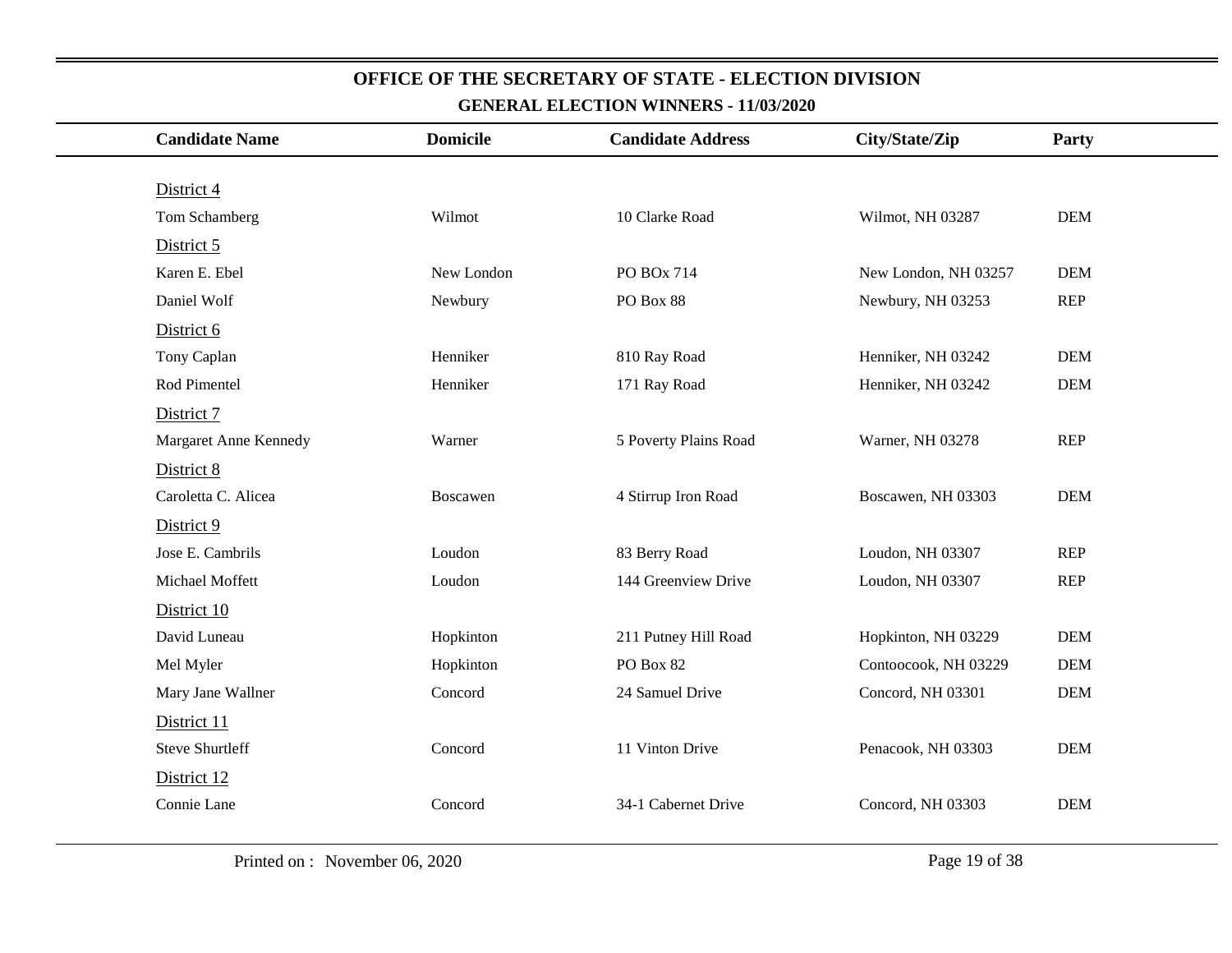| <b>Candidate Name</b>  | <b>Domicile</b> | <b>Candidate Address</b> | City/State/Zip       | Party      |
|------------------------|-----------------|--------------------------|----------------------|------------|
|                        |                 |                          |                      |            |
| District 4             |                 |                          |                      |            |
| Tom Schamberg          | Wilmot          | 10 Clarke Road           | Wilmot, NH 03287     | <b>DEM</b> |
| District 5             |                 |                          |                      |            |
| Karen E. Ebel          | New London      | PO BOx 714               | New London, NH 03257 | <b>DEM</b> |
| Daniel Wolf            | Newbury         | PO Box 88                | Newbury, NH 03253    | <b>REP</b> |
| District 6             |                 |                          |                      |            |
| Tony Caplan            | Henniker        | 810 Ray Road             | Henniker, NH 03242   | <b>DEM</b> |
| Rod Pimentel           | Henniker        | 171 Ray Road             | Henniker, NH 03242   | <b>DEM</b> |
| District 7             |                 |                          |                      |            |
| Margaret Anne Kennedy  | Warner          | 5 Poverty Plains Road    | Warner, NH 03278     | <b>REP</b> |
| District 8             |                 |                          |                      |            |
| Caroletta C. Alicea    | Boscawen        | 4 Stirrup Iron Road      | Boscawen, NH 03303   | <b>DEM</b> |
| District 9             |                 |                          |                      |            |
| Jose E. Cambrils       | Loudon          | 83 Berry Road            | Loudon, NH 03307     | <b>REP</b> |
| Michael Moffett        | Loudon          | 144 Greenview Drive      | Loudon, NH 03307     | <b>REP</b> |
| District 10            |                 |                          |                      |            |
| David Luneau           | Hopkinton       | 211 Putney Hill Road     | Hopkinton, NH 03229  | <b>DEM</b> |
| Mel Myler              | Hopkinton       | PO Box 82                | Contoocook, NH 03229 | <b>DEM</b> |
| Mary Jane Wallner      | Concord         | 24 Samuel Drive          | Concord, NH 03301    | <b>DEM</b> |
| District 11            |                 |                          |                      |            |
| <b>Steve Shurtleff</b> | Concord         | 11 Vinton Drive          | Penacook, NH 03303   | <b>DEM</b> |
| District 12            |                 |                          |                      |            |
| Connie Lane            | Concord         | 34-1 Cabernet Drive      | Concord, NH 03303    | <b>DEM</b> |
|                        |                 |                          |                      |            |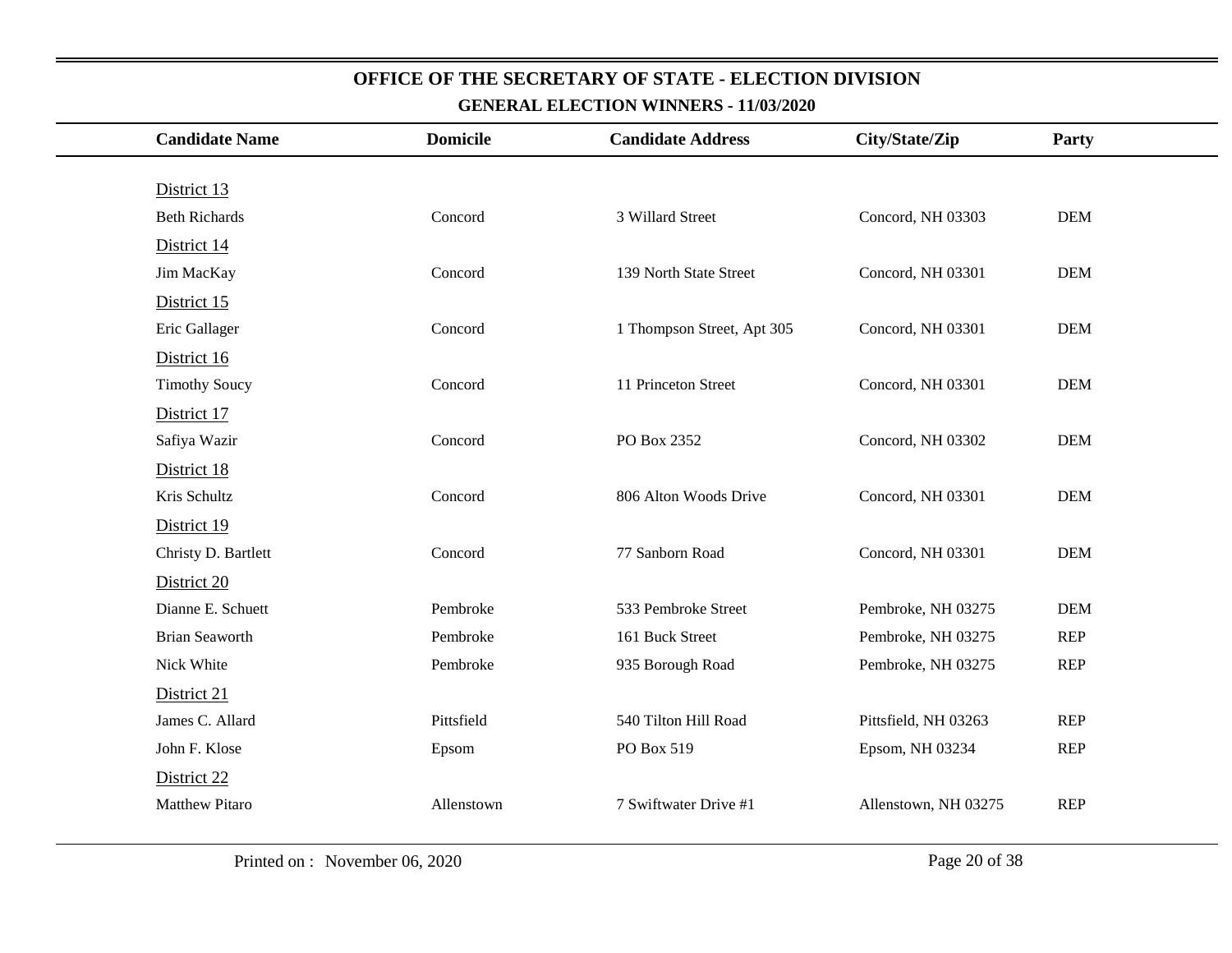| <b>Candidate Name</b> | <b>Domicile</b> | <b>Candidate Address</b>   | City/State/Zip       | Party      |
|-----------------------|-----------------|----------------------------|----------------------|------------|
|                       |                 |                            |                      |            |
| District 13           |                 |                            |                      |            |
| <b>Beth Richards</b>  | Concord         | 3 Willard Street           | Concord, NH 03303    | <b>DEM</b> |
| District 14           |                 |                            |                      |            |
| Jim MacKay            | Concord         | 139 North State Street     | Concord, NH 03301    | <b>DEM</b> |
| District 15           |                 |                            |                      |            |
| Eric Gallager         | Concord         | 1 Thompson Street, Apt 305 | Concord, NH 03301    | <b>DEM</b> |
| District 16           |                 |                            |                      |            |
| <b>Timothy Soucy</b>  | Concord         | 11 Princeton Street        | Concord, NH 03301    | <b>DEM</b> |
| District 17           |                 |                            |                      |            |
| Safiya Wazir          | Concord         | PO Box 2352                | Concord, NH 03302    | <b>DEM</b> |
| District 18           |                 |                            |                      |            |
| Kris Schultz          | Concord         | 806 Alton Woods Drive      | Concord, NH 03301    | <b>DEM</b> |
| District 19           |                 |                            |                      |            |
| Christy D. Bartlett   | Concord         | 77 Sanborn Road            | Concord, NH 03301    | <b>DEM</b> |
| District 20           |                 |                            |                      |            |
| Dianne E. Schuett     | Pembroke        | 533 Pembroke Street        | Pembroke, NH 03275   | <b>DEM</b> |
| <b>Brian Seaworth</b> | Pembroke        | 161 Buck Street            | Pembroke, NH 03275   | <b>REP</b> |
| Nick White            | Pembroke        | 935 Borough Road           | Pembroke, NH 03275   | <b>REP</b> |
| District 21           |                 |                            |                      |            |
| James C. Allard       | Pittsfield      | 540 Tilton Hill Road       | Pittsfield, NH 03263 | REP        |
| John F. Klose         | Epsom           | PO Box 519                 | Epsom, NH 03234      | REP        |
| District 22           |                 |                            |                      |            |
| <b>Matthew Pitaro</b> | Allenstown      | 7 Swiftwater Drive #1      | Allenstown, NH 03275 | <b>REP</b> |
|                       |                 |                            |                      |            |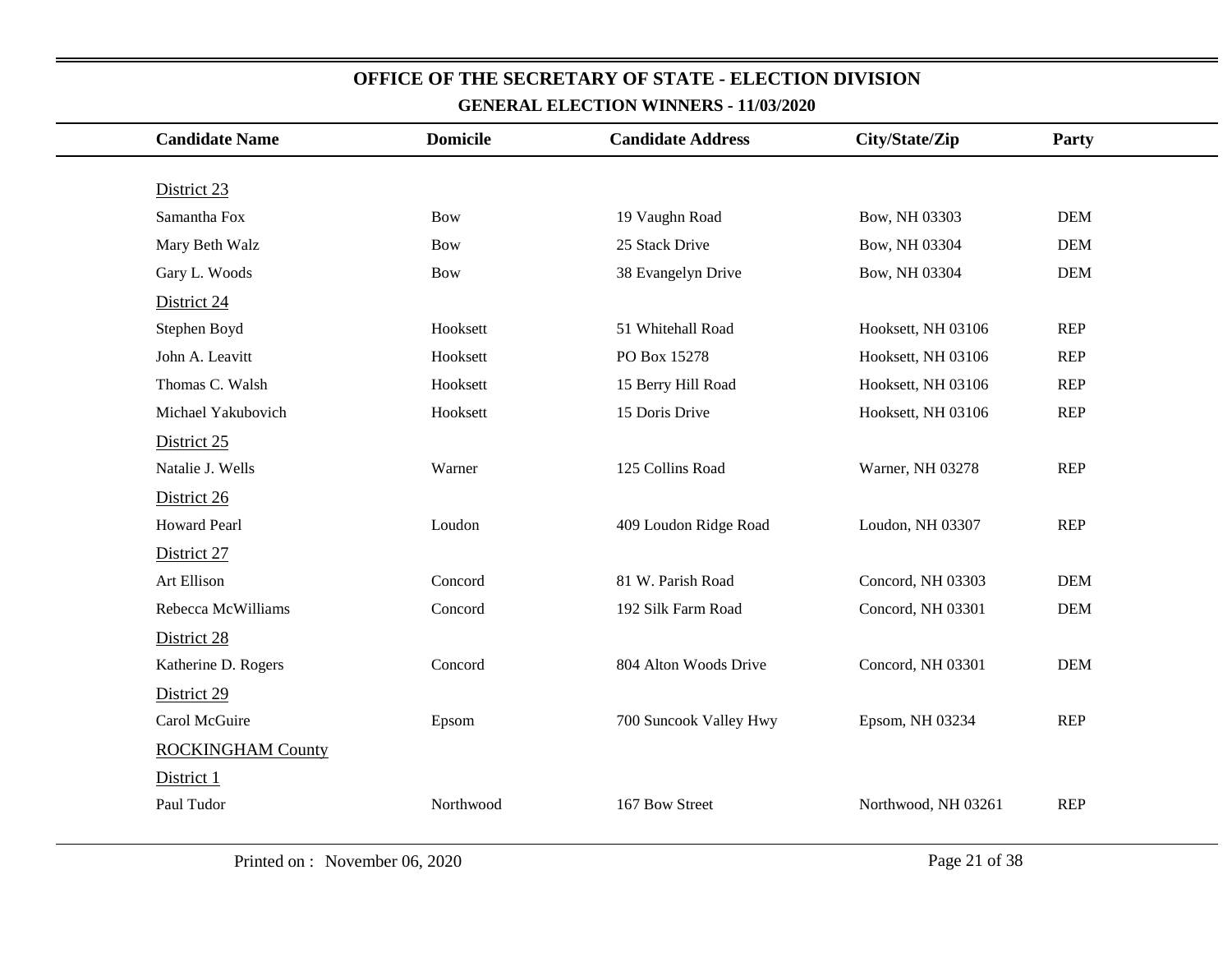| <b>Candidate Name</b>    | <b>Domicile</b> | <b>Candidate Address</b> | City/State/Zip      | Party      |
|--------------------------|-----------------|--------------------------|---------------------|------------|
|                          |                 |                          |                     |            |
| District 23              |                 |                          |                     |            |
| Samantha Fox             | <b>Bow</b>      | 19 Vaughn Road           | Bow, NH 03303       | <b>DEM</b> |
| Mary Beth Walz           | <b>Bow</b>      | 25 Stack Drive           | Bow, NH 03304       | <b>DEM</b> |
| Gary L. Woods            | <b>Bow</b>      | 38 Evangelyn Drive       | Bow, NH 03304       | <b>DEM</b> |
| District 24              |                 |                          |                     |            |
| Stephen Boyd             | Hooksett        | 51 Whitehall Road        | Hooksett, NH 03106  | <b>REP</b> |
| John A. Leavitt          | Hooksett        | PO Box 15278             | Hooksett, NH 03106  | <b>REP</b> |
| Thomas C. Walsh          | Hooksett        | 15 Berry Hill Road       | Hooksett, NH 03106  | <b>REP</b> |
| Michael Yakubovich       | Hooksett        | 15 Doris Drive           | Hooksett, NH 03106  | <b>REP</b> |
| District 25              |                 |                          |                     |            |
| Natalie J. Wells         | Warner          | 125 Collins Road         | Warner, NH 03278    | <b>REP</b> |
| District 26              |                 |                          |                     |            |
| <b>Howard Pearl</b>      | Loudon          | 409 Loudon Ridge Road    | Loudon, NH 03307    | <b>REP</b> |
| District 27              |                 |                          |                     |            |
| Art Ellison              | Concord         | 81 W. Parish Road        | Concord, NH 03303   | <b>DEM</b> |
| Rebecca McWilliams       | Concord         | 192 Silk Farm Road       | Concord, NH 03301   | <b>DEM</b> |
| District 28              |                 |                          |                     |            |
| Katherine D. Rogers      | Concord         | 804 Alton Woods Drive    | Concord, NH 03301   | <b>DEM</b> |
| District 29              |                 |                          |                     |            |
| Carol McGuire            | Epsom           | 700 Suncook Valley Hwy   | Epsom, NH 03234     | <b>REP</b> |
| <b>ROCKINGHAM County</b> |                 |                          |                     |            |
| District 1               |                 |                          |                     |            |
| Paul Tudor               | Northwood       | 167 Bow Street           | Northwood, NH 03261 | <b>REP</b> |
|                          |                 |                          |                     |            |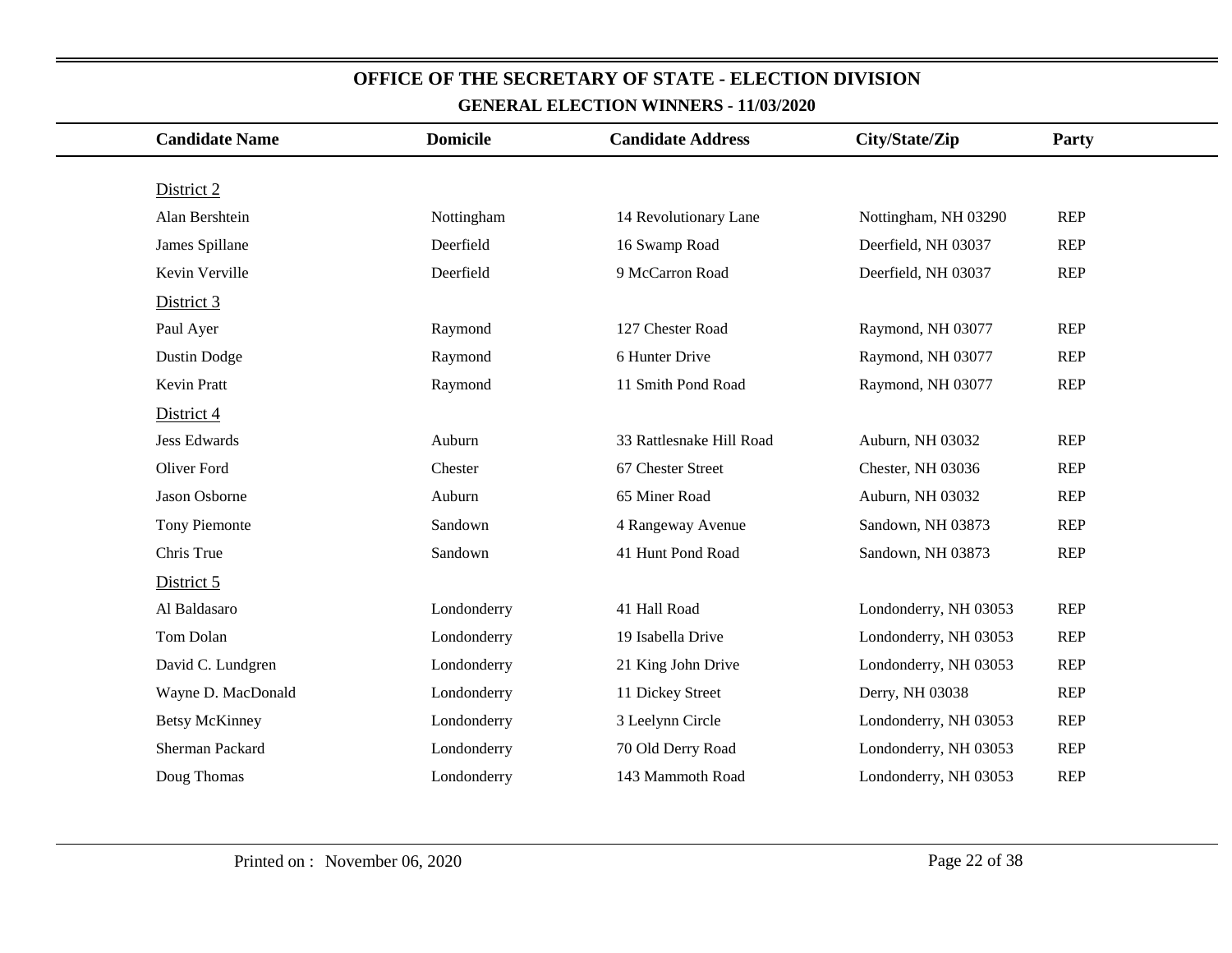| <b>Candidate Name</b> | <b>Domicile</b> | <b>Candidate Address</b> | City/State/Zip        | Party      |
|-----------------------|-----------------|--------------------------|-----------------------|------------|
|                       |                 |                          |                       |            |
| District 2            |                 |                          |                       |            |
| Alan Bershtein        | Nottingham      | 14 Revolutionary Lane    | Nottingham, NH 03290  | <b>REP</b> |
| James Spillane        | Deerfield       | 16 Swamp Road            | Deerfield, NH 03037   | <b>REP</b> |
| Kevin Verville        | Deerfield       | 9 McCarron Road          | Deerfield, NH 03037   | <b>REP</b> |
| District 3            |                 |                          |                       |            |
| Paul Ayer             | Raymond         | 127 Chester Road         | Raymond, NH 03077     | <b>REP</b> |
| Dustin Dodge          | Raymond         | 6 Hunter Drive           | Raymond, NH 03077     | <b>REP</b> |
| Kevin Pratt           | Raymond         | 11 Smith Pond Road       | Raymond, NH 03077     | <b>REP</b> |
| District 4            |                 |                          |                       |            |
| <b>Jess Edwards</b>   | Auburn          | 33 Rattlesnake Hill Road | Auburn, NH 03032      | <b>REP</b> |
| Oliver Ford           | Chester         | 67 Chester Street        | Chester, NH 03036     | <b>REP</b> |
| Jason Osborne         | Auburn          | 65 Miner Road            | Auburn, NH 03032      | <b>REP</b> |
| <b>Tony Piemonte</b>  | Sandown         | 4 Rangeway Avenue        | Sandown, NH 03873     | <b>REP</b> |
| Chris True            | Sandown         | 41 Hunt Pond Road        | Sandown, NH 03873     | <b>REP</b> |
| District 5            |                 |                          |                       |            |
| Al Baldasaro          | Londonderry     | 41 Hall Road             | Londonderry, NH 03053 | <b>REP</b> |
| Tom Dolan             | Londonderry     | 19 Isabella Drive        | Londonderry, NH 03053 | <b>REP</b> |
| David C. Lundgren     | Londonderry     | 21 King John Drive       | Londonderry, NH 03053 | <b>REP</b> |
| Wayne D. MacDonald    | Londonderry     | 11 Dickey Street         | Derry, NH 03038       | <b>REP</b> |
| <b>Betsy McKinney</b> | Londonderry     | 3 Leelynn Circle         | Londonderry, NH 03053 | <b>REP</b> |
| Sherman Packard       | Londonderry     | 70 Old Derry Road        | Londonderry, NH 03053 | <b>REP</b> |
| Doug Thomas           | Londonderry     | 143 Mammoth Road         | Londonderry, NH 03053 | <b>REP</b> |
|                       |                 |                          |                       |            |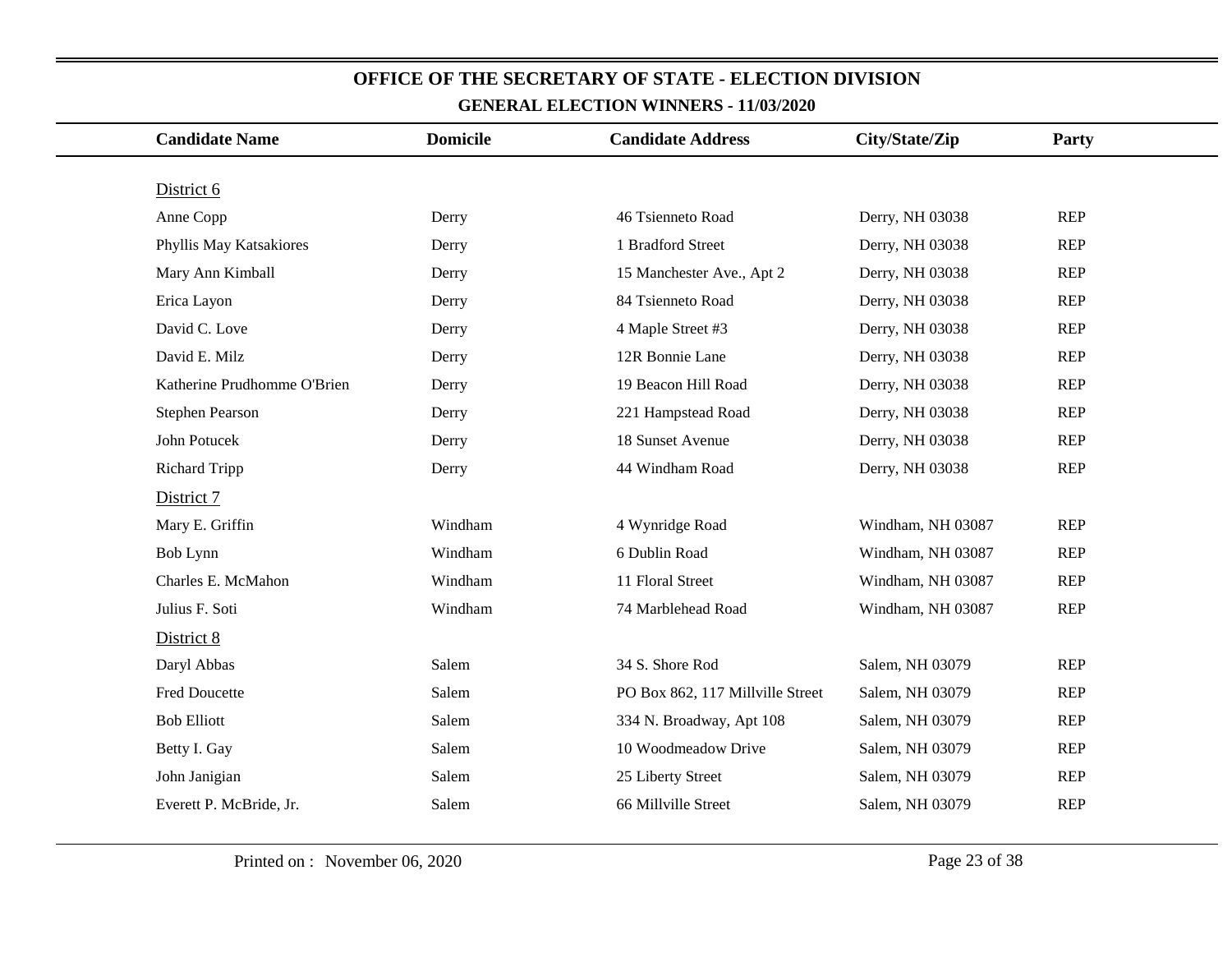| <b>Candidate Name</b>       | <b>Domicile</b> | <b>Candidate Address</b>         | City/State/Zip    | Party      |  |
|-----------------------------|-----------------|----------------------------------|-------------------|------------|--|
| District 6                  |                 |                                  |                   |            |  |
| Anne Copp                   | Derry           | 46 Tsienneto Road                | Derry, NH 03038   | <b>REP</b> |  |
| Phyllis May Katsakiores     | Derry           | 1 Bradford Street                | Derry, NH 03038   | <b>REP</b> |  |
| Mary Ann Kimball            | Derry           | 15 Manchester Ave., Apt 2        | Derry, NH 03038   | <b>REP</b> |  |
| Erica Layon                 | Derry           | 84 Tsienneto Road                | Derry, NH 03038   | <b>REP</b> |  |
| David C. Love               | Derry           | 4 Maple Street #3                | Derry, NH 03038   | <b>REP</b> |  |
| David E. Milz               | Derry           | 12R Bonnie Lane                  | Derry, NH 03038   | <b>REP</b> |  |
| Katherine Prudhomme O'Brien | Derry           | 19 Beacon Hill Road              | Derry, NH 03038   | <b>REP</b> |  |
| Stephen Pearson             | Derry           | 221 Hampstead Road               | Derry, NH 03038   | <b>REP</b> |  |
| John Potucek                | Derry           | 18 Sunset Avenue                 | Derry, NH 03038   | <b>REP</b> |  |
| <b>Richard Tripp</b>        | Derry           | 44 Windham Road                  | Derry, NH 03038   | <b>REP</b> |  |
| District 7                  |                 |                                  |                   |            |  |
| Mary E. Griffin             | Windham         | 4 Wynridge Road                  | Windham, NH 03087 | <b>REP</b> |  |
| Bob Lynn                    | Windham         | 6 Dublin Road                    | Windham, NH 03087 | <b>REP</b> |  |
| Charles E. McMahon          | Windham         | 11 Floral Street                 | Windham, NH 03087 | <b>REP</b> |  |
| Julius F. Soti              | Windham         | 74 Marblehead Road               | Windham, NH 03087 | <b>REP</b> |  |
| District 8                  |                 |                                  |                   |            |  |
| Daryl Abbas                 | Salem           | 34 S. Shore Rod                  | Salem, NH 03079   | <b>REP</b> |  |
| Fred Doucette               | Salem           | PO Box 862, 117 Millville Street | Salem, NH 03079   | <b>REP</b> |  |
| <b>Bob Elliott</b>          | Salem           | 334 N. Broadway, Apt 108         | Salem, NH 03079   | <b>REP</b> |  |
| Betty I. Gay                | Salem           | 10 Woodmeadow Drive              | Salem, NH 03079   | <b>REP</b> |  |
| John Janigian               | Salem           | 25 Liberty Street                | Salem, NH 03079   | <b>REP</b> |  |
| Everett P. McBride, Jr.     | Salem           | 66 Millville Street              | Salem, NH 03079   | <b>REP</b> |  |
|                             |                 |                                  |                   |            |  |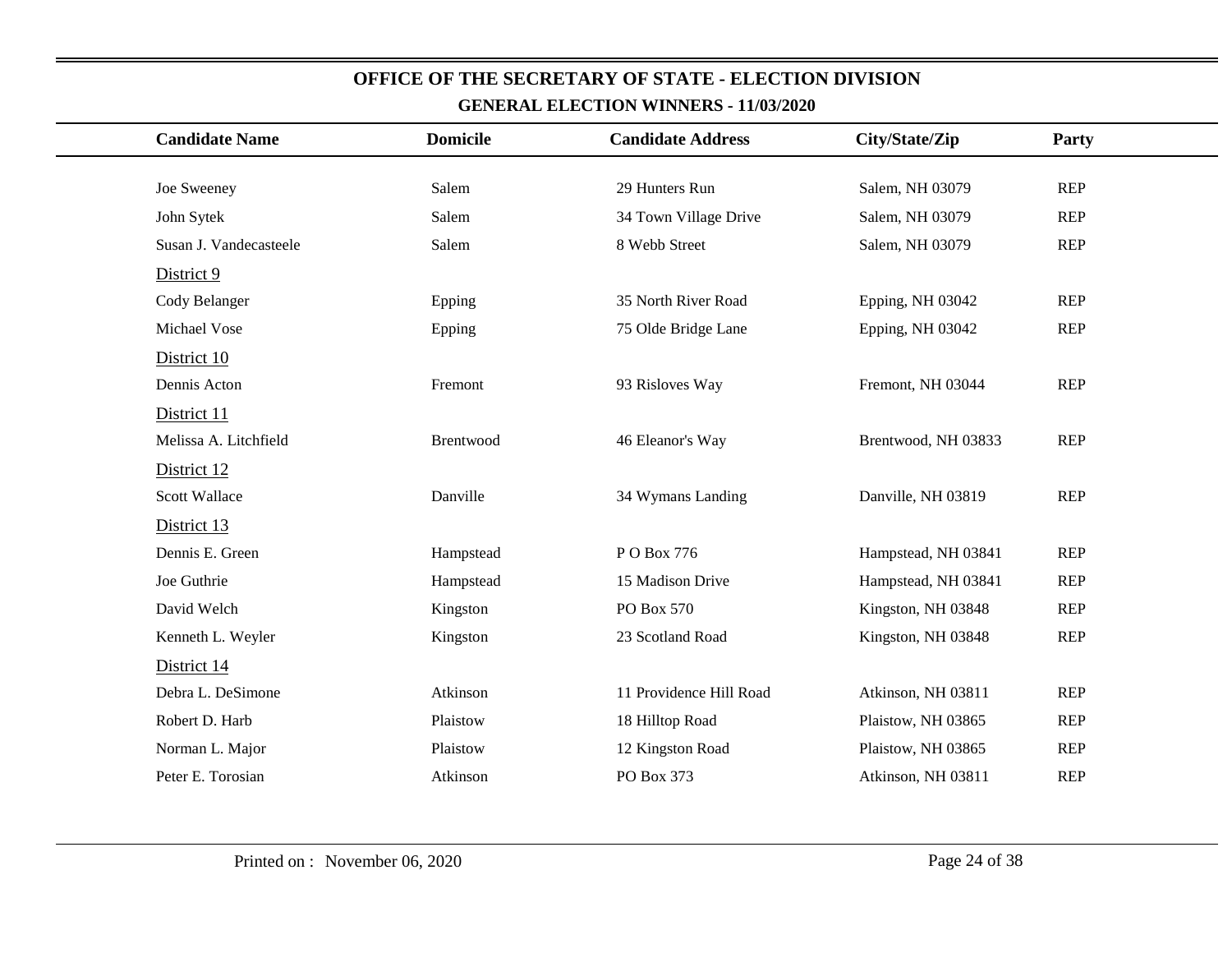| <b>Candidate Name</b>  | <b>Domicile</b> | <b>Candidate Address</b> | City/State/Zip      | Party      |
|------------------------|-----------------|--------------------------|---------------------|------------|
|                        |                 |                          |                     |            |
| Joe Sweeney            | Salem           | 29 Hunters Run           | Salem, NH 03079     | <b>REP</b> |
| John Sytek             | Salem           | 34 Town Village Drive    | Salem, NH 03079     | <b>REP</b> |
| Susan J. Vandecasteele | Salem           | 8 Webb Street            | Salem, NH 03079     | <b>REP</b> |
| District 9             |                 |                          |                     |            |
| Cody Belanger          | Epping          | 35 North River Road      | Epping, NH 03042    | <b>REP</b> |
| Michael Vose           | Epping          | 75 Olde Bridge Lane      | Epping, NH 03042    | <b>REP</b> |
| District 10            |                 |                          |                     |            |
| Dennis Acton           | Fremont         | 93 Risloves Way          | Fremont, NH 03044   | <b>REP</b> |
| District 11            |                 |                          |                     |            |
| Melissa A. Litchfield  | Brentwood       | 46 Eleanor's Way         | Brentwood, NH 03833 | <b>REP</b> |
| District 12            |                 |                          |                     |            |
| <b>Scott Wallace</b>   | Danville        | 34 Wymans Landing        | Danville, NH 03819  | <b>REP</b> |
| District 13            |                 |                          |                     |            |
| Dennis E. Green        | Hampstead       | PO Box 776               | Hampstead, NH 03841 | <b>REP</b> |
| Joe Guthrie            | Hampstead       | 15 Madison Drive         | Hampstead, NH 03841 | <b>REP</b> |
| David Welch            | Kingston        | PO Box 570               | Kingston, NH 03848  | <b>REP</b> |
| Kenneth L. Weyler      | Kingston        | 23 Scotland Road         | Kingston, NH 03848  | <b>REP</b> |
| District 14            |                 |                          |                     |            |
| Debra L. DeSimone      | Atkinson        | 11 Providence Hill Road  | Atkinson, NH 03811  | <b>REP</b> |
| Robert D. Harb         | Plaistow        | 18 Hilltop Road          | Plaistow, NH 03865  | <b>REP</b> |
| Norman L. Major        | Plaistow        | 12 Kingston Road         | Plaistow, NH 03865  | <b>REP</b> |
| Peter E. Torosian      | Atkinson        | PO Box 373               | Atkinson, NH 03811  | <b>REP</b> |
|                        |                 |                          |                     |            |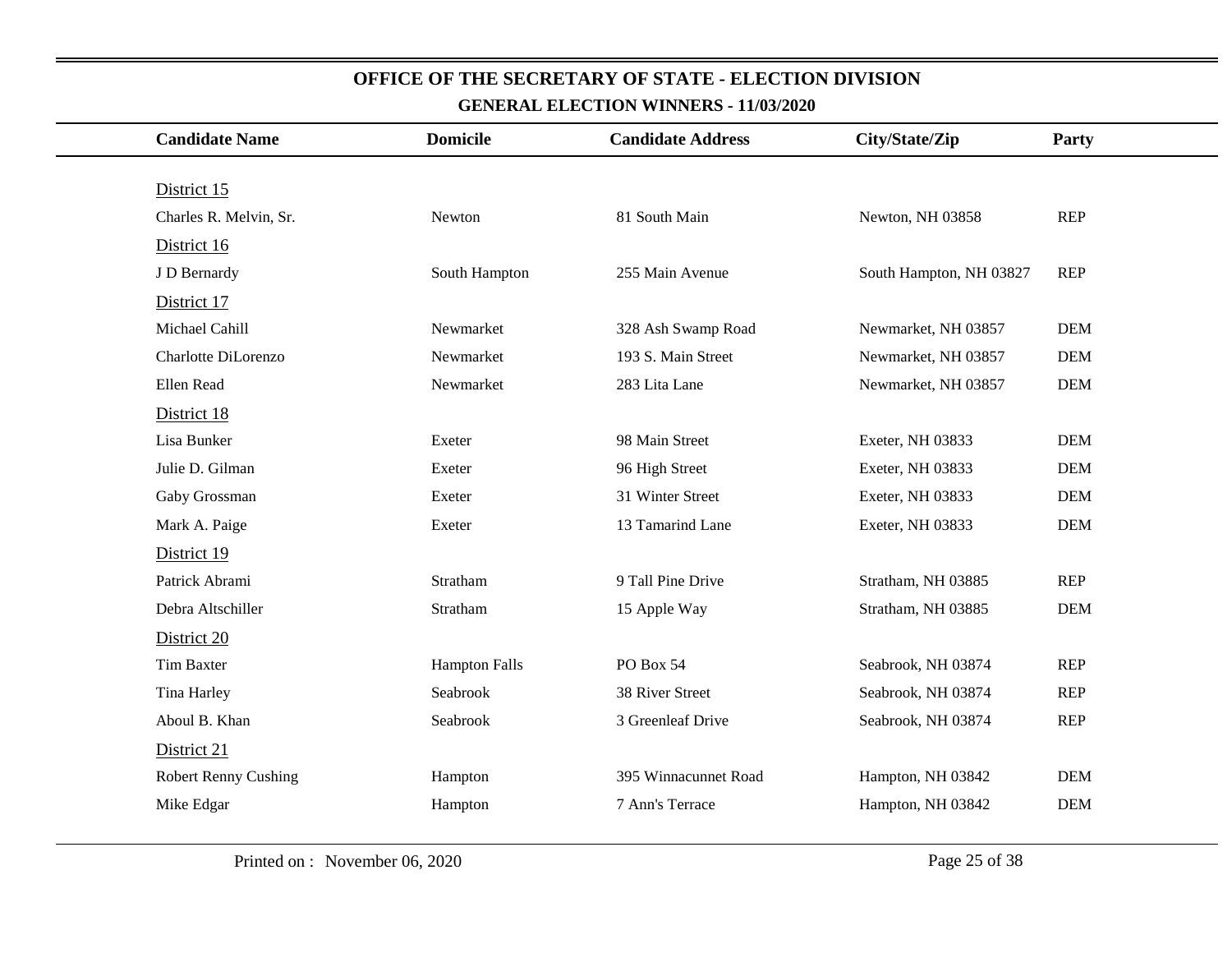| <b>Candidate Name</b>       | <b>Domicile</b>      | <b>Candidate Address</b> | City/State/Zip          | Party      |
|-----------------------------|----------------------|--------------------------|-------------------------|------------|
|                             |                      |                          |                         |            |
| District 15                 |                      |                          |                         |            |
| Charles R. Melvin, Sr.      | Newton               | 81 South Main            | Newton, NH 03858        | <b>REP</b> |
| District 16                 |                      |                          |                         |            |
| J D Bernardy                | South Hampton        | 255 Main Avenue          | South Hampton, NH 03827 | <b>REP</b> |
| District 17                 |                      |                          |                         |            |
| Michael Cahill              | Newmarket            | 328 Ash Swamp Road       | Newmarket, NH 03857     | <b>DEM</b> |
| Charlotte DiLorenzo         | Newmarket            | 193 S. Main Street       | Newmarket, NH 03857     | <b>DEM</b> |
| Ellen Read                  | Newmarket            | 283 Lita Lane            | Newmarket, NH 03857     | <b>DEM</b> |
| District 18                 |                      |                          |                         |            |
| Lisa Bunker                 | Exeter               | 98 Main Street           | Exeter, NH 03833        | <b>DEM</b> |
| Julie D. Gilman             | Exeter               | 96 High Street           | Exeter, NH 03833        | <b>DEM</b> |
| Gaby Grossman               | Exeter               | 31 Winter Street         | Exeter, NH 03833        | <b>DEM</b> |
| Mark A. Paige               | Exeter               | 13 Tamarind Lane         | Exeter, NH 03833        | <b>DEM</b> |
| District 19                 |                      |                          |                         |            |
| Patrick Abrami              | Stratham             | 9 Tall Pine Drive        | Stratham, NH 03885      | <b>REP</b> |
| Debra Altschiller           | Stratham             | 15 Apple Way             | Stratham, NH 03885      | <b>DEM</b> |
| District 20                 |                      |                          |                         |            |
| <b>Tim Baxter</b>           | <b>Hampton Falls</b> | PO Box 54                | Seabrook, NH 03874      | <b>REP</b> |
| Tina Harley                 | Seabrook             | 38 River Street          | Seabrook, NH 03874      | <b>REP</b> |
| Aboul B. Khan               | Seabrook             | 3 Greenleaf Drive        | Seabrook, NH 03874      | <b>REP</b> |
| District 21                 |                      |                          |                         |            |
| <b>Robert Renny Cushing</b> | Hampton              | 395 Winnacunnet Road     | Hampton, NH 03842       | <b>DEM</b> |
| Mike Edgar                  | Hampton              | 7 Ann's Terrace          | Hampton, NH 03842       | <b>DEM</b> |
|                             |                      |                          |                         |            |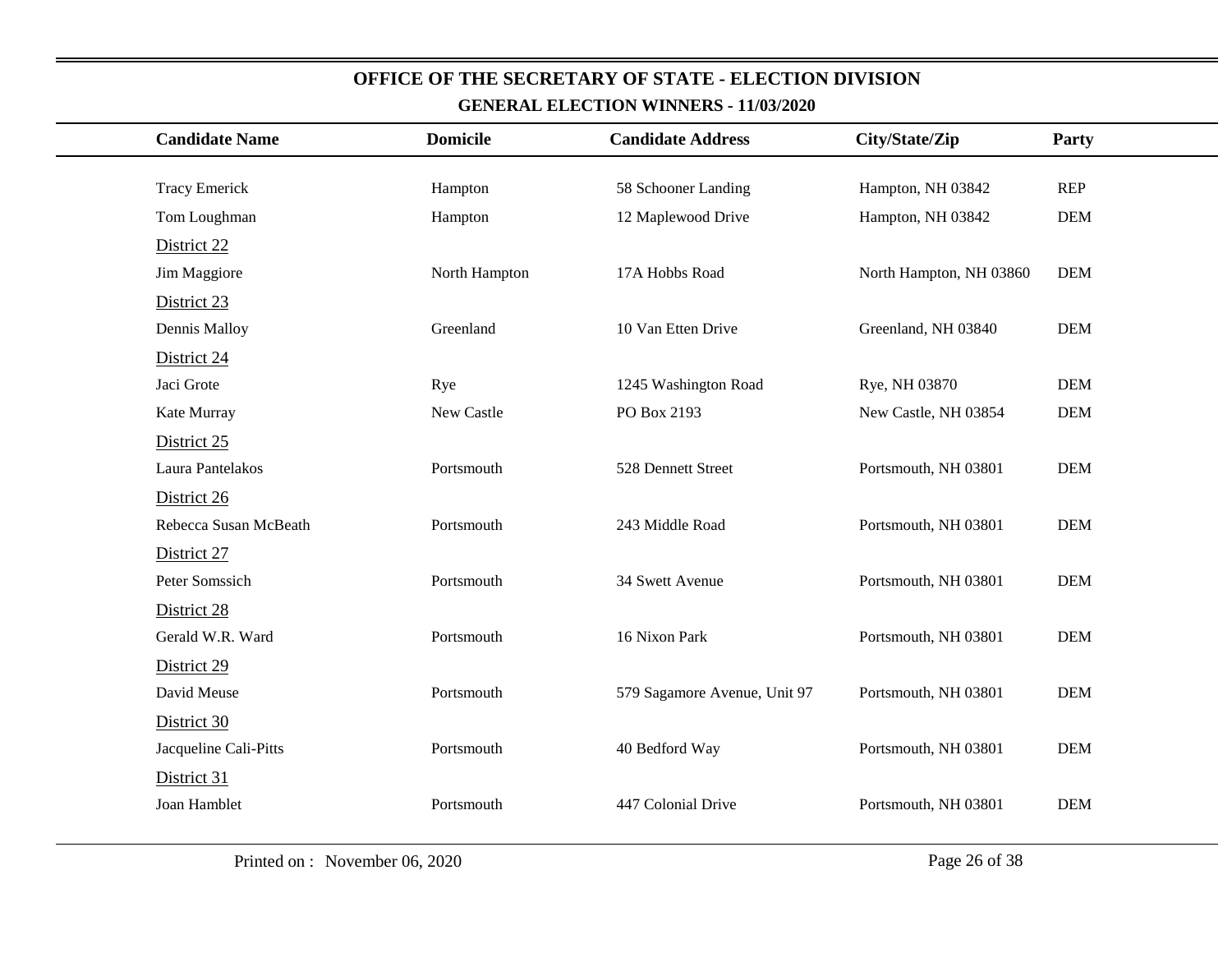| <b>Candidate Name</b> | <b>Domicile</b> | <b>Candidate Address</b>     | City/State/Zip          | Party      |
|-----------------------|-----------------|------------------------------|-------------------------|------------|
|                       |                 |                              |                         |            |
| <b>Tracy Emerick</b>  | Hampton         | 58 Schooner Landing          | Hampton, NH 03842       | <b>REP</b> |
| Tom Loughman          | Hampton         | 12 Maplewood Drive           | Hampton, NH 03842       | <b>DEM</b> |
| District 22           |                 |                              |                         |            |
| Jim Maggiore          | North Hampton   | 17A Hobbs Road               | North Hampton, NH 03860 | <b>DEM</b> |
| District 23           |                 |                              |                         |            |
| Dennis Malloy         | Greenland       | 10 Van Etten Drive           | Greenland, NH 03840     | <b>DEM</b> |
| District 24           |                 |                              |                         |            |
| Jaci Grote            | Rye             | 1245 Washington Road         | Rye, NH 03870           | <b>DEM</b> |
| Kate Murray           | New Castle      | PO Box 2193                  | New Castle, NH 03854    | <b>DEM</b> |
| District 25           |                 |                              |                         |            |
| Laura Pantelakos      | Portsmouth      | 528 Dennett Street           | Portsmouth, NH 03801    | <b>DEM</b> |
| District 26           |                 |                              |                         |            |
| Rebecca Susan McBeath | Portsmouth      | 243 Middle Road              | Portsmouth, NH 03801    | <b>DEM</b> |
| District 27           |                 |                              |                         |            |
| Peter Somssich        | Portsmouth      | 34 Swett Avenue              | Portsmouth, NH 03801    | <b>DEM</b> |
| District 28           |                 |                              |                         |            |
| Gerald W.R. Ward      | Portsmouth      | 16 Nixon Park                | Portsmouth, NH 03801    | <b>DEM</b> |
| District 29           |                 |                              |                         |            |
| David Meuse           | Portsmouth      | 579 Sagamore Avenue, Unit 97 | Portsmouth, NH 03801    | <b>DEM</b> |
| District 30           |                 |                              |                         |            |
| Jacqueline Cali-Pitts | Portsmouth      | 40 Bedford Way               | Portsmouth, NH 03801    | <b>DEM</b> |
| District 31           |                 |                              |                         |            |
| Joan Hamblet          | Portsmouth      | 447 Colonial Drive           | Portsmouth, NH 03801    | <b>DEM</b> |
|                       |                 |                              |                         |            |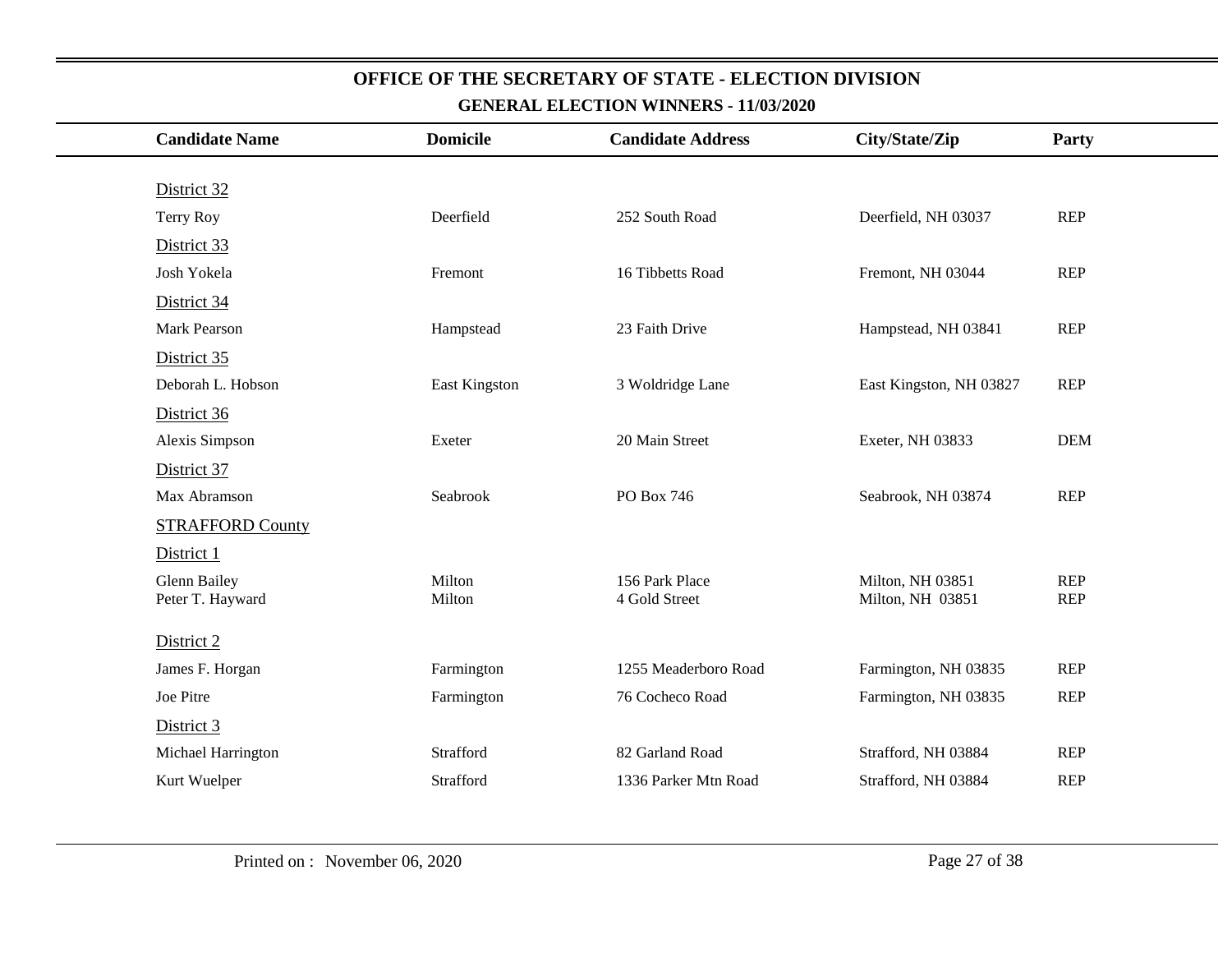| <b>Candidate Name</b>   | <b>Domicile</b> | <b>Candidate Address</b> | City/State/Zip          | Party      |
|-------------------------|-----------------|--------------------------|-------------------------|------------|
|                         |                 |                          |                         |            |
| District 32             |                 |                          |                         |            |
| Terry Roy               | Deerfield       | 252 South Road           | Deerfield, NH 03037     | <b>REP</b> |
| District 33             |                 |                          |                         |            |
| Josh Yokela             | Fremont         | 16 Tibbetts Road         | Fremont, NH 03044       | <b>REP</b> |
| District 34             |                 |                          |                         |            |
| <b>Mark Pearson</b>     | Hampstead       | 23 Faith Drive           | Hampstead, NH 03841     | <b>REP</b> |
| District 35             |                 |                          |                         |            |
| Deborah L. Hobson       | East Kingston   | 3 Woldridge Lane         | East Kingston, NH 03827 | <b>REP</b> |
| District 36             |                 |                          |                         |            |
| Alexis Simpson          | Exeter          | 20 Main Street           | Exeter, NH 03833        | <b>DEM</b> |
| District 37             |                 |                          |                         |            |
| Max Abramson            | Seabrook        | PO Box 746               | Seabrook, NH 03874      | <b>REP</b> |
| <b>STRAFFORD County</b> |                 |                          |                         |            |
| District 1              |                 |                          |                         |            |
| <b>Glenn Bailey</b>     | Milton          | 156 Park Place           | Milton, NH 03851        | <b>REP</b> |
| Peter T. Hayward        | Milton          | 4 Gold Street            | Milton, NH 03851        | <b>REP</b> |
| District 2              |                 |                          |                         |            |
| James F. Horgan         | Farmington      | 1255 Meaderboro Road     | Farmington, NH 03835    | <b>REP</b> |
| Joe Pitre               | Farmington      | 76 Cocheco Road          | Farmington, NH 03835    | <b>REP</b> |
| District 3              |                 |                          |                         |            |
| Michael Harrington      | Strafford       | 82 Garland Road          | Strafford, NH 03884     | <b>REP</b> |
| Kurt Wuelper            | Strafford       | 1336 Parker Mtn Road     | Strafford, NH 03884     | <b>REP</b> |
|                         |                 |                          |                         |            |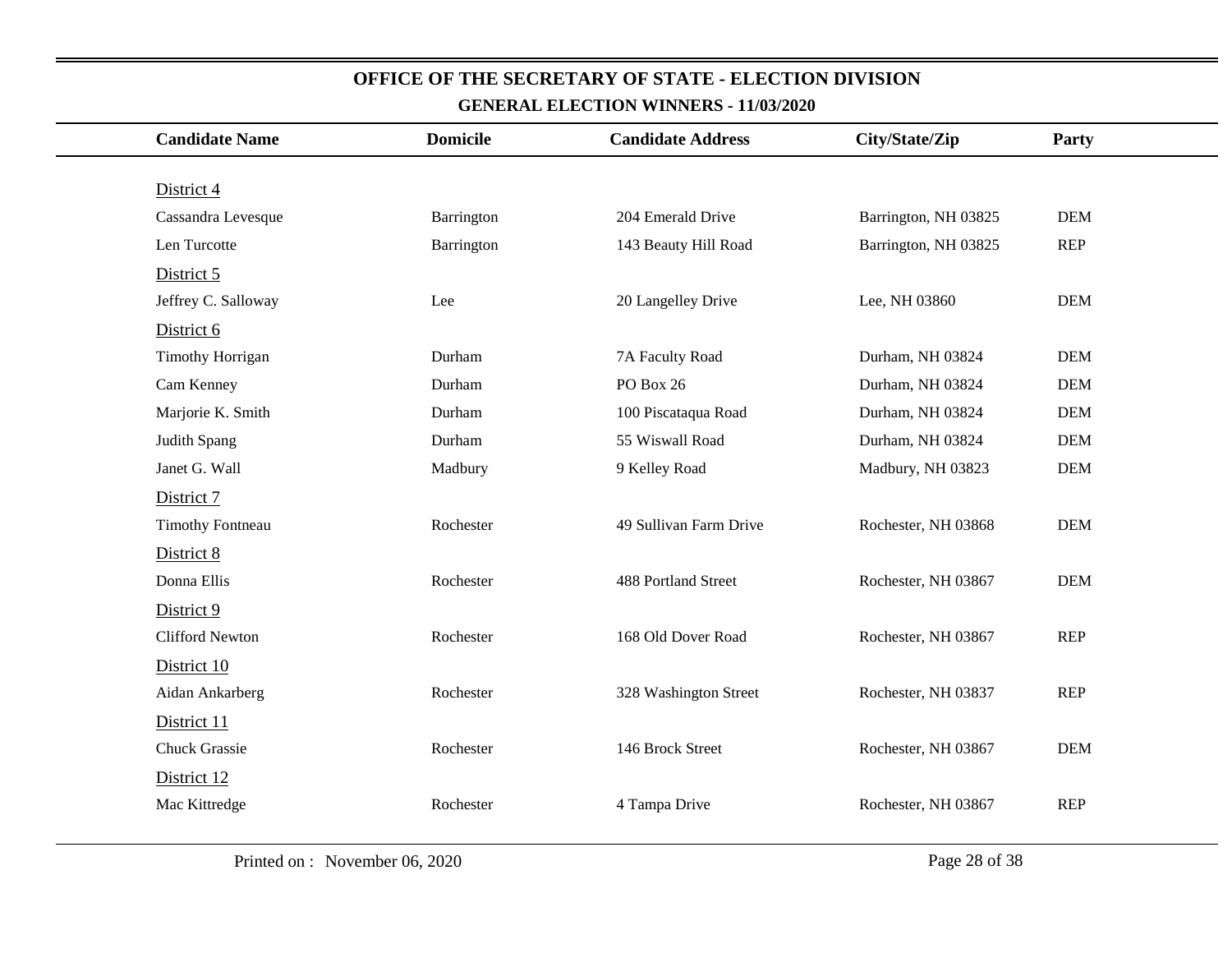| <b>Candidate Name</b>   | <b>Domicile</b> | <b>Candidate Address</b>   | City/State/Zip       | Party      |
|-------------------------|-----------------|----------------------------|----------------------|------------|
|                         |                 |                            |                      |            |
| District 4              |                 |                            |                      |            |
| Cassandra Levesque      | Barrington      | 204 Emerald Drive          | Barrington, NH 03825 | <b>DEM</b> |
| Len Turcotte            | Barrington      | 143 Beauty Hill Road       | Barrington, NH 03825 | <b>REP</b> |
| District 5              |                 |                            |                      |            |
| Jeffrey C. Salloway     | Lee             | 20 Langelley Drive         | Lee, NH 03860        | <b>DEM</b> |
| District 6              |                 |                            |                      |            |
| <b>Timothy Horrigan</b> | Durham          | 7A Faculty Road            | Durham, NH 03824     | <b>DEM</b> |
| Cam Kenney              | Durham          | PO Box 26                  | Durham, NH 03824     | <b>DEM</b> |
| Marjorie K. Smith       | Durham          | 100 Piscataqua Road        | Durham, NH 03824     | <b>DEM</b> |
| Judith Spang            | Durham          | 55 Wiswall Road            | Durham, NH 03824     | <b>DEM</b> |
| Janet G. Wall           | Madbury         | 9 Kelley Road              | Madbury, NH 03823    | <b>DEM</b> |
| District 7              |                 |                            |                      |            |
| <b>Timothy Fontneau</b> | Rochester       | 49 Sullivan Farm Drive     | Rochester, NH 03868  | <b>DEM</b> |
| District 8              |                 |                            |                      |            |
| Donna Ellis             | Rochester       | <b>488 Portland Street</b> | Rochester, NH 03867  | <b>DEM</b> |
| District 9              |                 |                            |                      |            |
| <b>Clifford Newton</b>  | Rochester       | 168 Old Dover Road         | Rochester, NH 03867  | <b>REP</b> |
| District 10             |                 |                            |                      |            |
| Aidan Ankarberg         | Rochester       | 328 Washington Street      | Rochester, NH 03837  | <b>REP</b> |
| District 11             |                 |                            |                      |            |
| Chuck Grassie           | Rochester       | 146 Brock Street           | Rochester, NH 03867  | <b>DEM</b> |
| District 12             |                 |                            |                      |            |
| Mac Kittredge           | Rochester       | 4 Tampa Drive              | Rochester, NH 03867  | <b>REP</b> |
|                         |                 |                            |                      |            |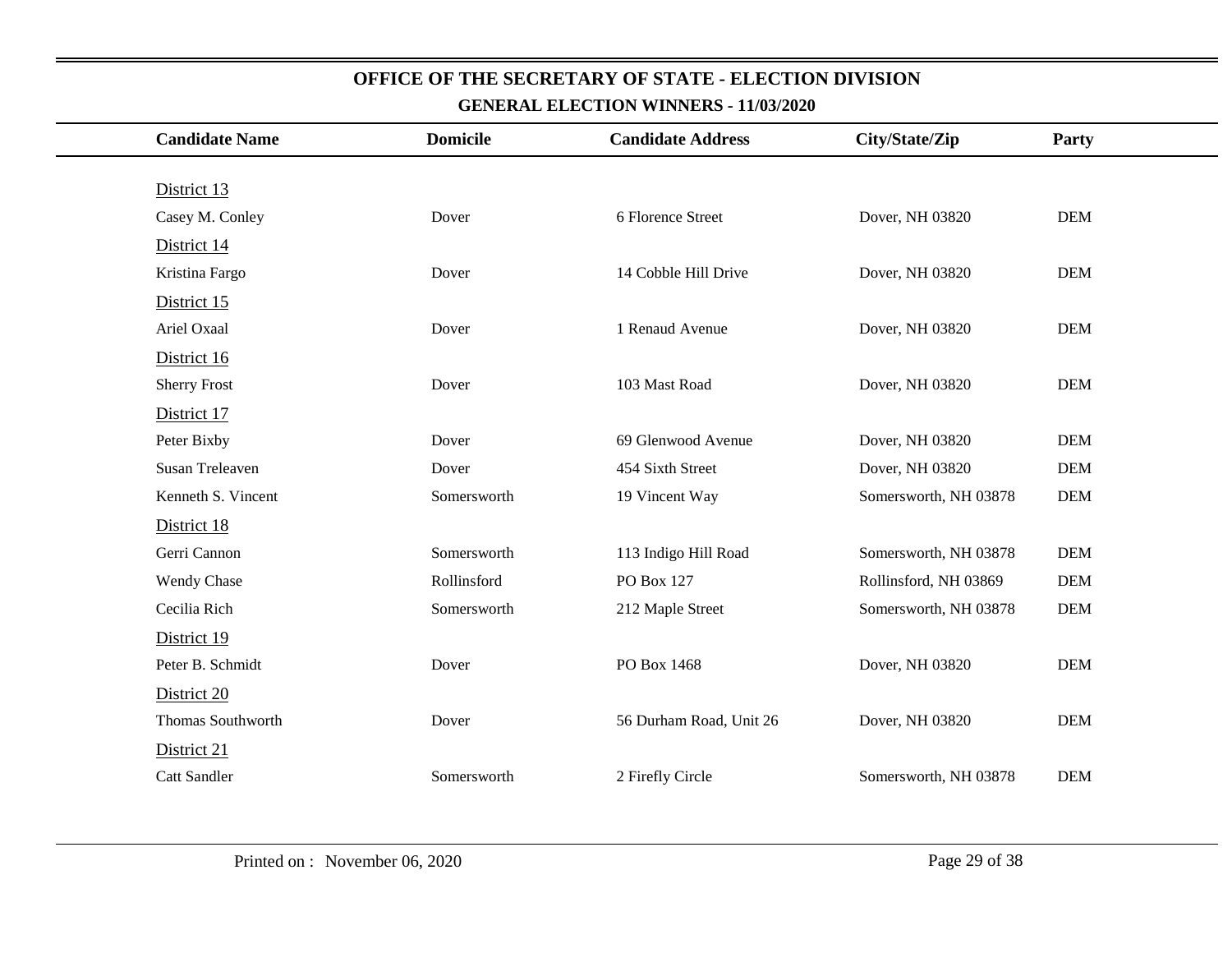| <b>Candidate Name</b> | <b>Domicile</b> | <b>Candidate Address</b> | City/State/Zip        | Party      |
|-----------------------|-----------------|--------------------------|-----------------------|------------|
|                       |                 |                          |                       |            |
| District 13           |                 |                          |                       |            |
| Casey M. Conley       | Dover           | 6 Florence Street        | Dover, NH 03820       | <b>DEM</b> |
| District 14           |                 |                          |                       |            |
| Kristina Fargo        | Dover           | 14 Cobble Hill Drive     | Dover, NH 03820       | <b>DEM</b> |
| District 15           |                 |                          |                       |            |
| Ariel Oxaal           | Dover           | 1 Renaud Avenue          | Dover, NH 03820       | <b>DEM</b> |
| District 16           |                 |                          |                       |            |
| <b>Sherry Frost</b>   | Dover           | 103 Mast Road            | Dover, NH 03820       | <b>DEM</b> |
| District 17           |                 |                          |                       |            |
| Peter Bixby           | Dover           | 69 Glenwood Avenue       | Dover, NH 03820       | <b>DEM</b> |
| Susan Treleaven       | Dover           | 454 Sixth Street         | Dover, NH 03820       | <b>DEM</b> |
| Kenneth S. Vincent    | Somersworth     | 19 Vincent Way           | Somersworth, NH 03878 | <b>DEM</b> |
| District 18           |                 |                          |                       |            |
| Gerri Cannon          | Somersworth     | 113 Indigo Hill Road     | Somersworth, NH 03878 | <b>DEM</b> |
| Wendy Chase           | Rollinsford     | PO Box 127               | Rollinsford, NH 03869 | <b>DEM</b> |
| Cecilia Rich          | Somersworth     | 212 Maple Street         | Somersworth, NH 03878 | <b>DEM</b> |
| District 19           |                 |                          |                       |            |
| Peter B. Schmidt      | Dover           | PO Box 1468              | Dover, NH 03820       | <b>DEM</b> |
| District 20           |                 |                          |                       |            |
| Thomas Southworth     | Dover           | 56 Durham Road, Unit 26  | Dover, NH 03820       | <b>DEM</b> |
| District 21           |                 |                          |                       |            |
| <b>Catt Sandler</b>   | Somersworth     | 2 Firefly Circle         | Somersworth, NH 03878 | <b>DEM</b> |
|                       |                 |                          |                       |            |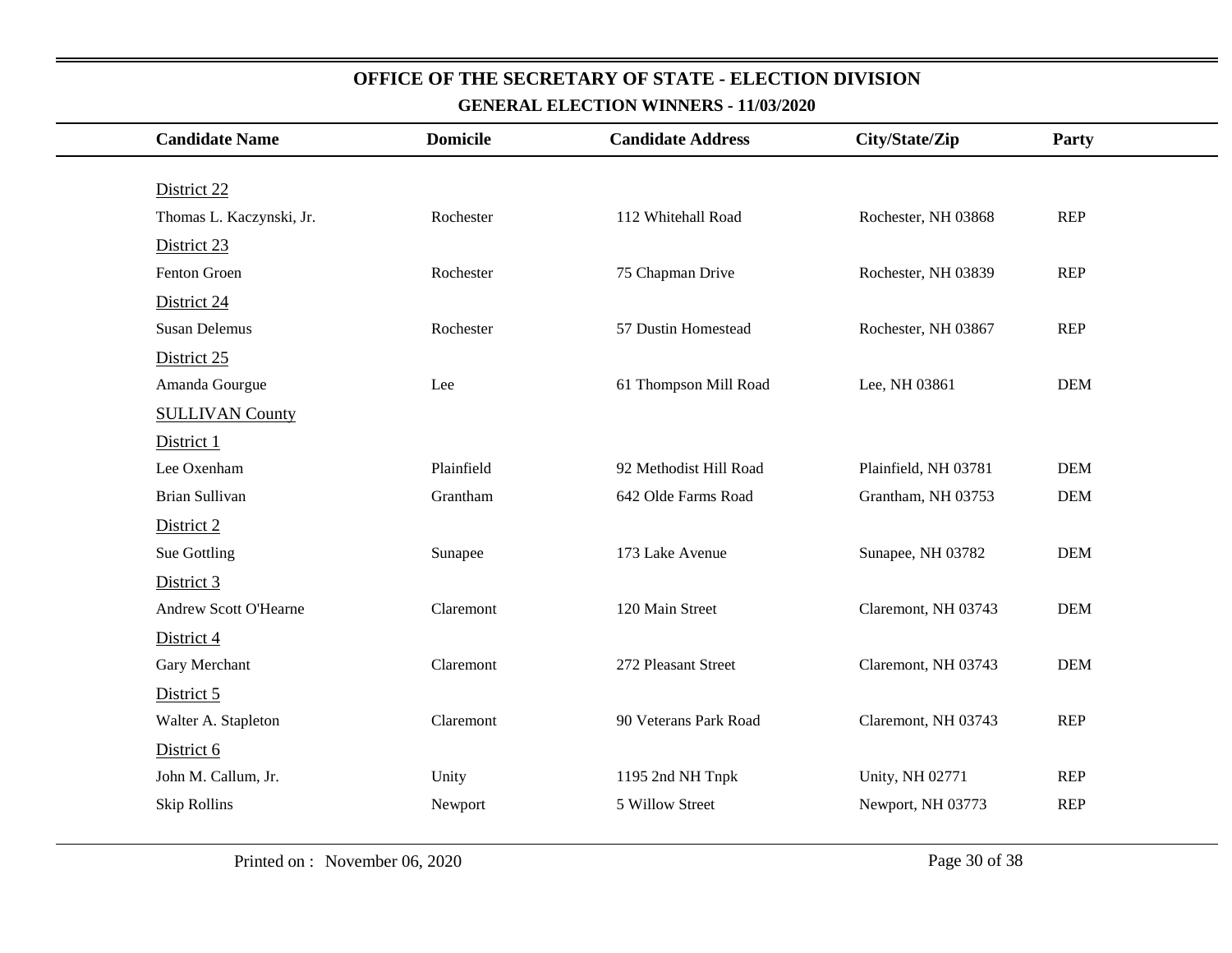| <b>Candidate Name</b>    | <b>Domicile</b> | <b>Candidate Address</b> | City/State/Zip       | Party      |
|--------------------------|-----------------|--------------------------|----------------------|------------|
|                          |                 |                          |                      |            |
| District 22              |                 |                          |                      |            |
| Thomas L. Kaczynski, Jr. | Rochester       | 112 Whitehall Road       | Rochester, NH 03868  | <b>REP</b> |
| District 23              |                 |                          |                      |            |
| Fenton Groen             | Rochester       | 75 Chapman Drive         | Rochester, NH 03839  | <b>REP</b> |
| District 24              |                 |                          |                      |            |
| <b>Susan Delemus</b>     | Rochester       | 57 Dustin Homestead      | Rochester, NH 03867  | <b>REP</b> |
| District 25              |                 |                          |                      |            |
| Amanda Gourgue           | Lee             | 61 Thompson Mill Road    | Lee, NH 03861        | <b>DEM</b> |
| <b>SULLIVAN County</b>   |                 |                          |                      |            |
| District 1               |                 |                          |                      |            |
| Lee Oxenham              | Plainfield      | 92 Methodist Hill Road   | Plainfield, NH 03781 | <b>DEM</b> |
| Brian Sullivan           | Grantham        | 642 Olde Farms Road      | Grantham, NH 03753   | <b>DEM</b> |
| District 2               |                 |                          |                      |            |
| Sue Gottling             | Sunapee         | 173 Lake Avenue          | Sunapee, NH 03782    | <b>DEM</b> |
| District 3               |                 |                          |                      |            |
| Andrew Scott O'Hearne    | Claremont       | 120 Main Street          | Claremont, NH 03743  | <b>DEM</b> |
| District 4               |                 |                          |                      |            |
| Gary Merchant            | Claremont       | 272 Pleasant Street      | Claremont, NH 03743  | <b>DEM</b> |
| District 5               |                 |                          |                      |            |
| Walter A. Stapleton      | Claremont       | 90 Veterans Park Road    | Claremont, NH 03743  | <b>REP</b> |
| District 6               |                 |                          |                      |            |
| John M. Callum, Jr.      | Unity           | 1195 2nd NH Tnpk         | Unity, NH 02771      | <b>REP</b> |
| <b>Skip Rollins</b>      | Newport         | 5 Willow Street          | Newport, NH 03773    | <b>REP</b> |
|                          |                 |                          |                      |            |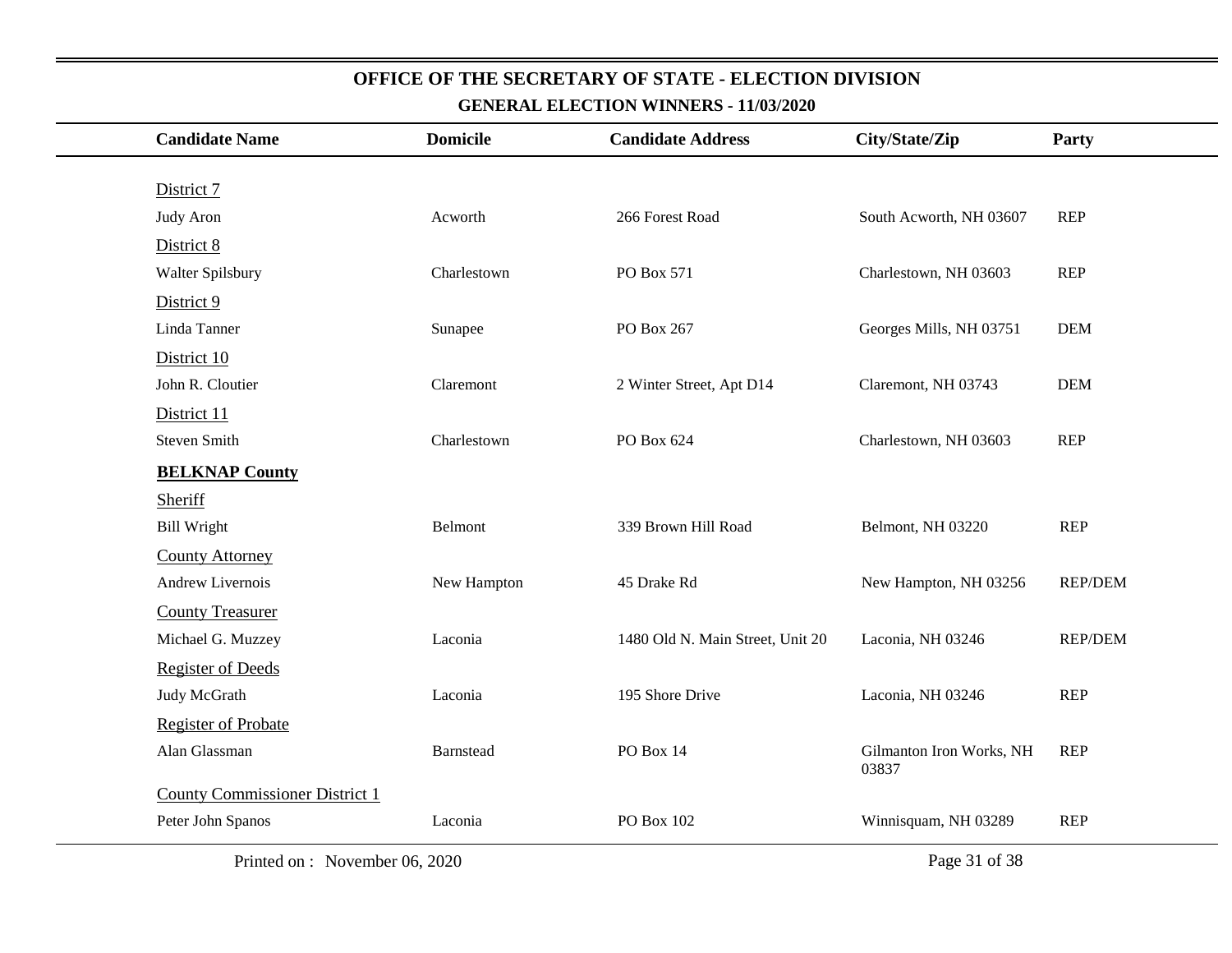| <b>Candidate Name</b>                 | <b>Domicile</b> | <b>Candidate Address</b>         | City/State/Zip                    | Party          |
|---------------------------------------|-----------------|----------------------------------|-----------------------------------|----------------|
|                                       |                 |                                  |                                   |                |
| District 7                            |                 |                                  |                                   |                |
| <b>Judy Aron</b>                      | Acworth         | 266 Forest Road                  | South Acworth, NH 03607           | <b>REP</b>     |
| District 8                            |                 |                                  |                                   |                |
| Walter Spilsbury                      | Charlestown     | PO Box 571                       | Charlestown, NH 03603             | <b>REP</b>     |
| District 9                            |                 |                                  |                                   |                |
| Linda Tanner                          | Sunapee         | PO Box 267                       | Georges Mills, NH 03751           | <b>DEM</b>     |
| District 10                           |                 |                                  |                                   |                |
| John R. Cloutier                      | Claremont       | 2 Winter Street, Apt D14         | Claremont, NH 03743               | <b>DEM</b>     |
| District 11                           |                 |                                  |                                   |                |
| <b>Steven Smith</b>                   | Charlestown     | PO Box 624                       | Charlestown, NH 03603             | <b>REP</b>     |
| <b>BELKNAP County</b>                 |                 |                                  |                                   |                |
| Sheriff                               |                 |                                  |                                   |                |
| <b>Bill Wright</b>                    | Belmont         | 339 Brown Hill Road              | Belmont, NH 03220                 | <b>REP</b>     |
| <b>County Attorney</b>                |                 |                                  |                                   |                |
| Andrew Livernois                      | New Hampton     | 45 Drake Rd                      | New Hampton, NH 03256             | <b>REP/DEM</b> |
| <b>County Treasurer</b>               |                 |                                  |                                   |                |
| Michael G. Muzzey                     | Laconia         | 1480 Old N. Main Street, Unit 20 | Laconia, NH 03246                 | <b>REP/DEM</b> |
| <b>Register of Deeds</b>              |                 |                                  |                                   |                |
| Judy McGrath                          | Laconia         | 195 Shore Drive                  | Laconia, NH 03246                 | <b>REP</b>     |
| <b>Register of Probate</b>            |                 |                                  |                                   |                |
| Alan Glassman                         | Barnstead       | PO Box 14                        | Gilmanton Iron Works, NH<br>03837 | <b>REP</b>     |
| <b>County Commissioner District 1</b> |                 |                                  |                                   |                |
| Peter John Spanos                     | Laconia         | PO Box 102                       | Winnisquam, NH 03289              | <b>REP</b>     |
| Printed on : November 06, 2020        |                 |                                  | Page 31 of 38                     |                |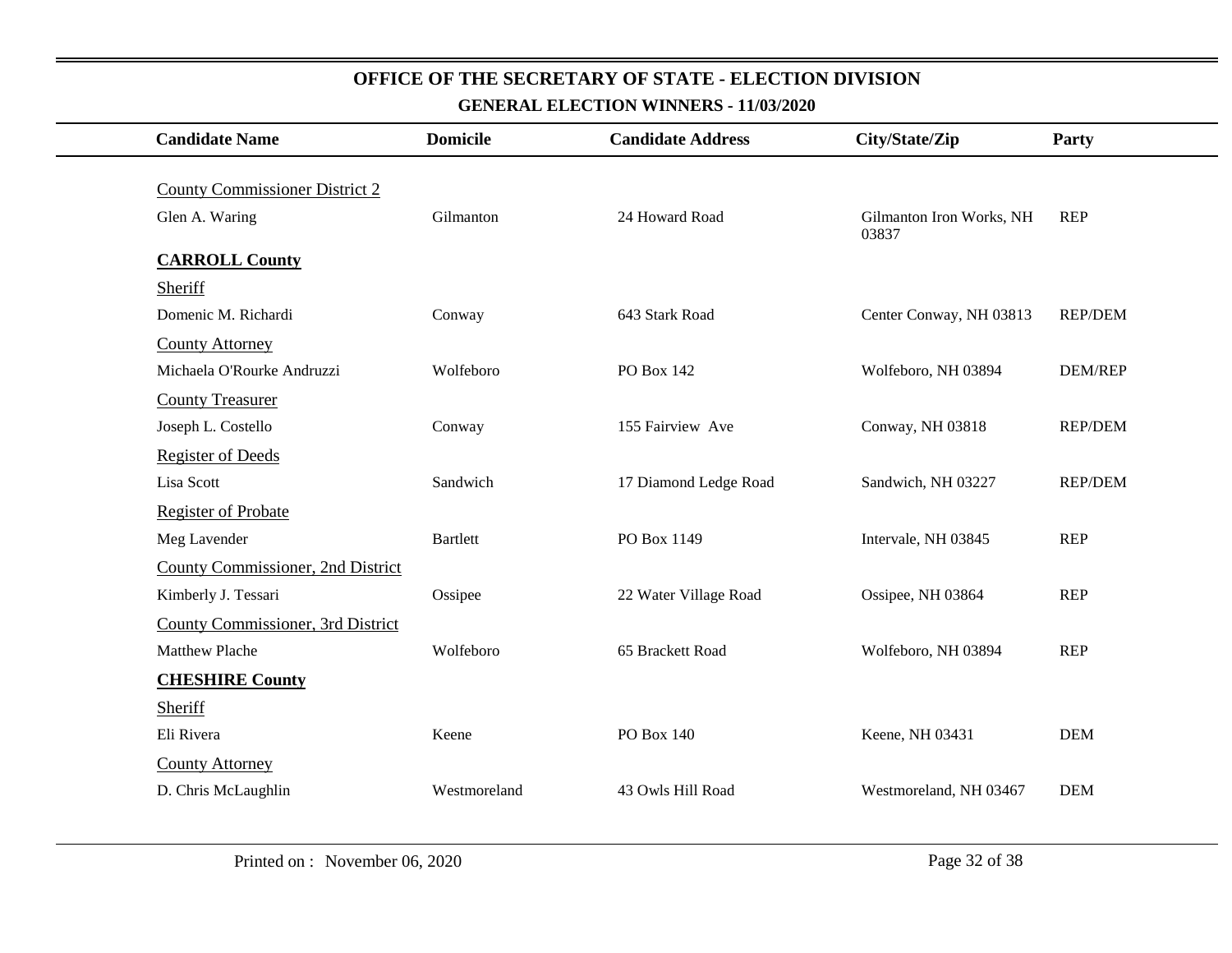| <b>Candidate Name</b>                 | <b>Domicile</b> | <b>Candidate Address</b> | City/State/Zip                    | Party          |
|---------------------------------------|-----------------|--------------------------|-----------------------------------|----------------|
| <b>County Commissioner District 2</b> |                 |                          |                                   |                |
| Glen A. Waring                        | Gilmanton       | 24 Howard Road           | Gilmanton Iron Works, NH<br>03837 | <b>REP</b>     |
| <b>CARROLL County</b>                 |                 |                          |                                   |                |
| <b>Sheriff</b>                        |                 |                          |                                   |                |
| Domenic M. Richardi                   | Conway          | 643 Stark Road           | Center Conway, NH 03813           | <b>REP/DEM</b> |
| <b>County Attorney</b>                |                 |                          |                                   |                |
| Michaela O'Rourke Andruzzi            | Wolfeboro       | PO Box 142               | Wolfeboro, NH 03894               | <b>DEM/REP</b> |
| <b>County Treasurer</b>               |                 |                          |                                   |                |
| Joseph L. Costello                    | Conway          | 155 Fairview Ave         | Conway, NH 03818                  | <b>REP/DEM</b> |
| <b>Register of Deeds</b>              |                 |                          |                                   |                |
| Lisa Scott                            | Sandwich        | 17 Diamond Ledge Road    | Sandwich, NH 03227                | <b>REP/DEM</b> |
| Register of Probate                   |                 |                          |                                   |                |
| Meg Lavender                          | <b>Bartlett</b> | PO Box 1149              | Intervale, NH 03845               | <b>REP</b>     |
| County Commissioner, 2nd District     |                 |                          |                                   |                |
| Kimberly J. Tessari                   | Ossipee         | 22 Water Village Road    | Ossipee, NH 03864                 | <b>REP</b>     |
| County Commissioner, 3rd District     |                 |                          |                                   |                |
| <b>Matthew Plache</b>                 | Wolfeboro       | 65 Brackett Road         | Wolfeboro, NH 03894               | <b>REP</b>     |
| <b>CHESHIRE County</b>                |                 |                          |                                   |                |
| Sheriff                               |                 |                          |                                   |                |
| Eli Rivera                            | Keene           | <b>PO Box 140</b>        | Keene, NH 03431                   | <b>DEM</b>     |
| <b>County Attorney</b>                |                 |                          |                                   |                |
| D. Chris McLaughlin                   | Westmoreland    | 43 Owls Hill Road        | Westmoreland, NH 03467            | <b>DEM</b>     |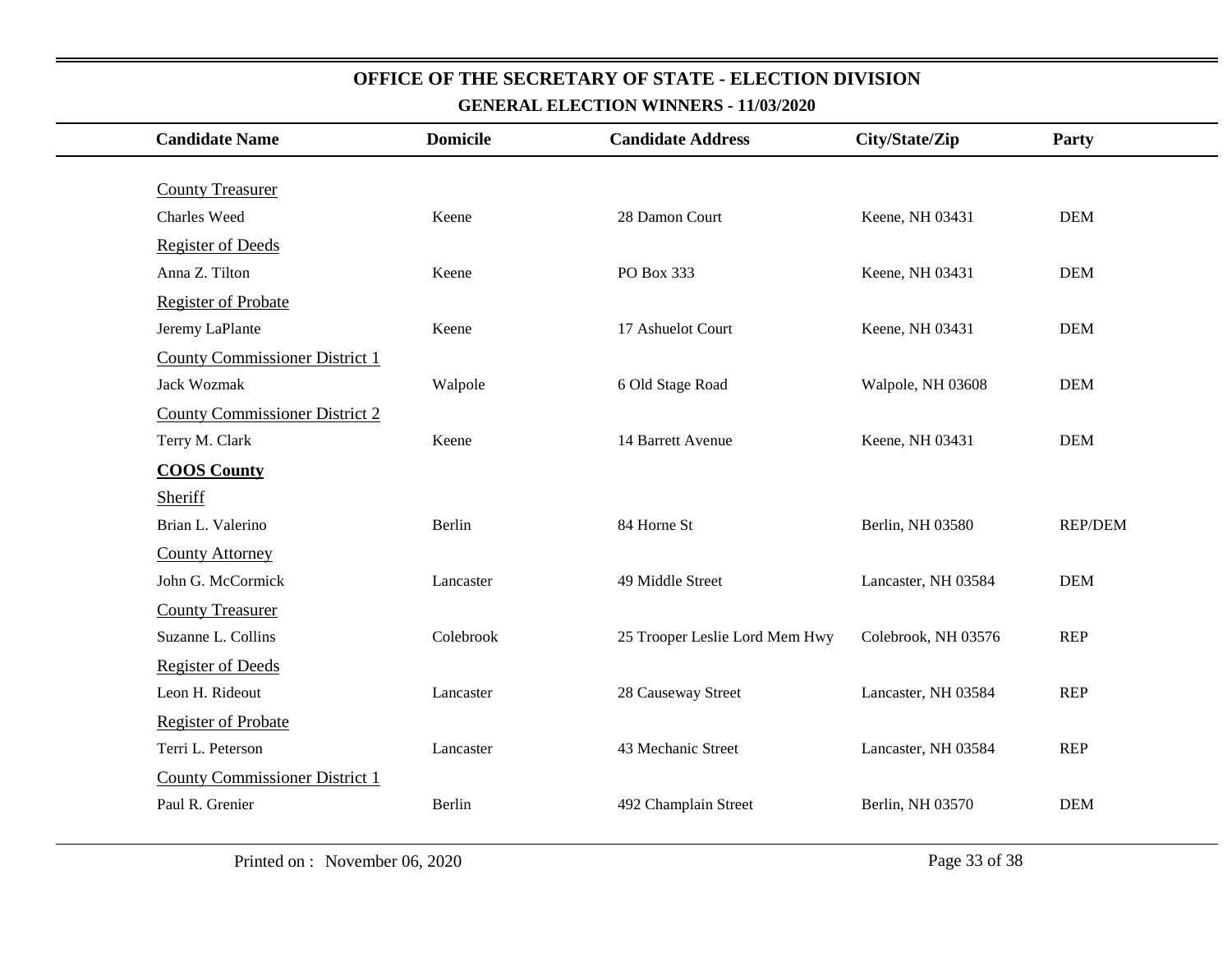## **Candidate Name Domicile Candidate Address City/State/Zip Party** County Treasurer Charles Weed Keene 28 Damon Court Keene, NH 03431 DEM Register of Deeds Anna Z. Tilton **Example 2. Tilton** Keene **Represent Box 333** Keene, NH 03431 DEM Register of Probate Jeremy LaPlante Keene 17 Ashuelot Court Keene, NH 03431 DEM County Commissioner District 1 Jack Wozmak Walpole 6 Old Stage Road Walpole, NH 03608 DEM County Commissioner District 2 Terry M. Clark **Keene** Keene 14 Barrett Avenue Keene, NH 03431 DEM **COOS County** Sheriff Brian L. Valerino **Berlin** Berlin 84 Horne St Berlin, NH 03580 REP/DEM County Attorney John G. McCormick Lancaster 49 Middle Street Lancaster, NH 03584 DEM County Treasurer Suzanne L. Collins Colebrook 25 Trooper Leslie Lord Mem Hwy Colebrook, NH 03576 REP Register of Deeds Leon H. Rideout Lancaster 28 Causeway Street Lancaster, NH 03584 REP Register of Probate Terri L. Peterson Lancaster 43 Mechanic Street Lancaster, NH 03584 REP County Commissioner District 1 Paul R. Grenier **Berlin** Berlin **Berlin** 492 Champlain Street **Berlin**, NH 03570 DEM

## **OFFICE OF THE SECRETARY OF STATE - ELECTION DIVISION**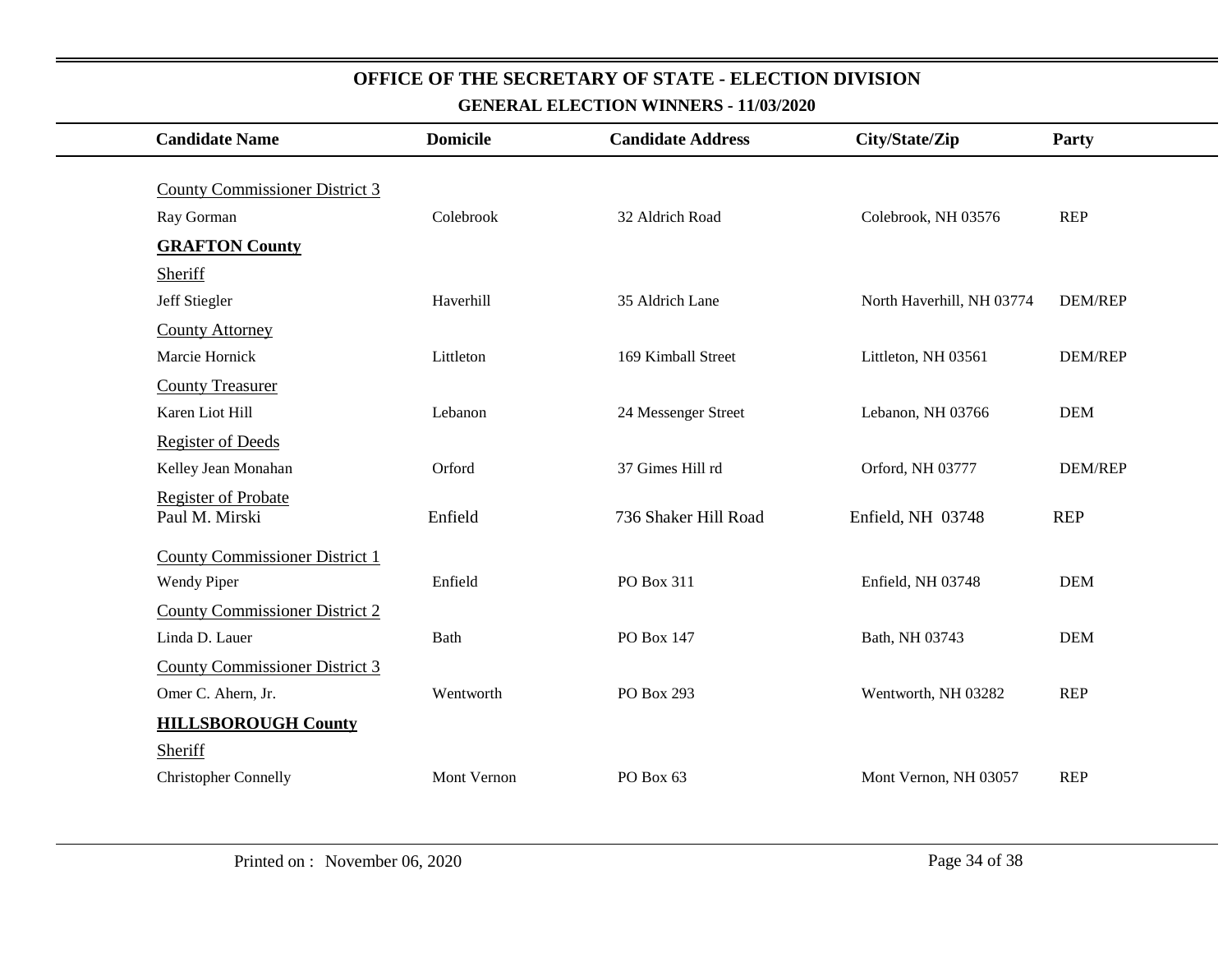| <b>Candidate Name</b>                        | <b>Domicile</b> | <b>Candidate Address</b> | City/State/Zip            | <b>Party</b>   |
|----------------------------------------------|-----------------|--------------------------|---------------------------|----------------|
| <b>County Commissioner District 3</b>        |                 |                          |                           |                |
| Ray Gorman                                   | Colebrook       | 32 Aldrich Road          | Colebrook, NH 03576       | <b>REP</b>     |
| <b>GRAFTON County</b>                        |                 |                          |                           |                |
| Sheriff                                      |                 |                          |                           |                |
| Jeff Stiegler                                | Haverhill       | 35 Aldrich Lane          | North Haverhill, NH 03774 | <b>DEM/REP</b> |
| <b>County Attorney</b>                       |                 |                          |                           |                |
| Marcie Hornick                               | Littleton       | 169 Kimball Street       | Littleton, NH 03561       | <b>DEM/REP</b> |
| <b>County Treasurer</b>                      |                 |                          |                           |                |
| Karen Liot Hill                              | Lebanon         | 24 Messenger Street      | Lebanon, NH 03766         | <b>DEM</b>     |
| <b>Register of Deeds</b>                     |                 |                          |                           |                |
| Kelley Jean Monahan                          | Orford          | 37 Gimes Hill rd         | Orford, NH 03777          | <b>DEM/REP</b> |
| <b>Register of Probate</b><br>Paul M. Mirski | Enfield         | 736 Shaker Hill Road     | Enfield, NH 03748         | <b>REP</b>     |
| <b>County Commissioner District 1</b>        |                 |                          |                           |                |
| Wendy Piper                                  | Enfield         | PO Box 311               | Enfield, NH 03748         | <b>DEM</b>     |
| <b>County Commissioner District 2</b>        |                 |                          |                           |                |
| Linda D. Lauer                               | <b>Bath</b>     | PO Box 147               | Bath, NH 03743            | <b>DEM</b>     |
| <b>County Commissioner District 3</b>        |                 |                          |                           |                |
| Omer C. Ahern, Jr.                           | Wentworth       | PO Box 293               | Wentworth, NH 03282       | <b>REP</b>     |
| <b>HILLSBOROUGH County</b>                   |                 |                          |                           |                |
| Sheriff                                      |                 |                          |                           |                |
| <b>Christopher Connelly</b>                  | Mont Vernon     | PO Box 63                | Mont Vernon, NH 03057     | <b>REP</b>     |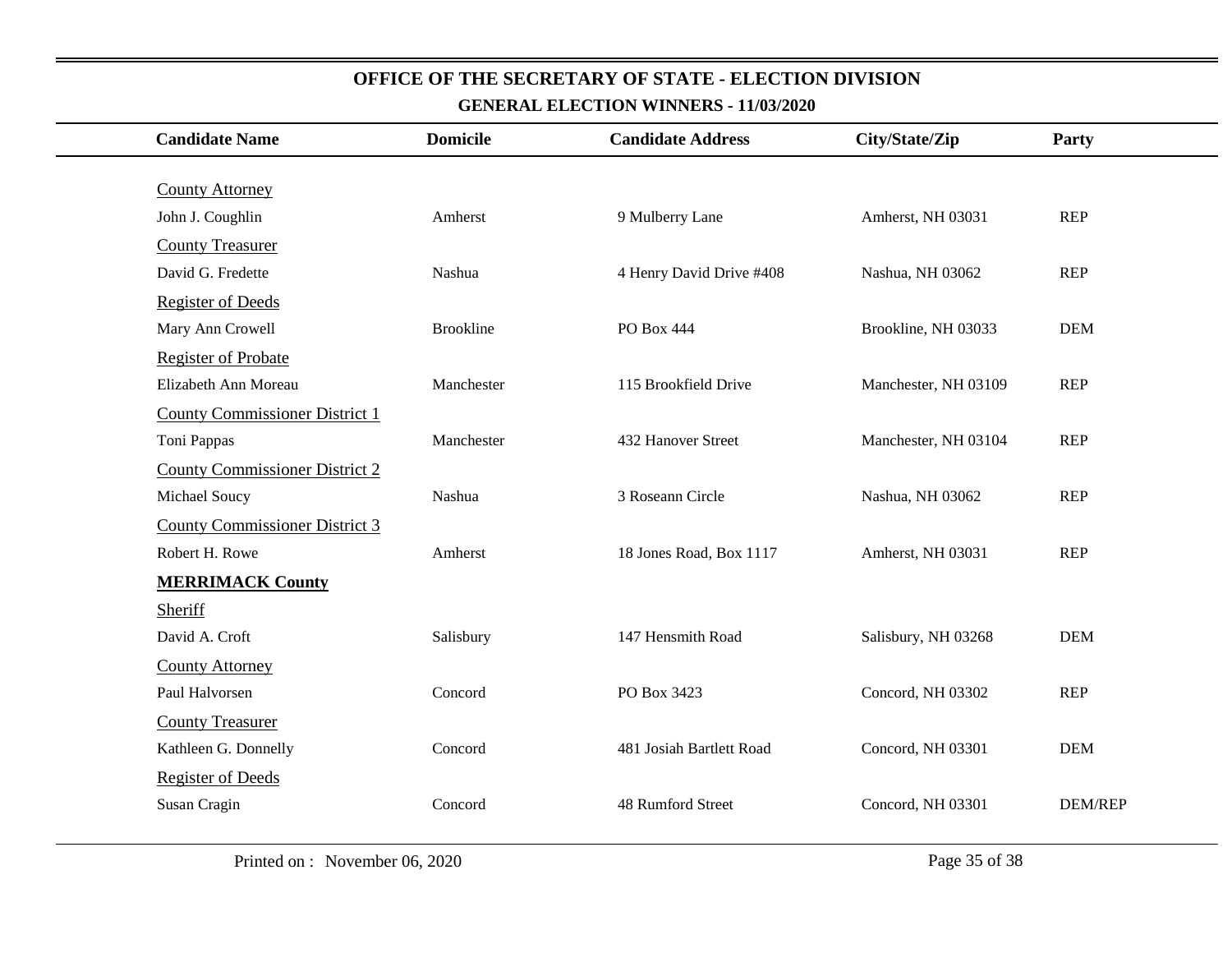| <b>Candidate Name</b>                 | <b>Domicile</b>  | <b>Candidate Address</b> | City/State/Zip       | Party          |
|---------------------------------------|------------------|--------------------------|----------------------|----------------|
|                                       |                  |                          |                      |                |
| <b>County Attorney</b>                |                  |                          |                      |                |
| John J. Coughlin                      | Amherst          | 9 Mulberry Lane          | Amherst, NH 03031    | <b>REP</b>     |
| <b>County Treasurer</b>               |                  |                          |                      |                |
| David G. Fredette                     | Nashua           | 4 Henry David Drive #408 | Nashua, NH 03062     | <b>REP</b>     |
| <b>Register of Deeds</b>              |                  |                          |                      |                |
| Mary Ann Crowell                      | <b>Brookline</b> | PO Box 444               | Brookline, NH 03033  | <b>DEM</b>     |
| <b>Register of Probate</b>            |                  |                          |                      |                |
| Elizabeth Ann Moreau                  | Manchester       | 115 Brookfield Drive     | Manchester, NH 03109 | <b>REP</b>     |
| <b>County Commissioner District 1</b> |                  |                          |                      |                |
| Toni Pappas                           | Manchester       | 432 Hanover Street       | Manchester, NH 03104 | <b>REP</b>     |
| <b>County Commissioner District 2</b> |                  |                          |                      |                |
| Michael Soucy                         | Nashua           | 3 Roseann Circle         | Nashua, NH 03062     | <b>REP</b>     |
| <b>County Commissioner District 3</b> |                  |                          |                      |                |
| Robert H. Rowe                        | Amherst          | 18 Jones Road, Box 1117  | Amherst, NH 03031    | <b>REP</b>     |
| <b>MERRIMACK County</b>               |                  |                          |                      |                |
| Sheriff                               |                  |                          |                      |                |
| David A. Croft                        | Salisbury        | 147 Hensmith Road        | Salisbury, NH 03268  | <b>DEM</b>     |
| <b>County Attorney</b>                |                  |                          |                      |                |
| Paul Halvorsen                        | Concord          | PO Box 3423              | Concord, NH 03302    | <b>REP</b>     |
| <b>County Treasurer</b>               |                  |                          |                      |                |
| Kathleen G. Donnelly                  | Concord          | 481 Josiah Bartlett Road | Concord, NH 03301    | <b>DEM</b>     |
| <b>Register of Deeds</b>              |                  |                          |                      |                |
| Susan Cragin                          | Concord          | 48 Rumford Street        | Concord, NH 03301    | <b>DEM/REP</b> |
|                                       |                  |                          |                      |                |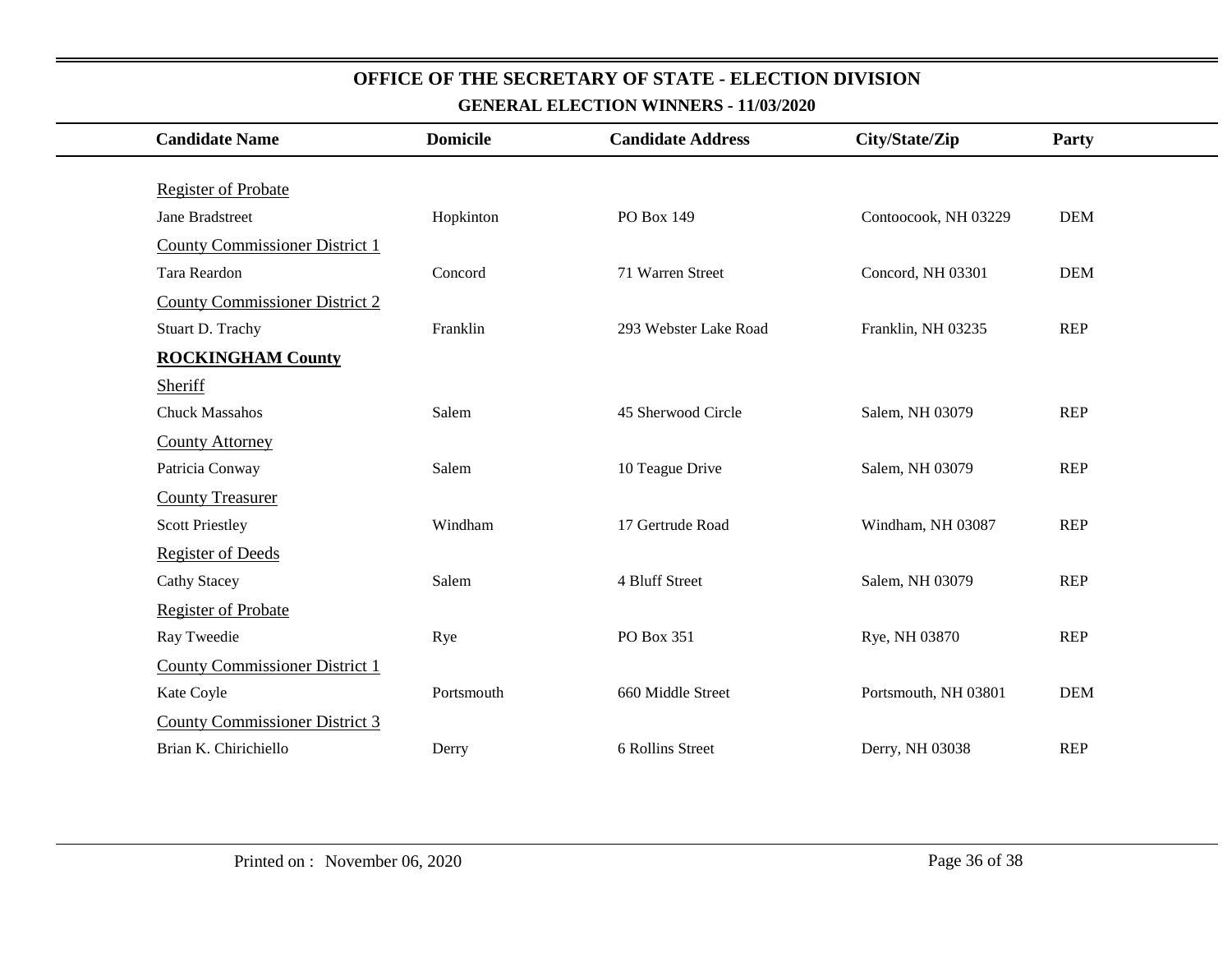| <b>Candidate Name</b>                 | <b>Domicile</b> | <b>Candidate Address</b> | City/State/Zip       | <b>Party</b> |
|---------------------------------------|-----------------|--------------------------|----------------------|--------------|
|                                       |                 |                          |                      |              |
| <b>Register of Probate</b>            |                 |                          |                      |              |
| Jane Bradstreet                       | Hopkinton       | PO Box 149               | Contoocook, NH 03229 | <b>DEM</b>   |
| <b>County Commissioner District 1</b> |                 |                          |                      |              |
| Tara Reardon                          | Concord         | 71 Warren Street         | Concord, NH 03301    | <b>DEM</b>   |
| <b>County Commissioner District 2</b> |                 |                          |                      |              |
| Stuart D. Trachy                      | Franklin        | 293 Webster Lake Road    | Franklin, NH 03235   | <b>REP</b>   |
| <b>ROCKINGHAM County</b>              |                 |                          |                      |              |
| Sheriff                               |                 |                          |                      |              |
| <b>Chuck Massahos</b>                 | Salem           | 45 Sherwood Circle       | Salem, NH 03079      | <b>REP</b>   |
| <b>County Attorney</b>                |                 |                          |                      |              |
| Patricia Conway                       | Salem           | 10 Teague Drive          | Salem, NH 03079      | <b>REP</b>   |
| <b>County Treasurer</b>               |                 |                          |                      |              |
| <b>Scott Priestley</b>                | Windham         | 17 Gertrude Road         | Windham, NH 03087    | <b>REP</b>   |
| <b>Register of Deeds</b>              |                 |                          |                      |              |
| <b>Cathy Stacey</b>                   | Salem           | 4 Bluff Street           | Salem, NH 03079      | <b>REP</b>   |
| <b>Register of Probate</b>            |                 |                          |                      |              |
| Ray Tweedie                           | Rye             | PO Box 351               | Rye, NH 03870        | <b>REP</b>   |
| <b>County Commissioner District 1</b> |                 |                          |                      |              |
| Kate Coyle                            | Portsmouth      | 660 Middle Street        | Portsmouth, NH 03801 | <b>DEM</b>   |
| <b>County Commissioner District 3</b> |                 |                          |                      |              |
| Brian K. Chirichiello                 | Derry           | 6 Rollins Street         | Derry, NH 03038      | <b>REP</b>   |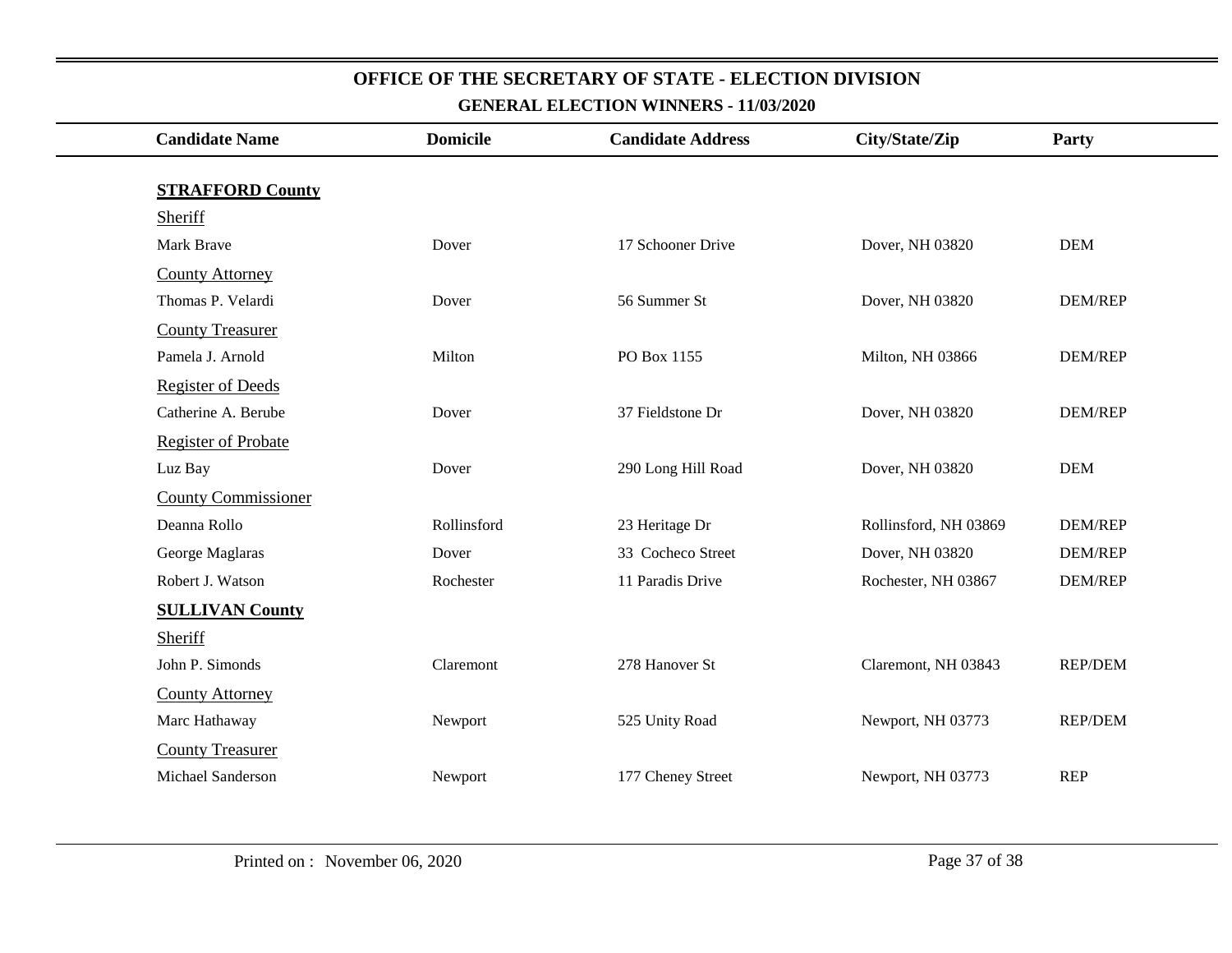| <b>Candidate Name</b>              | <b>Domicile</b> | <b>Candidate Address</b> | City/State/Zip        | Party          |
|------------------------------------|-----------------|--------------------------|-----------------------|----------------|
|                                    |                 |                          |                       |                |
| <b>STRAFFORD County</b><br>Sheriff |                 |                          |                       |                |
| Mark Brave                         | Dover           | 17 Schooner Drive        | Dover, NH 03820       | <b>DEM</b>     |
| <b>County Attorney</b>             |                 |                          |                       |                |
| Thomas P. Velardi                  | Dover           | 56 Summer St             | Dover, NH 03820       | <b>DEM/REP</b> |
| <b>County Treasurer</b>            |                 |                          |                       |                |
| Pamela J. Arnold                   | Milton          | PO Box 1155              | Milton, NH 03866      | <b>DEM/REP</b> |
| <b>Register of Deeds</b>           |                 |                          |                       |                |
| Catherine A. Berube                | Dover           | 37 Fieldstone Dr         | Dover, NH 03820       | <b>DEM/REP</b> |
| <b>Register of Probate</b>         |                 |                          |                       |                |
| Luz Bay                            | Dover           | 290 Long Hill Road       | Dover, NH 03820       | <b>DEM</b>     |
| <b>County Commissioner</b>         |                 |                          |                       |                |
| Deanna Rollo                       | Rollinsford     | 23 Heritage Dr           | Rollinsford, NH 03869 | <b>DEM/REP</b> |
| George Maglaras                    | Dover           | 33 Cocheco Street        | Dover, NH 03820       | <b>DEM/REP</b> |
| Robert J. Watson                   | Rochester       | 11 Paradis Drive         | Rochester, NH 03867   | <b>DEM/REP</b> |
| <b>SULLIVAN County</b>             |                 |                          |                       |                |
| Sheriff                            |                 |                          |                       |                |
| John P. Simonds                    | Claremont       | 278 Hanover St           | Claremont, NH 03843   | <b>REP/DEM</b> |
| <b>County Attorney</b>             |                 |                          |                       |                |
| Marc Hathaway                      | Newport         | 525 Unity Road           | Newport, NH 03773     | <b>REP/DEM</b> |
| <b>County Treasurer</b>            |                 |                          |                       |                |
| Michael Sanderson                  | Newport         | 177 Cheney Street        | Newport, NH 03773     | <b>REP</b>     |